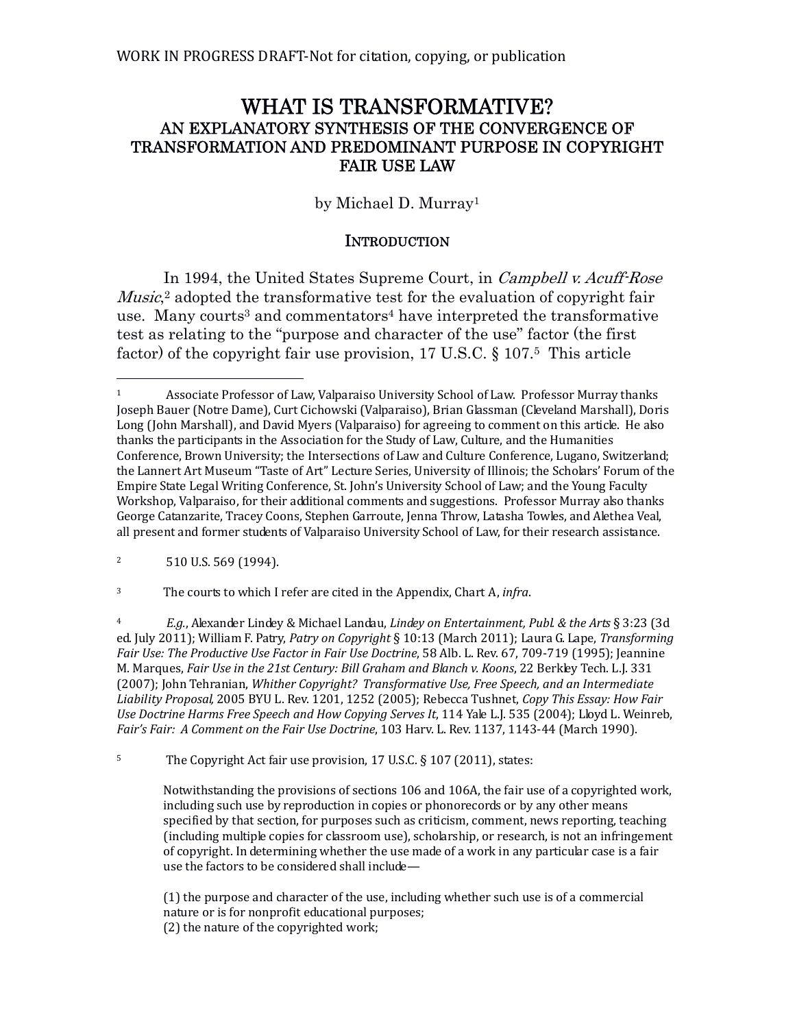### WHAT IS TRANSFORMATIVE? AN EXPLANATORY SYNTHESIS OF THE CONVERGENCE OF TRANSFORMATION AND PREDOMINANT PURPOSE IN COPYRIGHT FAIR USE LAW

by Michael D. Murray1

#### INTRODUCTION

 In 1994, the United States Supreme Court, in Campbell v. Acuff-Rose *Music*<sup>2</sup> adopted the transformative test for the evaluation of copyright fair use. Many courts<sup>3</sup> and commentators<sup>4</sup> have interpreted the transformative test as relating to the "purpose and character of the use" factor (the first factor) of the copyright fair use provision, 17 U.S.C. § 107.5 This article

l,

3 The courts to which I refer are cited in the Appendix, Chart A, *infra*.

4 *E.g.*, Alexander Lindey & Michael Landau, *Lindey on Entertainment, Publ. & the Arts* § 3:23 (3d ed. July 2011); William F. Patry, *Patry on Copyright* § 10:13 (March 2011); Laura G. Lape, *Transforming Fair Use: The Productive Use Factor in Fair Use Doctrine*, 58 Alb. L. Rev. 67, 709-719 (1995); Jeannine M. Marques, *Fair Use in the 21st Century: Bill Graham and Blanch v. Koons*, 22 Berkley Tech. L.J. 331 (2007); John Tehranian, *Whither Copyright? Transformative Use, Free Speech, and an Intermediate Liability Proposal,* 2005 BYU L. Rev. 1201, 1252 (2005); Rebecca Tushnet, *Copy This Essay: How Fair Use Doctrine Harms Free Speech and How Copying Serves It*, 114 Yale L.J. 535 (2004); Lloyd L. Weinreb, *Fair's Fair: A Comment on the Fair Use Doctrine*, 103 Harv. L. Rev. 1137, 1143-44 (March 1990).

5 The Copyright Act fair use provision, 17 U.S.C. § 107 (2011), states:

 Notwithstanding the provisions of sections 106 and 106A, the fair use of a copyrighted work, including such use by reproduction in copies or phonorecords or by any other means specified by that section, for purposes such as criticism, comment, news reporting, teaching (including multiple copies for classroom use), scholarship, or research, is not an infringement of copyright. In determining whether the use made of a work in any particular case is a fair use the factors to be considered shall include—

 (1) the purpose and character of the use, including whether such use is of a commercial nature or is for nonprofit educational purposes; (2) the nature of the copyrighted work;

<sup>1</sup> Associate Professor of Law, Valparaiso University School of Law. Professor Murray thanks Joseph Bauer (Notre Dame), Curt Cichowski (Valparaiso), Brian Glassman (Cleveland Marshall), Doris Long (John Marshall), and David Myers (Valparaiso) for agreeing to comment on this article. He also thanks the participants in the Association for the Study of Law, Culture, and the Humanities Conference, Brown University; the Intersections of Law and Culture Conference, Lugano, Switzerland; the Lannert Art Museum "Taste of Art" Lecture Series, University of Illinois; the Scholars' Forum of the Empire State Legal Writing Conference, St. John's University School of Law; and the Young Faculty Workshop, Valparaiso, for their additional comments and suggestions. Professor Murray also thanks George Catanzarite, Tracey Coons, Stephen Garroute, Jenna Throw, Latasha Towles, and Alethea Veal, all present and former students of Valparaiso University School of Law, for their research assistance.

<sup>2 510</sup> U.S. 569 (1994).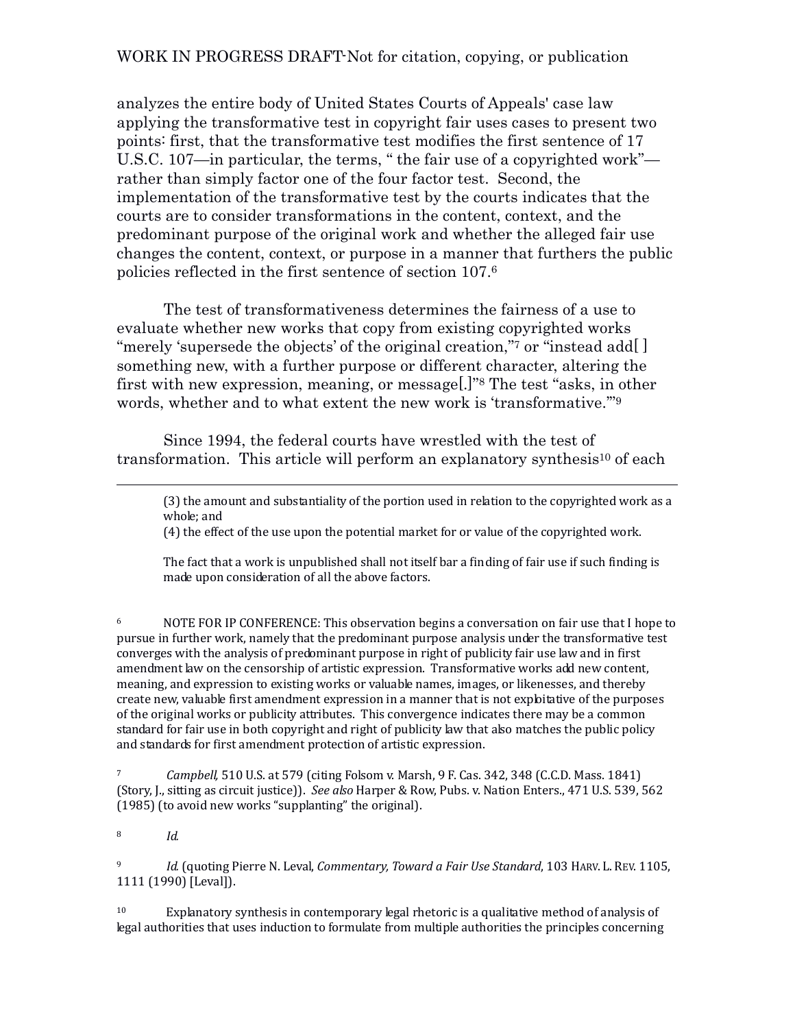analyzes the entire body of United States Courts of Appeals' case law applying the transformative test in copyright fair uses cases to present two points: first, that the transformative test modifies the first sentence of 17 U.S.C. 107—in particular, the terms, " the fair use of a copyrighted work" rather than simply factor one of the four factor test. Second, the implementation of the transformative test by the courts indicates that the courts are to consider transformations in the content, context, and the predominant purpose of the original work and whether the alleged fair use changes the content, context, or purpose in a manner that furthers the public policies reflected in the first sentence of section 107.6

 The test of transformativeness determines the fairness of a use to evaluate whether new works that copy from existing copyrighted works "merely 'supersede the objects' of the original creation,"<sup>7</sup> or "instead add[] something new, with a further purpose or different character, altering the first with new expression, meaning, or message[.]"8 The test "asks, in other words, whether and to what extent the new work is 'transformative.'"9

 Since 1994, the federal courts have wrestled with the test of transformation. This article will perform an explanatory synthesis<sup>10</sup> of each

 (3) the amount and substantiality of the portion used in relation to the copyrighted work as a whole; and

(4) the effect of the use upon the potential market for or value of the copyrighted work.

 The fact that a work is unpublished shall not itself bar a finding of fair use if such finding is made upon consideration of all the above factors.

6 NOTE FOR IP CONFERENCE: This observation begins a conversation on fair use that I hope to pursue in further work, namely that the predominant purpose analysis under the transformative test converges with the analysis of predominant purpose in right of publicity fair use law and in first amendment law on the censorship of artistic expression. Transformative works add new content, meaning, and expression to existing works or valuable names, images, or likenesses, and thereby create new, valuable first amendment expression in a manner that is not exploitative of the purposes of the original works or publicity attributes. This convergence indicates there may be a common standard for fair use in both copyright and right of publicity law that also matches the public policy and standards for first amendment protection of artistic expression.

<sup>7</sup>*Campbell,* 510 U.S. at 579 (citing Folsom v. Marsh, 9 F. Cas. 342, 348 (C.C.D. Mass. 1841) (Story, J., sitting as circuit justice)). *See also* Harper & Row, Pubs. v. Nation Enters., 471 U.S. 539, 562 (1985) (to avoid new works "supplanting" the original).

<sup>8</sup>*Id.* 

l,

<sup>9</sup>*Id.* (quoting Pierre N. Leval, *Commentary, Toward a Fair Use Standard*, 103 HARV. L. REV. 1105, 1111 (1990) [Leval]).

 $10$  Explanatory synthesis in contemporary legal rhetoric is a qualitative method of analysis of legal authorities that uses induction to formulate from multiple authorities the principles concerning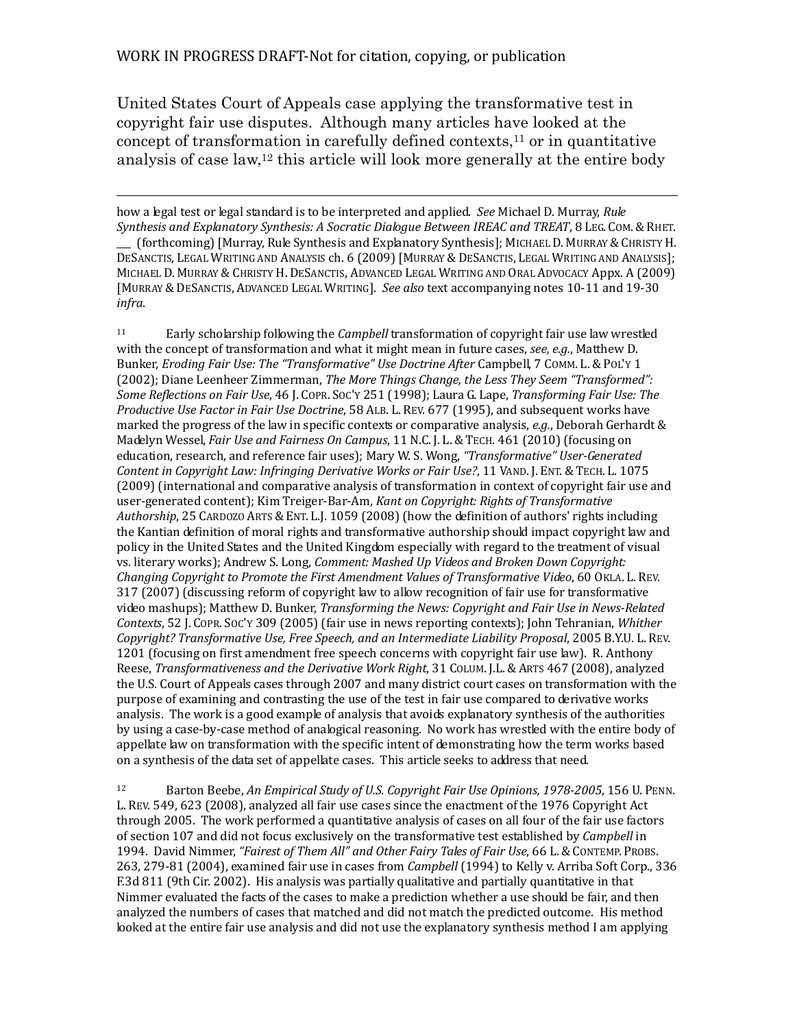$\overline{a}$ 

United States Court of Appeals case applying the transformative test in copyright fair use disputes. Although many articles have looked at the concept of transformation in carefully defined contexts, $^{11}$  or in quantitative analysis of case law,12 this article will look more generally at the entire body

11 Early scholarship following the *Campbell* transformation of copyright fair use law wrestled with the concept of transformation and what it might mean in future cases, *see, e.g.*, Matthew D. Bunker, *Eroding Fair Use: The "Transformative" Use Doctrine After* Campbell, 7 COMM. L. & POL'Y 1 (2002); Diane Leenheer Zimmerman, *The More Things Change, the Less They Seem "Transformed": Some Reflections on Fair Use*, 46 J. COPR. SOC'Y 251 (1998); Laura G. Lape, *Transforming Fair Use: The Productive Use Factor in Fair Use Doctrine*, 58 ALB. L. REV. 677 (1995), and subsequent works have marked the progress of the law in specific contexts or comparative analysis, *e.g.*, Deborah Gerhardt & Madelyn Wessel, *Fair Use and Fairness On Campus*, 11 N.C. J. L. & TECH. 461 (2010) (focusing on education, research, and reference fair uses); Mary W. S. Wong, *"Transformative" User-Generated Content in Copyright Law: Infringing Derivative Works or Fair Use?*, 11 VAND. J. ENT. & TECH. L. 1075 (2009) (international and comparative analysis of transformation in context of copyright fair use and user-generated content); Kim Treiger-Bar-Am, *Kant on Copyright: Rights of Transformative Authorship*, 25 CARDOZO ARTS & ENT. L.J. 1059 (2008) (how the definition of authors' rights including the Kantian definition of moral rights and transformative authorship should impact copyright law and policy in the United States and the United Kingdom especially with regard to the treatment of visual vs. literary works); Andrew S. Long, *Comment: Mashed Up Videos and Broken Down Copyright: Changing Copyright to Promote the First Amendment Values of Transformative Video*, 60 OKLA. L. REV. 317 (2007) (discussing reform of copyright law to allow recognition of fair use for transformative video mashups); Matthew D. Bunker, *Transforming the News: Copyright and Fair Use in News-Related Contexts*, 52 J. COPR. SOC'Y 309 (2005) (fair use in news reporting contexts); John Tehranian, *Whither Copyright? Transformative Use, Free Speech, and an Intermediate Liability Proposal*, 2005 B.Y.U. L. REV. 1201 (focusing on first amendment free speech concerns with copyright fair use law). R. Anthony Reese, *Transformativeness and the Derivative Work Right*, 31 COLUM. J.L. & ARTS 467 (2008), analyzed the U.S. Court of Appeals cases through 2007 and many district court cases on transformation with the purpose of examining and contrasting the use of the test in fair use compared to derivative works analysis. The work is a good example of analysis that avoids explanatory synthesis of the authorities by using a case-by-case method of analogical reasoning. No work has wrestled with the entire body of appellate law on transformation with the specific intent of demonstrating how the term works based on a synthesis of the data set of appellate cases. This article seeks to address that need.

12 Barton Beebe, *An Empirical Study of U.S. Copyright Fair Use Opinions, 1978-2005*, 156 U. PENN. L. REV. 549, 623 (2008), analyzed all fair use cases since the enactment of the 1976 Copyright Act through 2005. The work performed a quantitative analysis of cases on all four of the fair use factors of section 107 and did not focus exclusively on the transformative test established by *Campbell* in 1994. David Nimmer, *"Fairest of Them All" and Other Fairy Tales of Fair Use*, 66 L. & CONTEMP. PROBS. 263, 279-81 (2004), examined fair use in cases from *Campbell* (1994) to Kelly v. Arriba Soft Corp., 336 F.3d 811 (9th Cir. 2002). His analysis was partially qualitative and partially quantitative in that Nimmer evaluated the facts of the cases to make a prediction whether a use should be fair, and then analyzed the numbers of cases that matched and did not match the predicted outcome. His method looked at the entire fair use analysis and did not use the explanatory synthesis method I am applying

how a legal test or legal standard is to be interpreted and applied. *See* Michael D. Murray, *Rule Synthesis and Explanatory Synthesis: A Socratic Dialogue Between IREAC and TREAT*, 8 LEG. COM. & RHET.

\_\_\_ (forthcoming) [Murray, Rule Synthesis and Explanatory Synthesis]; MICHAEL D. MURRAY & CHRISTY H. DESANCTIS, LEGAL WRITING AND ANALYSIS ch. 6 (2009) [MURRAY & DESANCTIS, LEGAL WRITING AND ANALYSIS]; MICHAEL D. MURRAY & CHRISTY H. DESANCTIS, ADVANCED LEGAL WRITING AND ORAL ADVOCACY Appx. A (2009) [MURRAY & DESANCTIS, ADVANCED LEGAL WRITING]. *See also* text accompanying notes 10-11 and 19-30 *infra*.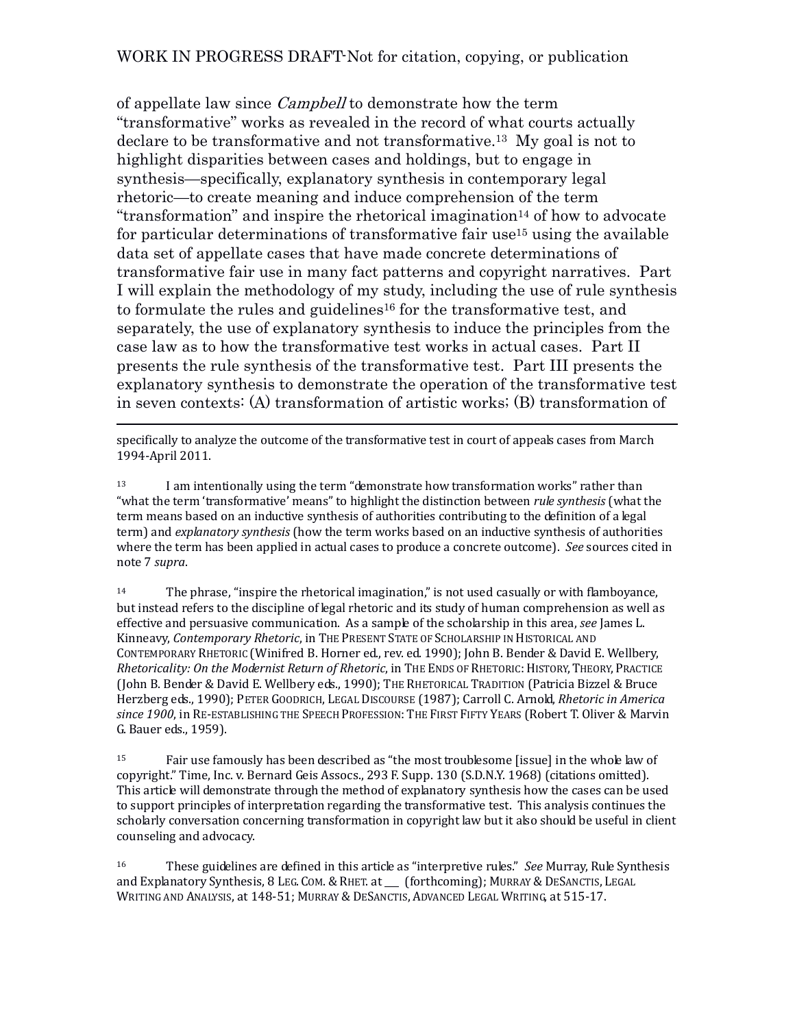of appellate law since *Campbell* to demonstrate how the term "transformative" works as revealed in the record of what courts actually declare to be transformative and not transformative.13 My goal is not to highlight disparities between cases and holdings, but to engage in synthesis—specifically, explanatory synthesis in contemporary legal rhetoric—to create meaning and induce comprehension of the term "transformation" and inspire the rhetorical imagination<sup>14</sup> of how to advocate for particular determinations of transformative fair use15 using the available data set of appellate cases that have made concrete determinations of transformative fair use in many fact patterns and copyright narratives. Part I will explain the methodology of my study, including the use of rule synthesis to formulate the rules and guidelines<sup>16</sup> for the transformative test, and separately, the use of explanatory synthesis to induce the principles from the case law as to how the transformative test works in actual cases. Part II presents the rule synthesis of the transformative test. Part III presents the explanatory synthesis to demonstrate the operation of the transformative test in seven contexts: (A) transformation of artistic works; (B) transformation of

specifically to analyze the outcome of the transformative test in court of appeals cases from March 1994-April 2011.

l,

13 I am intentionally using the term "demonstrate how transformation works" rather than "what the term 'transformative' means" to highlight the distinction between *rule synthesis* (what the term means based on an inductive synthesis of authorities contributing to the definition of a legal term) and *explanatory synthesis* (how the term works based on an inductive synthesis of authorities where the term has been applied in actual cases to produce a concrete outcome). *See* sources cited in note 7 *supra*.

14 The phrase, "inspire the rhetorical imagination," is not used casually or with flamboyance, but instead refers to the discipline of legal rhetoric and its study of human comprehension as well as effective and persuasive communication. As a sample of the scholarship in this area, *see* James L. Kinneavy, *Contemporary Rhetoric*, in THE PRESENT STATE OF SCHOLARSHIP IN HISTORICAL AND CONTEMPORARY RHETORIC (Winifred B. Horner ed., rev. ed. 1990); John B. Bender & David E. Wellbery, *Rhetoricality: On the Modernist Return of Rhetoric*, in THE ENDS OF RHETORIC: HISTORY, THEORY, PRACTICE (John B. Bender & David E. Wellbery eds., 1990); THE RHETORICAL TRADITION (Patricia Bizzel & Bruce Herzberg eds., 1990); PETER GOODRICH, LEGAL DISCOURSE (1987); Carroll C. Arnold, *Rhetoric in America since 1900*, in RE-ESTABLISHING THE SPEECH PROFESSION: THE FIRST FIFTY YEARS (Robert T. Oliver & Marvin G. Bauer eds., 1959).

15 Fair use famously has been described as "the most troublesome [issue] in the whole law of copyright." Time, Inc. v. Bernard Geis Assocs., 293 F. Supp. 130 (S.D.N.Y. 1968) (citations omitted). This article will demonstrate through the method of explanatory synthesis how the cases can be used to support principles of interpretation regarding the transformative test. This analysis continues the scholarly conversation concerning transformation in copyright law but it also should be useful in client counseling and advocacy.

16 These guidelines are defined in this article as "interpretive rules." *See* Murray, Rule Synthesis and Explanatory Synthesis, 8 LEG. COM. & RHET. at \_\_\_ (forthcoming); MURRAY & DESANCTIS, LEGAL WRITING AND ANALYSIS, at 148-51; MURRAY & DESANCTIS, ADVANCED LEGAL WRITING, at 515-17.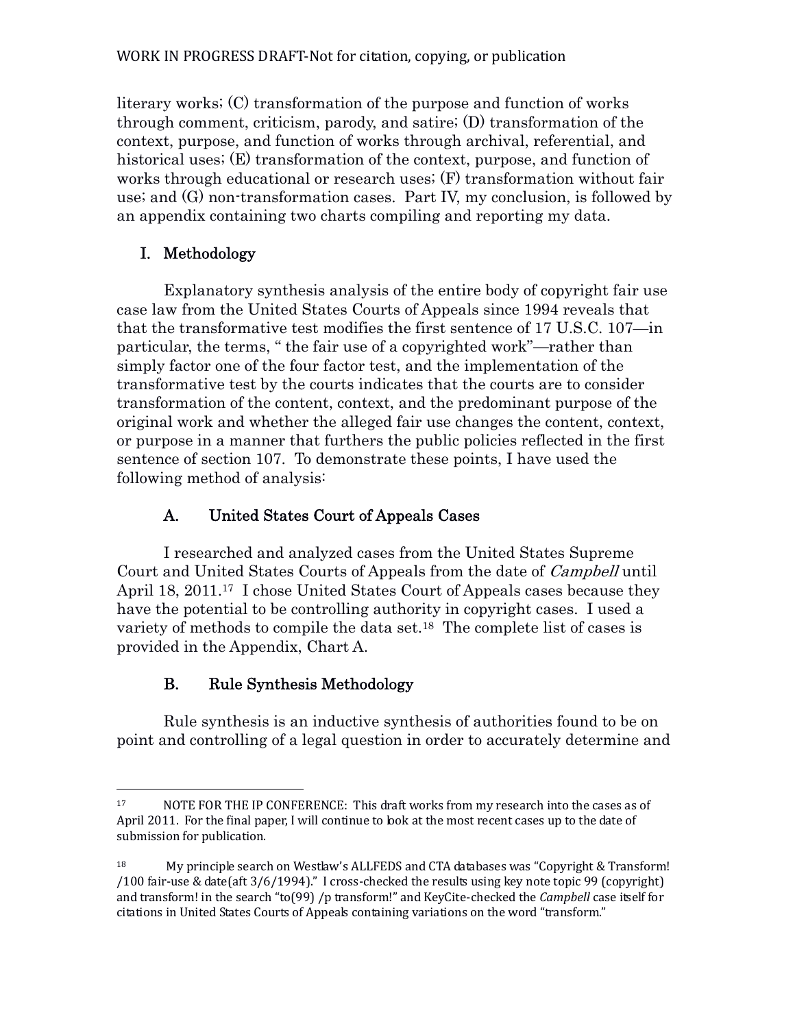literary works; (C) transformation of the purpose and function of works through comment, criticism, parody, and satire; (D) transformation of the context, purpose, and function of works through archival, referential, and historical uses; (E) transformation of the context, purpose, and function of works through educational or research uses; (F) transformation without fair use; and (G) non-transformation cases. Part IV, my conclusion, is followed by an appendix containing two charts compiling and reporting my data.

## I. Methodology

l,

 Explanatory synthesis analysis of the entire body of copyright fair use case law from the United States Courts of Appeals since 1994 reveals that that the transformative test modifies the first sentence of 17 U.S.C. 107—in particular, the terms, " the fair use of a copyrighted work"—rather than simply factor one of the four factor test, and the implementation of the transformative test by the courts indicates that the courts are to consider transformation of the content, context, and the predominant purpose of the original work and whether the alleged fair use changes the content, context, or purpose in a manner that furthers the public policies reflected in the first sentence of section 107. To demonstrate these points, I have used the following method of analysis:

## A. United States Court of Appeals Cases

 I researched and analyzed cases from the United States Supreme Court and United States Courts of Appeals from the date of Campbell until April 18, 2011.<sup>17</sup> I chose United States Court of Appeals cases because they have the potential to be controlling authority in copyright cases. I used a variety of methods to compile the data set.18 The complete list of cases is provided in the Appendix, Chart A.

## B. Rule Synthesis Methodology

 Rule synthesis is an inductive synthesis of authorities found to be on point and controlling of a legal question in order to accurately determine and

<sup>17</sup> NOTE FOR THE IP CONFERENCE: This draft works from my research into the cases as of April 2011. For the final paper, I will continue to look at the most recent cases up to the date of submission for publication.

<sup>18</sup> My principle search on Westlaw's ALLFEDS and CTA databases was "Copyright & Transform! /100 fair-use & date(aft 3/6/1994)." I cross-checked the results using key note topic 99 (copyright) and transform! in the search "to(99) /p transform!" and KeyCite-checked the *Campbell* case itself for citations in United States Courts of Appeals containing variations on the word "transform."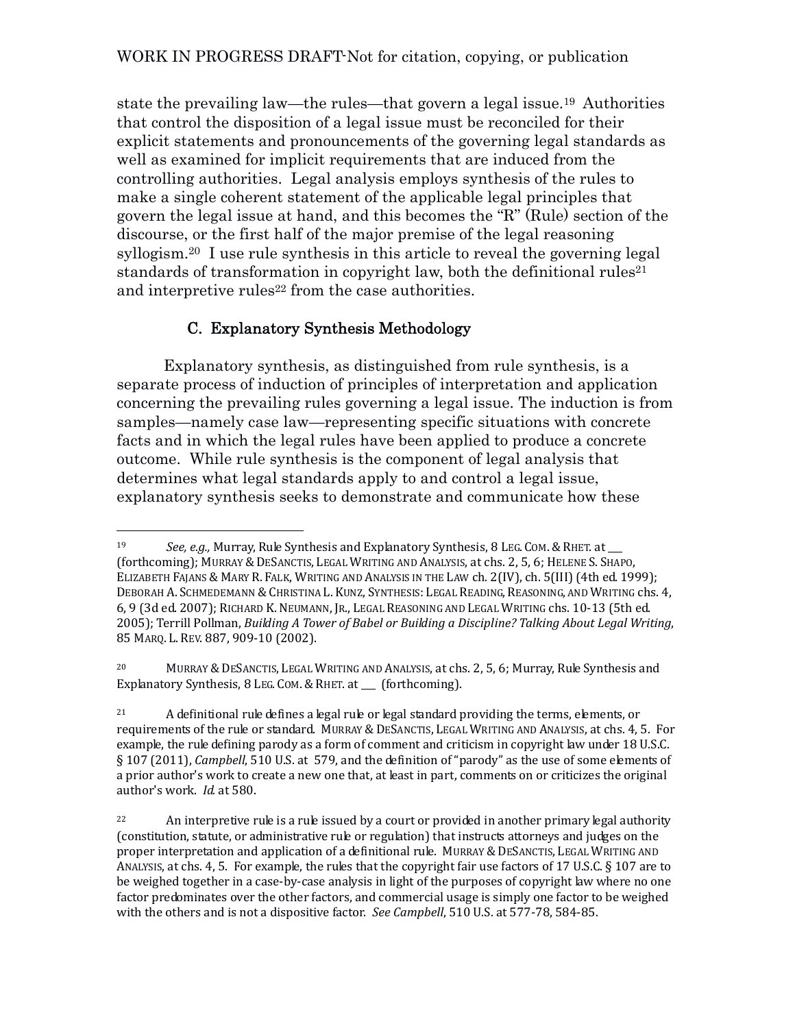state the prevailing law—the rules—that govern a legal issue.19 Authorities that control the disposition of a legal issue must be reconciled for their explicit statements and pronouncements of the governing legal standards as well as examined for implicit requirements that are induced from the controlling authorities. Legal analysis employs synthesis of the rules to make a single coherent statement of the applicable legal principles that govern the legal issue at hand, and this becomes the "R" (Rule) section of the discourse, or the first half of the major premise of the legal reasoning syllogism.20 I use rule synthesis in this article to reveal the governing legal standards of transformation in copyright law, both the definitional rules<sup>21</sup> and interpretive rules<sup>22</sup> from the case authorities.

### C. Explanatory Synthesis Methodology

l,

 Explanatory synthesis, as distinguished from rule synthesis, is a separate process of induction of principles of interpretation and application concerning the prevailing rules governing a legal issue. The induction is from samples—namely case law—representing specific situations with concrete facts and in which the legal rules have been applied to produce a concrete outcome. While rule synthesis is the component of legal analysis that determines what legal standards apply to and control a legal issue, explanatory synthesis seeks to demonstrate and communicate how these

<sup>19</sup> See, e.g., Murray, Rule Synthesis and Explanatory Synthesis, 8 LEG. COM. & RHET. at (forthcoming); MURRAY & DESANCTIS, LEGAL WRITING AND ANALYSIS, at chs. 2, 5, 6; HELENE S. SHAPO, ELIZABETH FAJANS & MARY R. FALK, WRITING AND ANALYSIS IN THE LAW ch. 2(IV), ch. 5(III) (4th ed. 1999); DEBORAH A. SCHMEDEMANN & CHRISTINA L. KUNZ, SYNTHESIS: LEGAL READING, REASONING, AND WRITING chs. 4, 6, 9 (3d ed. 2007); RICHARD K. NEUMANN, JR., LEGAL REASONING AND LEGAL WRITING chs. 10-13 (5th ed. 2005); Terrill Pollman, *Building A Tower of Babel or Building a Discipline? Talking About Legal Writing*, 85 MARQ. L. REV. 887, 909-10 (2002).

<sup>20</sup> MURRAY & DESANCTIS, LEGAL WRITING AND ANALYSIS, at chs. 2, 5, 6; Murray, Rule Synthesis and Explanatory Synthesis, 8 LEG. COM. & RHET. at \_\_\_ (forthcoming).

 $21$  A definitional rule defines a legal rule or legal standard providing the terms, elements, or requirements of the rule or standard. MURRAY & DESANCTIS, LEGAL WRITING AND ANALYSIS, at chs. 4, 5. For example, the rule defining parody as a form of comment and criticism in copyright law under 18 U.S.C. § 107 (2011), *Campbell*, 510 U.S. at 579, and the definition of "parody" as the use of some elements of a prior author's work to create a new one that, at least in part, comments on or criticizes the original author's work. *Id.* at 580.

 $22$  An interpretive rule is a rule issued by a court or provided in another primary legal authority (constitution, statute, or administrative rule or regulation) that instructs attorneys and judges on the proper interpretation and application of a definitional rule. MURRAY & DESANCTIS, LEGAL WRITING AND ANALYSIS, at chs. 4, 5. For example, the rules that the copyright fair use factors of 17 U.S.C. § 107 are to be weighed together in a case-by-case analysis in light of the purposes of copyright law where no one factor predominates over the other factors, and commercial usage is simply one factor to be weighed with the others and is not a dispositive factor. *See Campbell*, 510 U.S. at 577-78, 584-85.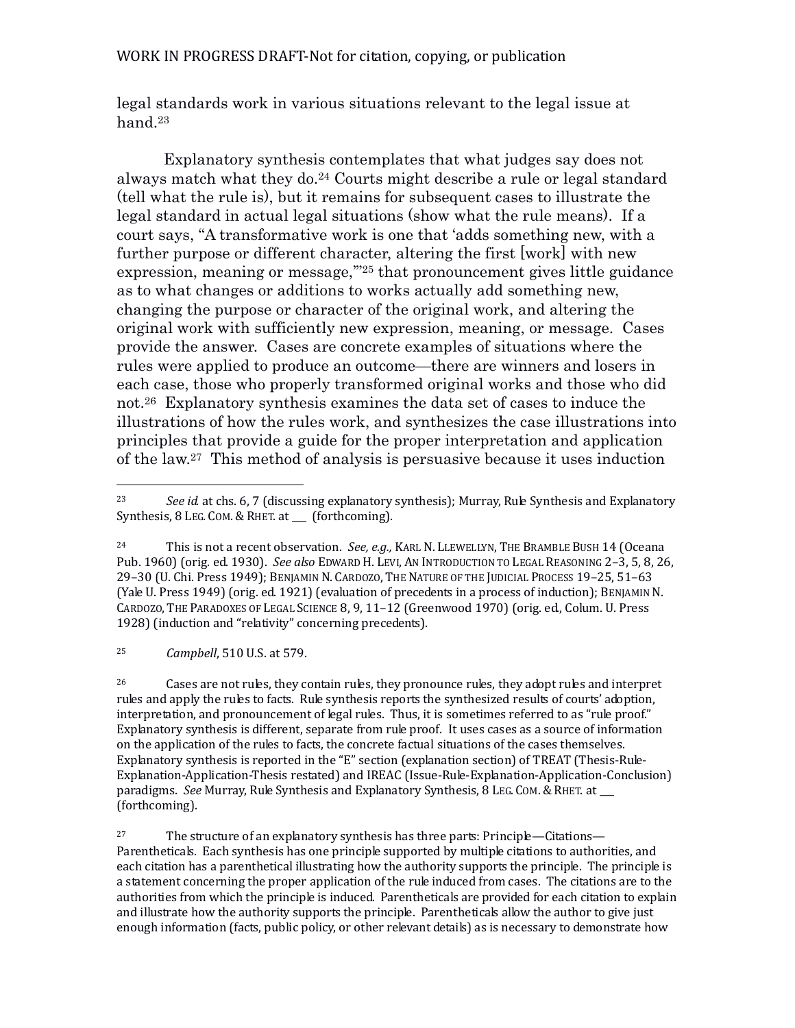legal standards work in various situations relevant to the legal issue at hand.23

 Explanatory synthesis contemplates that what judges say does not always match what they do.24 Courts might describe a rule or legal standard (tell what the rule is), but it remains for subsequent cases to illustrate the legal standard in actual legal situations (show what the rule means). If a court says, "A transformative work is one that 'adds something new, with a further purpose or different character, altering the first [work] with new expression, meaning or message,"<sup>25</sup> that pronouncement gives little guidance as to what changes or additions to works actually add something new, changing the purpose or character of the original work, and altering the original work with sufficiently new expression, meaning, or message. Cases provide the answer. Cases are concrete examples of situations where the rules were applied to produce an outcome—there are winners and losers in each case, those who properly transformed original works and those who did not.26 Explanatory synthesis examines the data set of cases to induce the illustrations of how the rules work, and synthesizes the case illustrations into principles that provide a guide for the proper interpretation and application of the law.27 This method of analysis is persuasive because it uses induction

<sup>25</sup>*Campbell*, 510 U.S. at 579.

l,

<sup>26</sup> Cases are not rules, they contain rules, they pronounce rules, they adopt rules and interpret rules and apply the rules to facts. Rule synthesis reports the synthesized results of courts' adoption, interpretation, and pronouncement of legal rules. Thus, it is sometimes referred to as "rule proof." Explanatory synthesis is different, separate from rule proof. It uses cases as a source of information on the application of the rules to facts, the concrete factual situations of the cases themselves. Explanatory synthesis is reported in the "E" section (explanation section) of TREAT (Thesis-Rule-Explanation-Application-Thesis restated) and IREAC (Issue-Rule-Explanation-Application-Conclusion) paradigms. *See* Murray, Rule Synthesis and Explanatory Synthesis, 8 LEG. COM. & RHET. at \_\_\_ (forthcoming).

<sup>27</sup> The structure of an explanatory synthesis has three parts: Principle—Citations— Parentheticals. Each synthesis has one principle supported by multiple citations to authorities, and each citation has a parenthetical illustrating how the authority supports the principle. The principle is a statement concerning the proper application of the rule induced from cases. The citations are to the authorities from which the principle is induced. Parentheticals are provided for each citation to explain and illustrate how the authority supports the principle. Parentheticals allow the author to give just enough information (facts, public policy, or other relevant details) as is necessary to demonstrate how

<sup>23</sup>*See id.* at chs. 6, 7 (discussing explanatory synthesis); Murray, Rule Synthesis and Explanatory Synthesis, 8 LEG. COM. & RHET. at \_\_\_ (forthcoming).

<sup>24</sup> This is not a recent observation. *See, e.g.,* KARL N. LLEWELLYN, THE BRAMBLE BUSH 14 (Oceana Pub. 1960) (orig. ed. 1930). *See also* EDWARD H. LEVI, AN INTRODUCTION TO LEGAL REASONING 2–3, 5, 8, 26, 29–30 (U. Chi. Press 1949); BENJAMIN N. CARDOZO, THE NATURE OF THE JUDICIAL PROCESS 19–25, 51–63 (Yale U. Press 1949) (orig. ed. 1921) (evaluation of precedents in a process of induction); BENJAMIN N. CARDOZO, THE PARADOXES OF LEGAL SCIENCE 8, 9, 11–12 (Greenwood 1970) (orig. ed., Colum. U. Press 1928) (induction and "relativity" concerning precedents).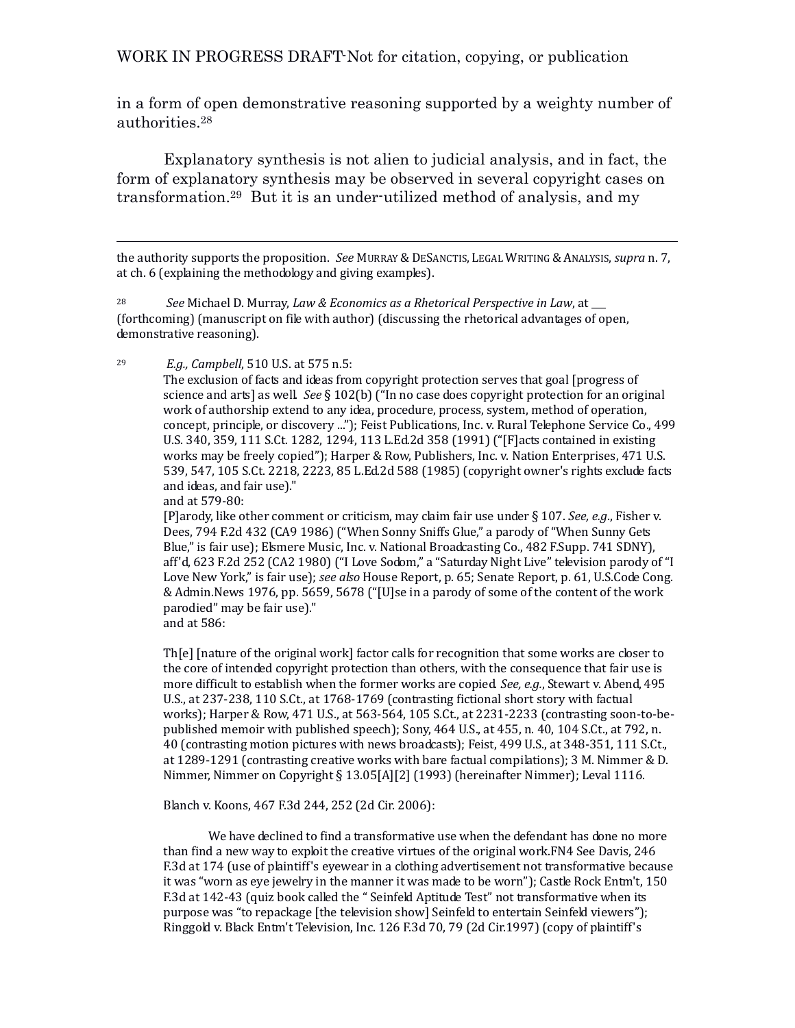in a form of open demonstrative reasoning supported by a weighty number of authorities.28

 Explanatory synthesis is not alien to judicial analysis, and in fact, the form of explanatory synthesis may be observed in several copyright cases on transformation.29 But it is an under-utilized method of analysis, and my

the authority supports the proposition. *See* MURRAY & DESANCTIS, LEGAL WRITING & ANALYSIS, *supra* n. 7, at ch. 6 (explaining the methodology and giving examples).

<sup>28</sup>*See* Michael D. Murray, *Law & Economics as a Rhetorical Perspective in Law*, at \_\_\_ (forthcoming) (manuscript on file with author) (discussing the rhetorical advantages of open, demonstrative reasoning).

<sup>29</sup>*E.g., Campbell*, 510 U.S. at 575 n.5:

 The exclusion of facts and ideas from copyright protection serves that goal [progress of science and arts] as well. *See* § 102(b) ("In no case does copyright protection for an original work of authorship extend to any idea, procedure, process, system, method of operation, concept, principle, or discovery ..."); Feist Publications, Inc. v. Rural Telephone Service Co., 499 U.S. 340, 359, 111 S.Ct. 1282, 1294, 113 L.Ed.2d 358 (1991) ("[F]acts contained in existing works may be freely copied"); Harper & Row, Publishers, Inc. v. Nation Enterprises, 471 U.S. 539, 547, 105 S.Ct. 2218, 2223, 85 L.Ed.2d 588 (1985) (copyright owner's rights exclude facts and ideas, and fair use)."

and at 579-80:

-

 [P]arody, like other comment or criticism, may claim fair use under § 107. *See, e.g*., Fisher v. Dees, 794 F.2d 432 (CA9 1986) ("When Sonny Sniffs Glue," a parody of "When Sunny Gets Blue," is fair use); Elsmere Music, Inc. v. National Broadcasting Co., 482 F.Supp. 741 SDNY), aff'd, 623 F.2d 252 (CA2 1980) ("I Love Sodom," a "Saturday Night Live" television parody of "I Love New York," is fair use); *see also* House Report, p. 65; Senate Report, p. 61, U.S.Code Cong. & Admin.News 1976, pp. 5659, 5678 ("[U]se in a parody of some of the content of the work parodied" may be fair use)." and at 586:

Th[e] [nature of the original work] factor calls for recognition that some works are closer to the core of intended copyright protection than others, with the consequence that fair use is more difficult to establish when the former works are copied. *See, e.g.*, Stewart v. Abend, 495 U.S., at 237-238, 110 S.Ct., at 1768-1769 (contrasting fictional short story with factual works); Harper & Row, 471 U.S., at 563-564, 105 S.Ct., at 2231-2233 (contrasting soon-to-bepublished memoir with published speech); Sony, 464 U.S., at 455, n. 40, 104 S.Ct., at 792, n. 40 (contrasting motion pictures with news broadcasts); Feist, 499 U.S., at 348-351, 111 S.Ct., at 1289-1291 (contrasting creative works with bare factual compilations); 3 M. Nimmer & D. Nimmer, Nimmer on Copyright § 13.05[A][2] (1993) (hereinafter Nimmer); Leval 1116.

Blanch v. Koons, 467 F.3d 244, 252 (2d Cir. 2006):

 We have declined to find a transformative use when the defendant has done no more than find a new way to exploit the creative virtues of the original work.FN4 See Davis, 246 F.3d at 174 (use of plaintiff's eyewear in a clothing advertisement not transformative because it was "worn as eye jewelry in the manner it was made to be worn"); Castle Rock Entm't, 150 F.3d at 142-43 (quiz book called the " Seinfeld Aptitude Test" not transformative when its purpose was "to repackage [the television show] Seinfeld to entertain Seinfeld viewers"); Ringgold v. Black Entm't Television, Inc. 126 F.3d 70, 79 (2d Cir.1997) (copy of plaintiff's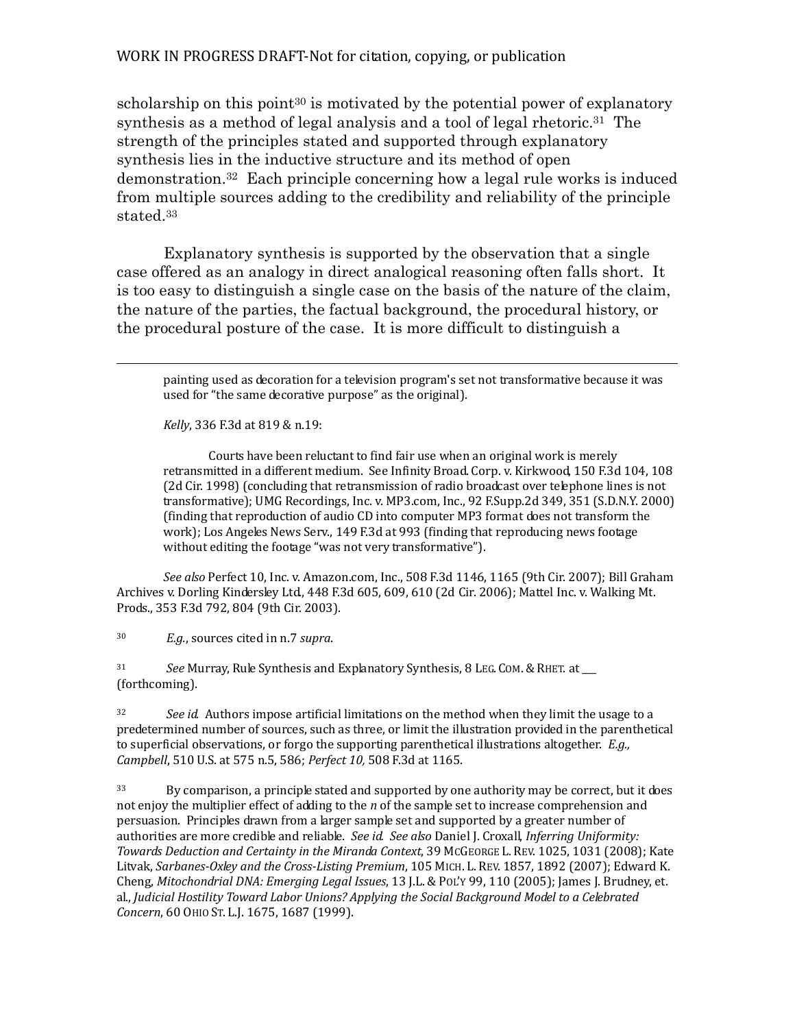scholarship on this point<sup>30</sup> is motivated by the potential power of explanatory synthesis as a method of legal analysis and a tool of legal rhetoric.<sup>31</sup> The strength of the principles stated and supported through explanatory synthesis lies in the inductive structure and its method of open demonstration.32 Each principle concerning how a legal rule works is induced from multiple sources adding to the credibility and reliability of the principle stated.33

 Explanatory synthesis is supported by the observation that a single case offered as an analogy in direct analogical reasoning often falls short. It is too easy to distinguish a single case on the basis of the nature of the claim, the nature of the parties, the factual background, the procedural history, or the procedural posture of the case. It is more difficult to distinguish a

painting used as decoration for a television program's set not transformative because it was used for "the same decorative purpose" as the original).

 *Kelly*, 336 F.3d at 819 & n.19:

l,

 Courts have been reluctant to find fair use when an original work is merely retransmitted in a different medium. See Infinity Broad. Corp. v. Kirkwood, 150 F.3d 104, 108 (2d Cir. 1998) (concluding that retransmission of radio broadcast over telephone lines is not transformative); UMG Recordings, Inc. v. MP3.com, Inc., 92 F.Supp.2d 349, 351 (S.D.N.Y. 2000) (finding that reproduction of audio CD into computer MP3 format does not transform the work); Los Angeles News Serv., 149 F.3d at 993 (finding that reproducing news footage without editing the footage "was not very transformative").

 *See also* Perfect 10, Inc. v. Amazon.com, Inc., 508 F.3d 1146, 1165 (9th Cir. 2007); Bill Graham Archives v. Dorling Kindersley Ltd., 448 F.3d 605, 609, 610 (2d Cir. 2006); Mattel Inc. v. Walking Mt. Prods., 353 F.3d 792, 804 (9th Cir. 2003).

<sup>30</sup>*E.g.*, sources cited in n.7 *supra*.

<sup>31</sup>*See* Murray, Rule Synthesis and Explanatory Synthesis, 8 LEG. COM. & RHET. at \_\_\_ (forthcoming).

<sup>32</sup>*See id.* Authors impose artificial limitations on the method when they limit the usage to a predetermined number of sources, such as three, or limit the illustration provided in the parenthetical to superficial observations, or forgo the supporting parenthetical illustrations altogether. *E.g., Campbell*, 510 U.S. at 575 n.5, 586; *Perfect 10,* 508 F.3d at 1165.

<sup>33</sup> By comparison, a principle stated and supported by one authority may be correct, but it does not enjoy the multiplier effect of adding to the *n* of the sample set to increase comprehension and persuasion. Principles drawn from a larger sample set and supported by a greater number of authorities are more credible and reliable. *See id. See also* Daniel J. Croxall, *Inferring Uniformity: Towards Deduction and Certainty in the Miranda Context*, 39 MCGEORGE L. REV. 1025, 1031 (2008); Kate Litvak, *Sarbanes-Oxley and the Cross-Listing Premium*, 105 MICH. L. REV. 1857, 1892 (2007); Edward K. Cheng, *Mitochondrial DNA: Emerging Legal Issues*, 13 J.L. & POL'Y 99, 110 (2005); James J. Brudney, et. al., *Judicial Hostility Toward Labor Unions? Applying the Social Background Model to a Celebrated Concern*, 60 OHIO ST. L.J. 1675, 1687 (1999).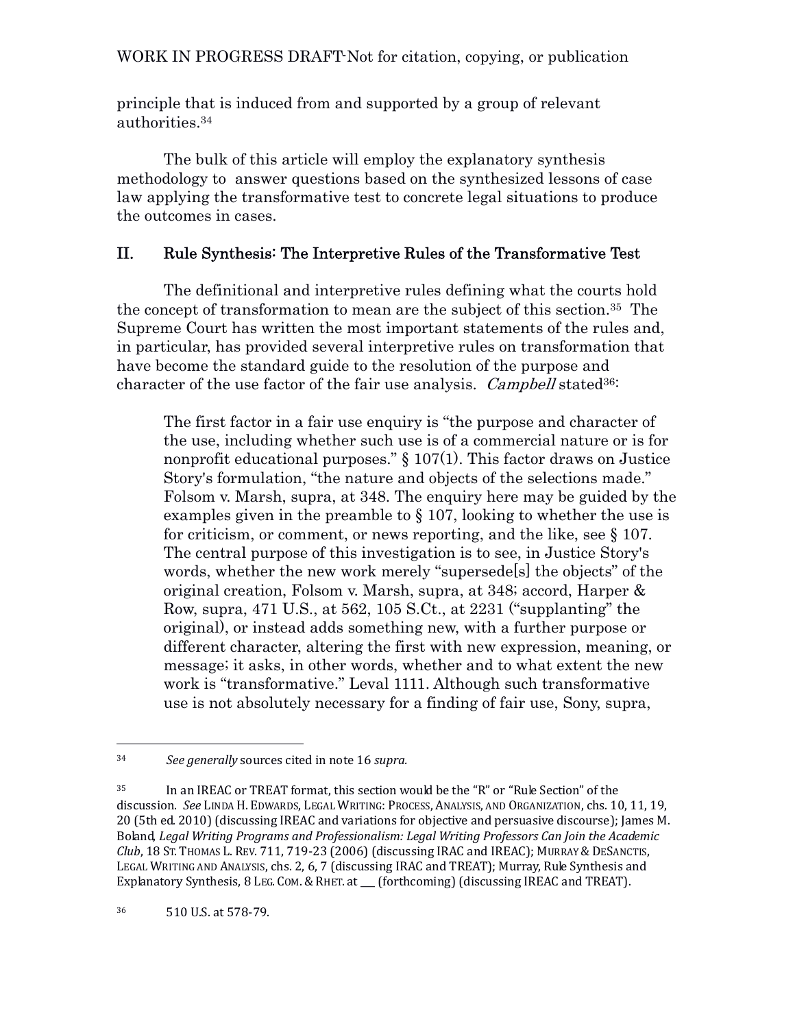principle that is induced from and supported by a group of relevant authorities.34

 The bulk of this article will employ the explanatory synthesis methodology to answer questions based on the synthesized lessons of case law applying the transformative test to concrete legal situations to produce the outcomes in cases.

### II. Rule Synthesis: The Interpretive Rules of the Transformative Test

The definitional and interpretive rules defining what the courts hold the concept of transformation to mean are the subject of this section.35 The Supreme Court has written the most important statements of the rules and, in particular, has provided several interpretive rules on transformation that have become the standard guide to the resolution of the purpose and character of the use factor of the fair use analysis. *Campbell* stated<sup>36:</sup>

The first factor in a fair use enquiry is "the purpose and character of the use, including whether such use is of a commercial nature or is for nonprofit educational purposes."  $\S 107(1)$ . This factor draws on Justice Story's formulation, "the nature and objects of the selections made." Folsom v. Marsh, supra, at 348. The enquiry here may be guided by the examples given in the preamble to § 107, looking to whether the use is for criticism, or comment, or news reporting, and the like, see § 107. The central purpose of this investigation is to see, in Justice Story's words, whether the new work merely "supersede[s] the objects" of the original creation, Folsom v. Marsh, supra, at 348; accord, Harper & Row, supra, 471 U.S., at 562, 105 S.Ct., at 2231 ("supplanting" the original), or instead adds something new, with a further purpose or different character, altering the first with new expression, meaning, or message; it asks, in other words, whether and to what extent the new work is "transformative." Leval 1111. Although such transformative use is not absolutely necessary for a finding of fair use, Sony, supra,

l,

<sup>34</sup>*See generally* sources cited in note 16 *supra.* 

<sup>35</sup> In an IREAC or TREAT format, this section would be the "R" or "Rule Section" of the discussion. *See* LINDA H. EDWARDS, LEGAL WRITING: PROCESS, ANALYSIS, AND ORGANIZATION, chs. 10, 11, 19, 20 (5th ed. 2010) (discussing IREAC and variations for objective and persuasive discourse); James M. Boland, *Legal Writing Programs and Professionalism: Legal Writing Professors Can Join the Academic Club*, 18 ST. THOMAS L. REV. 711, 719-23 (2006) (discussing IRAC and IREAC); MURRAY & DESANCTIS, LEGAL WRITING AND ANALYSIS, chs. 2, 6, 7 (discussing IRAC and TREAT); Murray, Rule Synthesis and Explanatory Synthesis, 8 LEG. COM. & RHET. at \_\_\_ (forthcoming) (discussing IREAC and TREAT).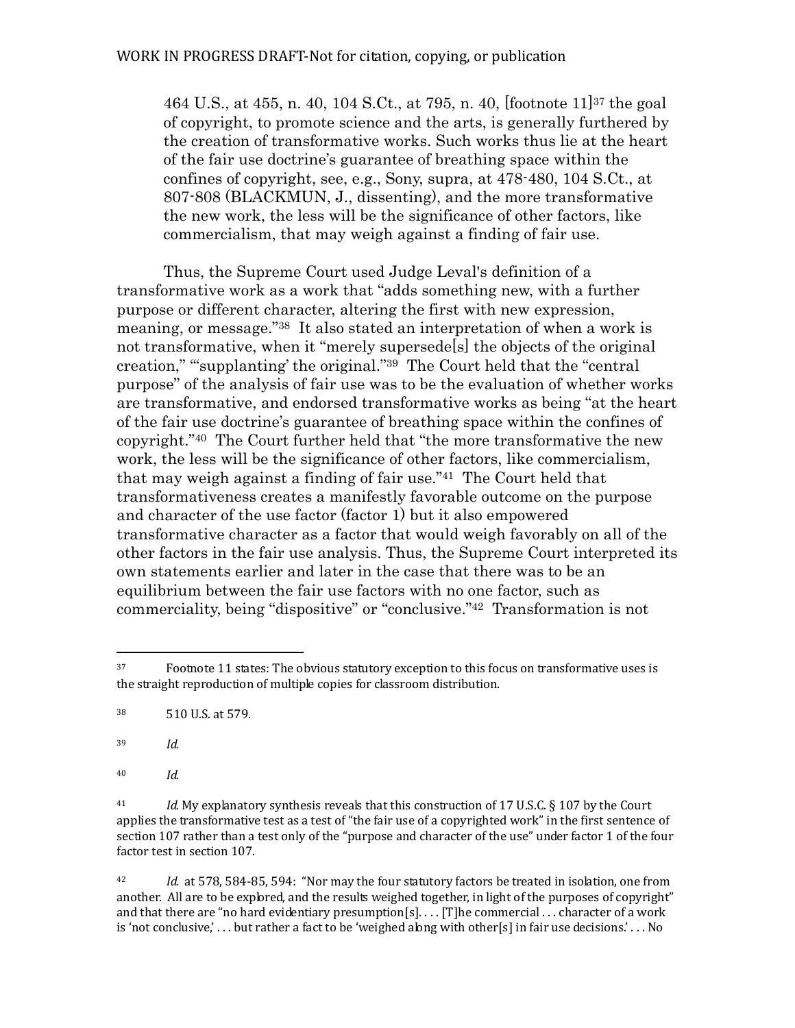464 U.S., at 455, n. 40, 104 S.Ct., at 795, n. 40, [footnote 11]37 the goal of copyright, to promote science and the arts, is generally furthered by the creation of transformative works. Such works thus lie at the heart of the fair use doctrine's guarantee of breathing space within the confines of copyright, see, e.g., Sony, supra, at 478-480, 104 S.Ct., at 807-808 (BLACKMUN, J., dissenting), and the more transformative the new work, the less will be the significance of other factors, like commercialism, that may weigh against a finding of fair use.

Thus, the Supreme Court used Judge Leval's definition of a transformative work as a work that "adds something new, with a further purpose or different character, altering the first with new expression, meaning, or message."38 It also stated an interpretation of when a work is not transformative, when it "merely supersede[s] the objects of the original creation," "'supplanting' the original."39 The Court held that the "central purpose" of the analysis of fair use was to be the evaluation of whether works are transformative, and endorsed transformative works as being "at the heart of the fair use doctrine's guarantee of breathing space within the confines of copyright."40 The Court further held that "the more transformative the new work, the less will be the significance of other factors, like commercialism, that may weigh against a finding of fair use."41 The Court held that transformativeness creates a manifestly favorable outcome on the purpose and character of the use factor (factor 1) but it also empowered transformative character as a factor that would weigh favorably on all of the other factors in the fair use analysis. Thus, the Supreme Court interpreted its own statements earlier and later in the case that there was to be an equilibrium between the fair use factors with no one factor, such as commerciality, being "dispositive" or "conclusive."42 Transformation is not

<sup>39</sup>*Id.* 

-

<sup>40</sup>*Id.* 

<sup>42</sup>*Id.* at 578, 584-85, 594: "Nor may the four statutory factors be treated in isolation, one from another. All are to be explored, and the results weighed together, in light of the purposes of copyright" and that there are "no hard evidentiary presumption[s]. . . . [T]he commercial . . . character of a work is 'not conclusive,' . . . but rather a fact to be 'weighed along with other[s] in fair use decisions.' . . . No

<sup>&</sup>lt;sup>37</sup> Footnote 11 states: The obvious statutory exception to this focus on transformative uses is the straight reproduction of multiple copies for classroom distribution.

<sup>38 510</sup> U.S. at 579.

<sup>&</sup>lt;sup>41</sup> *Id.* My explanatory synthesis reveals that this construction of 17 U.S.C. § 107 by the Court applies the transformative test as a test of "the fair use of a copyrighted work" in the first sentence of section 107 rather than a test only of the "purpose and character of the use" under factor 1 of the four factor test in section 107.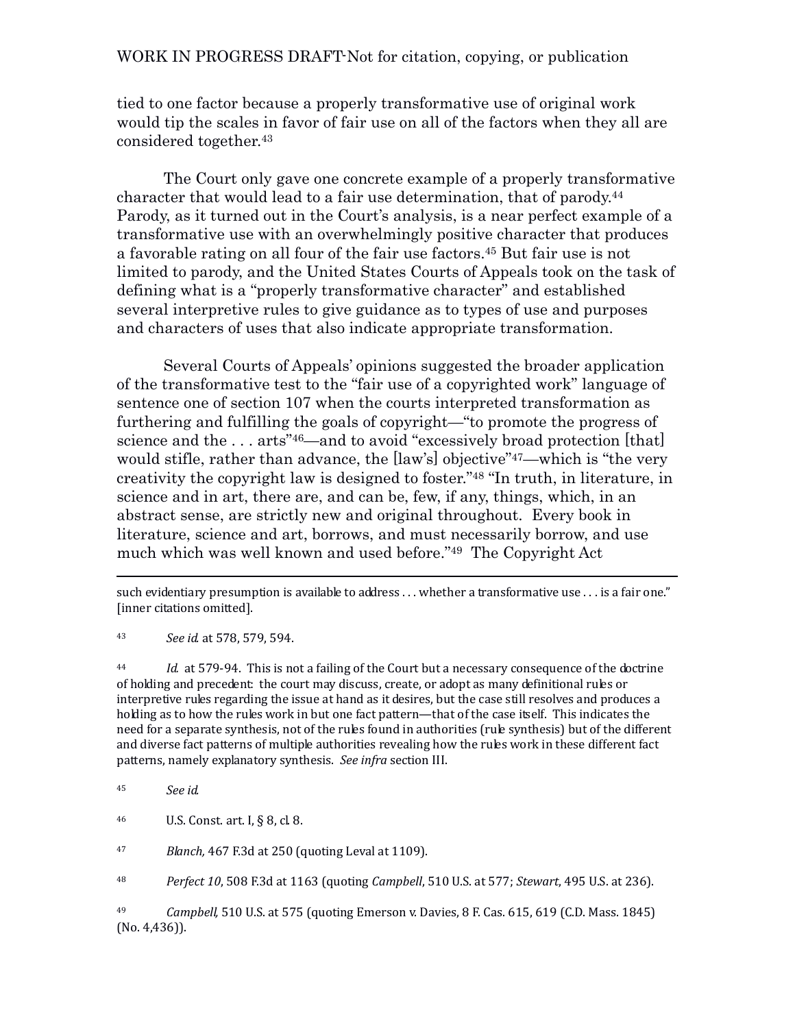tied to one factor because a properly transformative use of original work would tip the scales in favor of fair use on all of the factors when they all are considered together.43

The Court only gave one concrete example of a properly transformative character that would lead to a fair use determination, that of parody.44 Parody, as it turned out in the Court's analysis, is a near perfect example of a transformative use with an overwhelmingly positive character that produces a favorable rating on all four of the fair use factors.45 But fair use is not limited to parody, and the United States Courts of Appeals took on the task of defining what is a "properly transformative character" and established several interpretive rules to give guidance as to types of use and purposes and characters of uses that also indicate appropriate transformation.

Several Courts of Appeals' opinions suggested the broader application of the transformative test to the "fair use of a copyrighted work" language of sentence one of section 107 when the courts interpreted transformation as furthering and fulfilling the goals of copyright—"to promote the progress of science and the ... arts<sup>"46</sup>—and to avoid "excessively broad protection [that] would stifle, rather than advance, the [law's] objective"<sup>47</sup>—which is "the very creativity the copyright law is designed to foster."48 "In truth, in literature, in science and in art, there are, and can be, few, if any, things, which, in an abstract sense, are strictly new and original throughout. Every book in literature, science and art, borrows, and must necessarily borrow, and use much which was well known and used before."49 The Copyright Act

such evidentiary presumption is available to address . . . whether a transformative use . . . is a fair one." [inner citations omitted].

<sup>43</sup>*See id.* at 578, 579, 594.

<sup>44</sup>*Id.* at 579-94. This is not a failing of the Court but a necessary consequence of the doctrine of holding and precedent: the court may discuss, create, or adopt as many definitional rules or interpretive rules regarding the issue at hand as it desires, but the case still resolves and produces a holding as to how the rules work in but one fact pattern—that of the case itself. This indicates the need for a separate synthesis, not of the rules found in authorities (rule synthesis) but of the different and diverse fact patterns of multiple authorities revealing how the rules work in these different fact patterns, namely explanatory synthesis. *See infra* section III.

l,

46 U.S. Const. art. I, § 8, cl. 8.

<sup>47</sup>*Blanch,* 467 F.3d at 250 (quoting Leval at 1109).

<sup>48</sup>*Perfect 10*, 508 F.3d at 1163 (quoting *Campbell*, 510 U.S. at 577; *Stewart*, 495 U.S. at 236).

<sup>49</sup>*Campbell,* 510 U.S. at 575 (quoting Emerson v. Davies, 8 F. Cas. 615, 619 (C.D. Mass. 1845) (No. 4,436)).

<sup>45</sup>*See id.*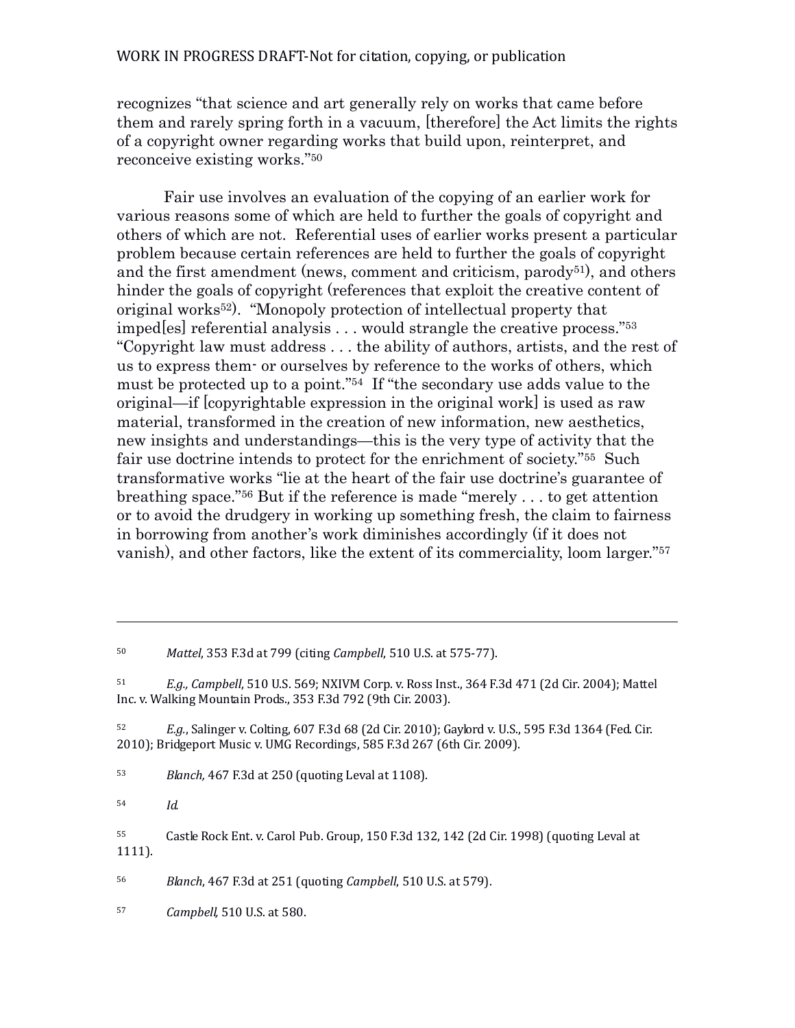recognizes "that science and art generally rely on works that came before them and rarely spring forth in a vacuum, [therefore] the Act limits the rights of a copyright owner regarding works that build upon, reinterpret, and reconceive existing works."50

Fair use involves an evaluation of the copying of an earlier work for various reasons some of which are held to further the goals of copyright and others of which are not. Referential uses of earlier works present a particular problem because certain references are held to further the goals of copyright and the first amendment (news, comment and criticism, parody<sup>51)</sup>, and others hinder the goals of copyright (references that exploit the creative content of original works52). "Monopoly protection of intellectual property that imped[es] referential analysis . . . would strangle the creative process."53 "Copyright law must address . . . the ability of authors, artists, and the rest of us to express them- or ourselves by reference to the works of others, which must be protected up to a point."54 If "the secondary use adds value to the original—if [copyrightable expression in the original work] is used as raw material, transformed in the creation of new information, new aesthetics, new insights and understandings—this is the very type of activity that the fair use doctrine intends to protect for the enrichment of society."55 Such transformative works "lie at the heart of the fair use doctrine's guarantee of breathing space."56 But if the reference is made "merely . . . to get attention or to avoid the drudgery in working up something fresh, the claim to fairness in borrowing from another's work diminishes accordingly (if it does not vanish), and other factors, like the extent of its commerciality, loom larger."57

<sup>52</sup>*E.g.*, Salinger v. Colting, 607 F.3d 68 (2d Cir. 2010); Gaylord v. U.S., 595 F.3d 1364 (Fed. Cir. 2010); Bridgeport Music v. UMG Recordings, 585 F.3d 267 (6th Cir. 2009).

<sup>53</sup>*Blanch,* 467 F.3d at 250 (quoting Leval at 1108).

l,

55 Castle Rock Ent. v. Carol Pub. Group, 150 F.3d 132, 142 (2d Cir. 1998) (quoting Leval at 1111).

<sup>56</sup>*Blanch*, 467 F.3d at 251 (quoting *Campbell*, 510 U.S. at 579).

57 *Campbell,* 510 U.S. at 580.

<sup>50</sup>*Mattel*, 353 F.3d at 799 (citing *Campbell*, 510 U.S. at 575-77).

<sup>51</sup>*E.g., Campbell*, 510 U.S. 569; NXIVM Corp. v. Ross Inst., 364 F.3d 471 (2d Cir. 2004); Mattel Inc. v. Walking Mountain Prods., 353 F.3d 792 (9th Cir. 2003).

<sup>54</sup>*Id.*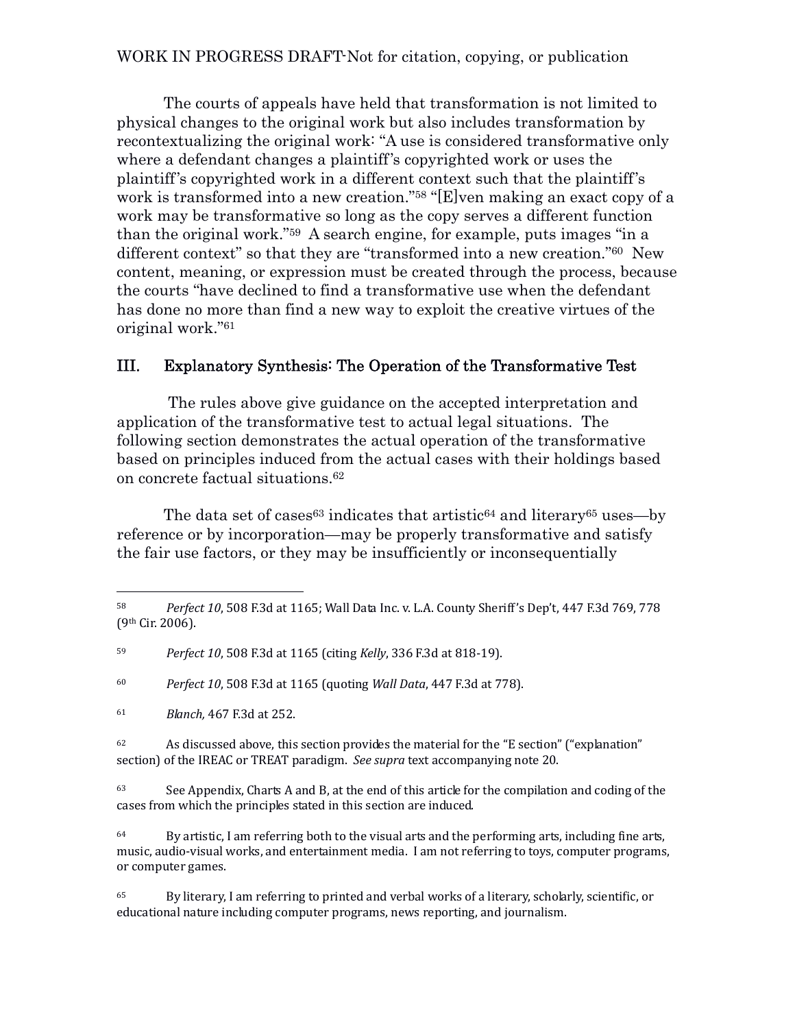The courts of appeals have held that transformation is not limited to physical changes to the original work but also includes transformation by recontextualizing the original work: "A use is considered transformative only where a defendant changes a plaintiff's copyrighted work or uses the plaintiff's copyrighted work in a different context such that the plaintiff's work is transformed into a new creation."58 "[E]ven making an exact copy of a work may be transformative so long as the copy serves a different function than the original work."59 A search engine, for example, puts images "in a different context" so that they are "transformed into a new creation."60 New content, meaning, or expression must be created through the process, because the courts "have declined to find a transformative use when the defendant has done no more than find a new way to exploit the creative virtues of the original work."61

### III. Explanatory Synthesis: The Operation of the Transformative Test

 The rules above give guidance on the accepted interpretation and application of the transformative test to actual legal situations. The following section demonstrates the actual operation of the transformative based on principles induced from the actual cases with their holdings based on concrete factual situations.62

The data set of cases<sup>63</sup> indicates that artistic<sup>64</sup> and literary<sup>65</sup> uses—by reference or by incorporation—may be properly transformative and satisfy the fair use factors, or they may be insufficiently or inconsequentially

<sup>60</sup>*Perfect 10*, 508 F.3d at 1165 (quoting *Wall Data*, 447 F.3d at 778).

<sup>61</sup>*Blanch,* 467 F.3d at 252.

l,

 $62$  As discussed above, this section provides the material for the "E section" ("explanation" section) of the IREAC or TREAT paradigm. *See supra* text accompanying note 20.

 $63$  See Appendix, Charts A and B, at the end of this article for the compilation and coding of the cases from which the principles stated in this section are induced.

 $64$  By artistic, I am referring both to the visual arts and the performing arts, including fine arts, music, audio-visual works, and entertainment media. I am not referring to toys, computer programs, or computer games.

 $65$  By literary, I am referring to printed and verbal works of a literary, scholarly, scientific, or educational nature including computer programs, news reporting, and journalism.

<sup>58</sup>*Perfect 10*, 508 F.3d at 1165; Wall Data Inc. v. L.A. County Sheriff's Dep't, 447 F.3d 769, 778 (9th Cir. 2006).

<sup>59</sup>*Perfect 10*, 508 F.3d at 1165 (citing *Kelly*, 336 F.3d at 818-19).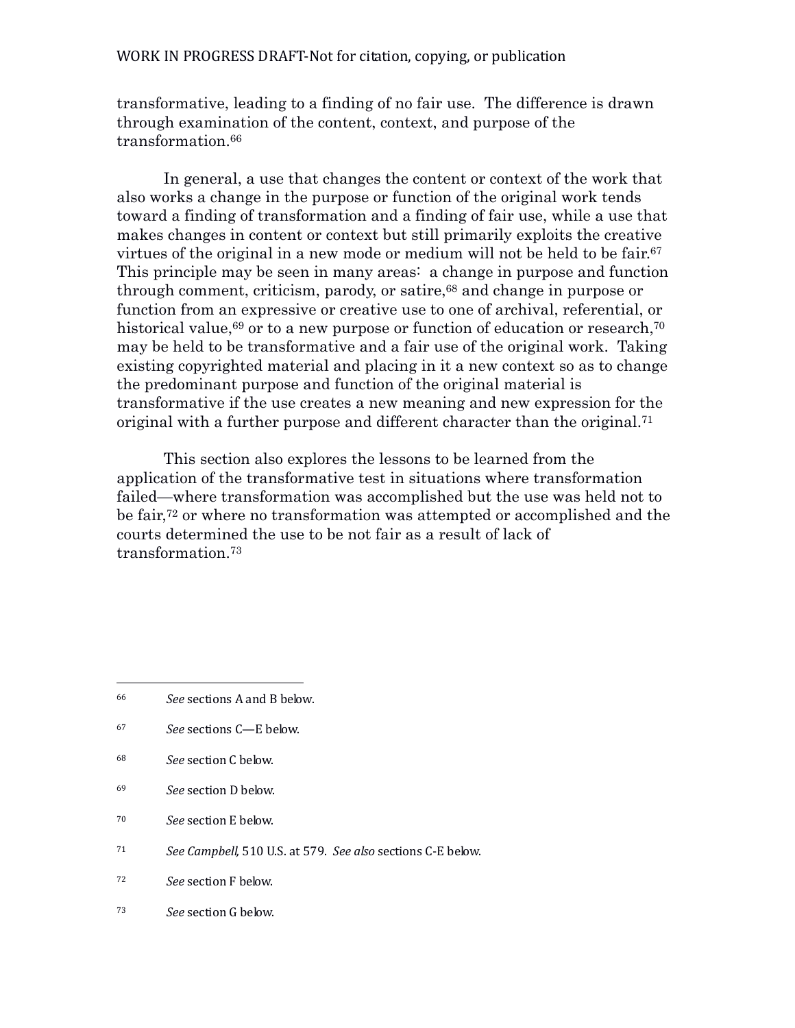transformative, leading to a finding of no fair use. The difference is drawn through examination of the content, context, and purpose of the transformation.<sup>66</sup>

 In general, a use that changes the content or context of the work that also works a change in the purpose or function of the original work tends toward a finding of transformation and a finding of fair use, while a use that makes changes in content or context but still primarily exploits the creative virtues of the original in a new mode or medium will not be held to be fair.67 This principle may be seen in many areas: a change in purpose and function through comment, criticism, parody, or satire,<sup>68</sup> and change in purpose or function from an expressive or creative use to one of archival, referential, or historical value,  $69$  or to a new purpose or function of education or research,  $70$ may be held to be transformative and a fair use of the original work. Taking existing copyrighted material and placing in it a new context so as to change the predominant purpose and function of the original material is transformative if the use creates a new meaning and new expression for the original with a further purpose and different character than the original.71

 This section also explores the lessons to be learned from the application of the transformative test in situations where transformation failed—where transformation was accomplished but the use was held not to be fair,<sup>72</sup> or where no transformation was attempted or accomplished and the courts determined the use to be not fair as a result of lack of transformation.73

- <sup>67</sup>*See* sections C—E below.
- <sup>68</sup>*See* section C below.

 $\overline{a}$ 

- <sup>69</sup>*See* section D below.
- <sup>70</sup>*See* section E below.
- <sup>71</sup>*See Campbell,* 510 U.S. at 579. *See also* sections C-E below.
- <sup>72</sup>*See* section F below.
- 73 *See* section G below.

<sup>66</sup>*See* sections A and B below.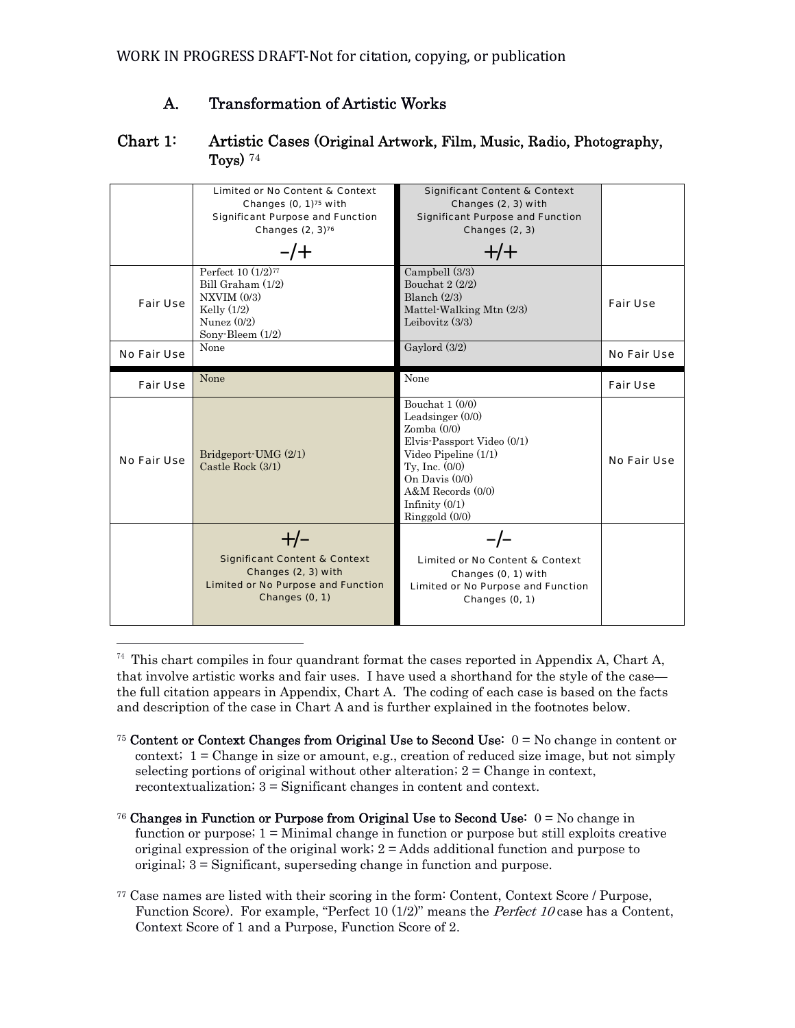### A. Transformation of Artistic Works

#### Chart 1: Artistic Cases (Original Artwork, Film, Music, Radio, Photography, Toys)  $74$

|             | Limited or No Content & Context<br>Changes (0, 1) <sup>75</sup> with<br>Significant Purpose and Function<br>Changes (2, 3) <sup>76</sup><br>$-$ /+ | Significant Content & Context<br>Changes (2, 3) with<br>Significant Purpose and Function<br>Changes (2, 3)<br>$+/-$                                                                                                    |             |
|-------------|----------------------------------------------------------------------------------------------------------------------------------------------------|------------------------------------------------------------------------------------------------------------------------------------------------------------------------------------------------------------------------|-------------|
| Fair Use    | Perfect 10 (1/2) <sup>77</sup><br>Bill Graham $(1/2)$<br>NXVIM (0/3)<br>Kelly $(1/2)$<br>Nunez $(0/2)$<br>Sony-Bleem $(1/2)$                       | Campbell (3/3)<br>Bouchat $2(2/2)$<br>Blanch $(2/3)$<br>Mattel-Walking Mtn $(2/3)$<br>Leibovitz $(3/3)$                                                                                                                | Fair Use    |
| No Fair Use | None                                                                                                                                               | Gaylord (3/2)                                                                                                                                                                                                          | No Fair Use |
| Fair Use    | None                                                                                                                                               | None                                                                                                                                                                                                                   | Fair Use    |
| No Fair Use | Bridgeport-UMG (2/1)<br>Castle Rock $(3/1)$                                                                                                        | Bouchat $1(0/0)$<br>Leadsinger $(0/0)$<br>Zomba $(0/0)$<br>Elvis-Passport Video (0/1)<br>Video Pipeline (1/1)<br>Ty, Inc. $(0/0)$<br>On Davis $(0/0)$<br>$A&M$ Records $(0/0)$<br>Infinity $(0/1)$<br>Ringgold $(0/0)$ | No Fair Use |
|             | $+/-$<br><b>Significant Content &amp; Context</b><br>Changes (2, 3) with<br>Limited or No Purpose and Function<br>Changes (0, 1)                   | —/—<br>Limited or No Content & Context<br>Changes (0, 1) with<br>Limited or No Purpose and Function<br>Changes (0, 1)                                                                                                  |             |

 $74$  This chart compiles in four quandrant format the cases reported in Appendix A, Chart A, that involve artistic works and fair uses. I have used a shorthand for the style of the case the full citation appears in Appendix, Chart A. The coding of each case is based on the facts and description of the case in Chart A and is further explained in the footnotes below.

l,

- <sup>75</sup> Content or Context Changes from Original Use to Second Use:  $0 = No$  change in content or context;  $1 =$  Change in size or amount, e.g., creation of reduced size image, but not simply selecting portions of original without other alteration;  $2 =$  Change in context, recontextualization; 3 = Significant changes in content and context.
- <sup>76</sup> Changes in Function or Purpose from Original Use to Second Use:  $0 = No$  change in function or purpose; 1 = Minimal change in function or purpose but still exploits creative original expression of the original work;  $2 =$  Adds additional function and purpose to original; 3 = Significant, superseding change in function and purpose.
- 77 Case names are listed with their scoring in the form: Content, Context Score / Purpose, Function Score). For example, "Perfect 10 (1/2)" means the *Perfect 10* case has a Content, Context Score of 1 and a Purpose, Function Score of 2.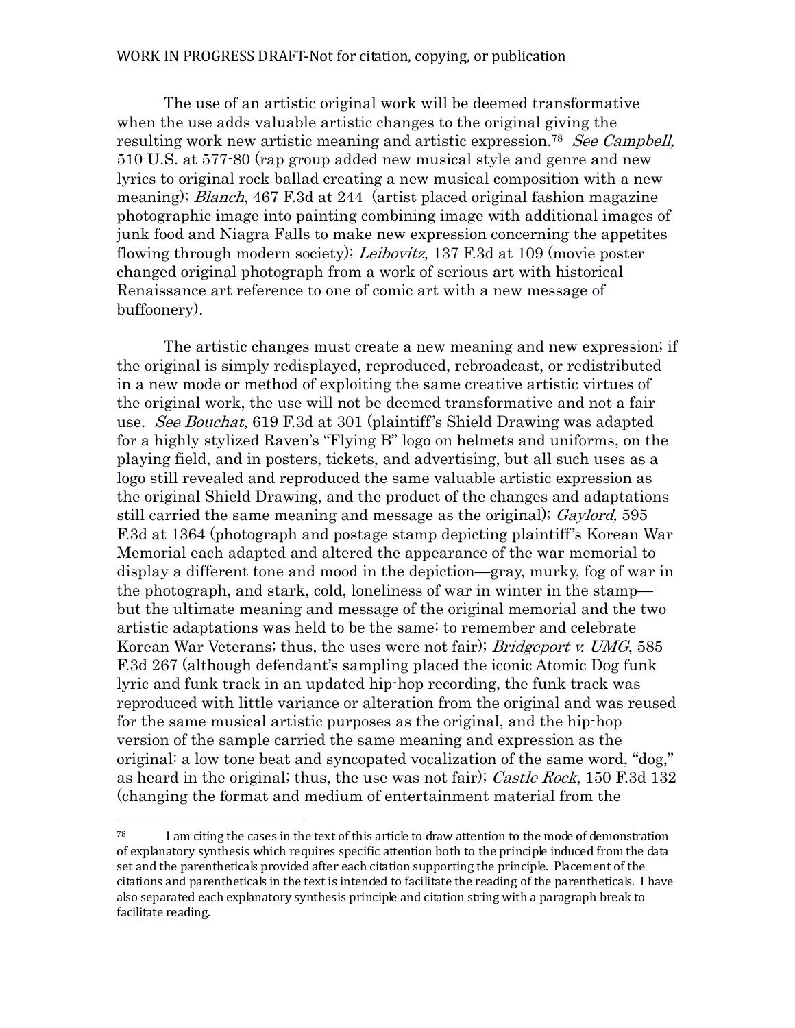The use of an artistic original work will be deemed transformative when the use adds valuable artistic changes to the original giving the resulting work new artistic meaning and artistic expression.<sup>78</sup> See Campbell, 510 U.S. at 577-80 (rap group added new musical style and genre and new lyrics to original rock ballad creating a new musical composition with a new meaning); *Blanch*, 467 F.3d at 244 (artist placed original fashion magazine photographic image into painting combining image with additional images of junk food and Niagra Falls to make new expression concerning the appetites flowing through modern society); *Leibovitz*, 137 F.3d at 109 (movie poster changed original photograph from a work of serious art with historical Renaissance art reference to one of comic art with a new message of buffoonery).

 The artistic changes must create a new meaning and new expression; if the original is simply redisplayed, reproduced, rebroadcast, or redistributed in a new mode or method of exploiting the same creative artistic virtues of the original work, the use will not be deemed transformative and not a fair use. See Bouchat, 619 F.3d at 301 (plaintiff's Shield Drawing was adapted for a highly stylized Raven's "Flying B" logo on helmets and uniforms, on the playing field, and in posters, tickets, and advertising, but all such uses as a logo still revealed and reproduced the same valuable artistic expression as the original Shield Drawing, and the product of the changes and adaptations still carried the same meaning and message as the original); *Gaylord*, 595 F.3d at 1364 (photograph and postage stamp depicting plaintiff's Korean War Memorial each adapted and altered the appearance of the war memorial to display a different tone and mood in the depiction—gray, murky, fog of war in the photograph, and stark, cold, loneliness of war in winter in the stamp but the ultimate meaning and message of the original memorial and the two artistic adaptations was held to be the same: to remember and celebrate Korean War Veterans; thus, the uses were not fair); *Bridgeport v. UMG*, 585 F.3d 267 (although defendant's sampling placed the iconic Atomic Dog funk lyric and funk track in an updated hip-hop recording, the funk track was reproduced with little variance or alteration from the original and was reused for the same musical artistic purposes as the original, and the hip-hop version of the sample carried the same meaning and expression as the original: a low tone beat and syncopated vocalization of the same word, "dog," as heard in the original; thus, the use was not fair); Castle Rock, 150 F.3d 132 (changing the format and medium of entertainment material from the

l,

<sup>&</sup>lt;sup>78</sup> I am citing the cases in the text of this article to draw attention to the mode of demonstration of explanatory synthesis which requires specific attention both to the principle induced from the data set and the parentheticals provided after each citation supporting the principle. Placement of the citations and parentheticals in the text is intended to facilitate the reading of the parentheticals. I have also separated each explanatory synthesis principle and citation string with a paragraph break to facilitate reading.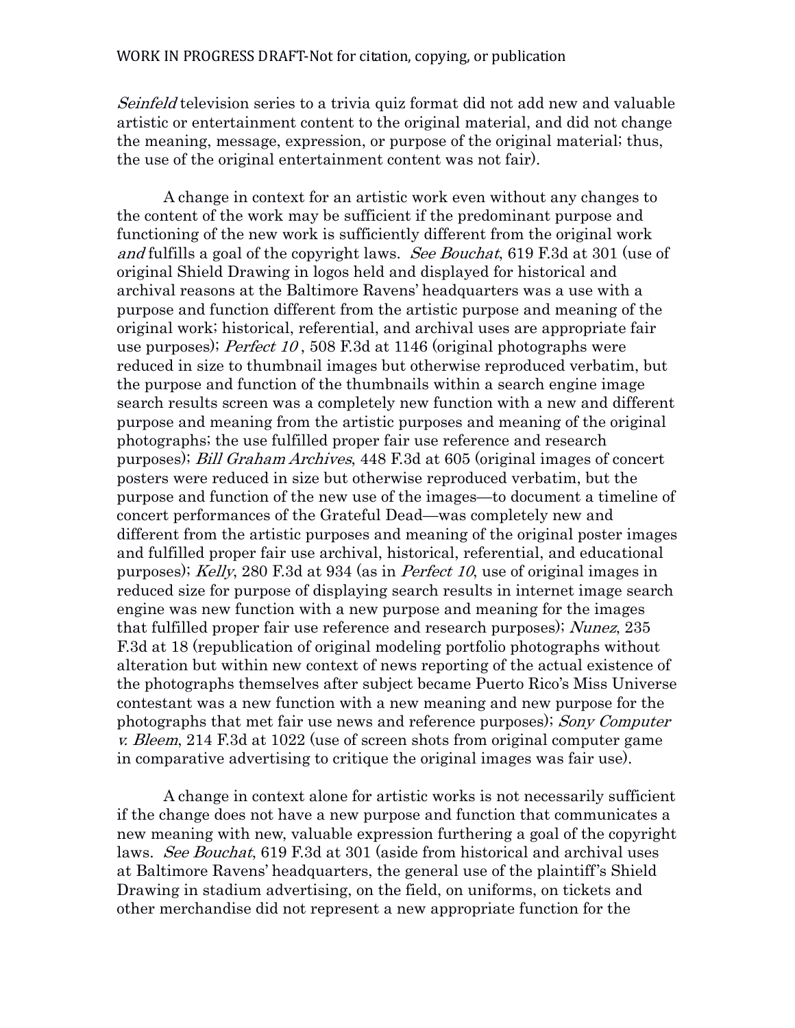Seinfeld television series to a trivia quiz format did not add new and valuable artistic or entertainment content to the original material, and did not change the meaning, message, expression, or purpose of the original material; thus, the use of the original entertainment content was not fair).

 A change in context for an artistic work even without any changes to the content of the work may be sufficient if the predominant purpose and functioning of the new work is sufficiently different from the original work and fulfills a goal of the copyright laws. See Bouchat, 619 F.3d at 301 (use of original Shield Drawing in logos held and displayed for historical and archival reasons at the Baltimore Ravens' headquarters was a use with a purpose and function different from the artistic purpose and meaning of the original work; historical, referential, and archival uses are appropriate fair use purposes); *Perfect 10*, 508 F.3d at 1146 (original photographs were reduced in size to thumbnail images but otherwise reproduced verbatim, but the purpose and function of the thumbnails within a search engine image search results screen was a completely new function with a new and different purpose and meaning from the artistic purposes and meaning of the original photographs; the use fulfilled proper fair use reference and research purposes); Bill Graham Archives, 448 F.3d at 605 (original images of concert posters were reduced in size but otherwise reproduced verbatim, but the purpose and function of the new use of the images—to document a timeline of concert performances of the Grateful Dead—was completely new and different from the artistic purposes and meaning of the original poster images and fulfilled proper fair use archival, historical, referential, and educational purposes); Kelly, 280 F.3d at 934 (as in Perfect 10, use of original images in reduced size for purpose of displaying search results in internet image search engine was new function with a new purpose and meaning for the images that fulfilled proper fair use reference and research purposes); Nunez, 235 F.3d at 18 (republication of original modeling portfolio photographs without alteration but within new context of news reporting of the actual existence of the photographs themselves after subject became Puerto Rico's Miss Universe contestant was a new function with a new meaning and new purpose for the photographs that met fair use news and reference purposes); Sony Computer v. Bleem, 214 F.3d at 1022 (use of screen shots from original computer game in comparative advertising to critique the original images was fair use).

 A change in context alone for artistic works is not necessarily sufficient if the change does not have a new purpose and function that communicates a new meaning with new, valuable expression furthering a goal of the copyright laws. *See Bouchat*, 619 F.3d at 301 (aside from historical and archival uses at Baltimore Ravens' headquarters, the general use of the plaintiff's Shield Drawing in stadium advertising, on the field, on uniforms, on tickets and other merchandise did not represent a new appropriate function for the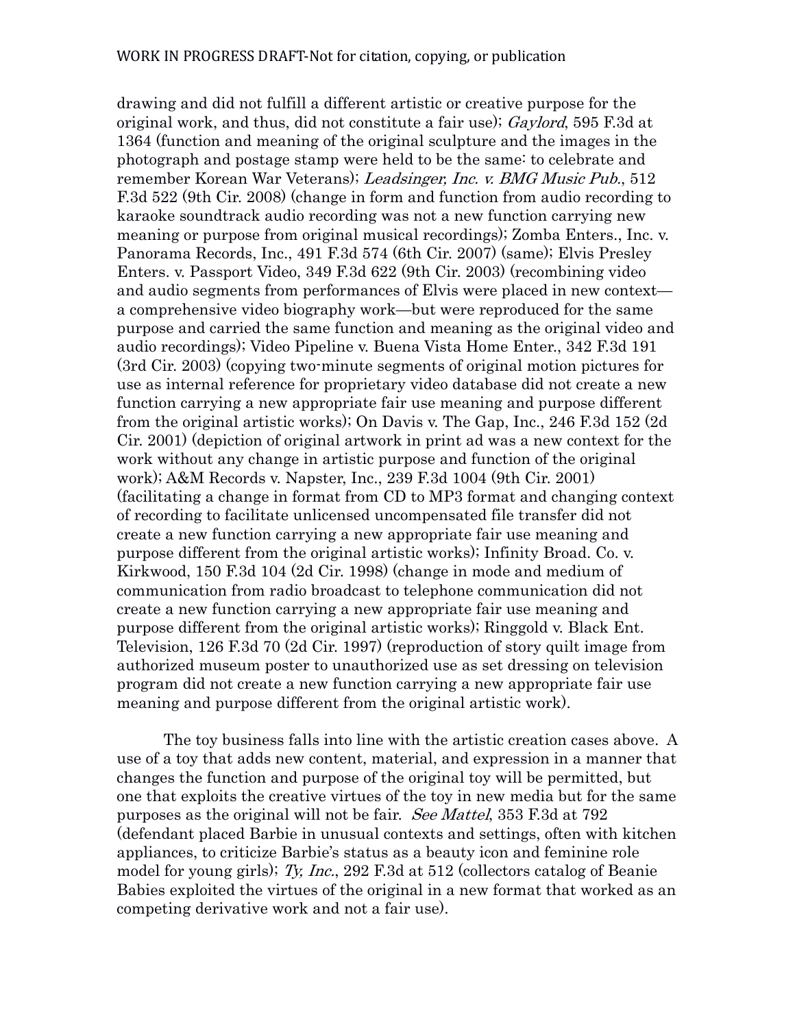drawing and did not fulfill a different artistic or creative purpose for the original work, and thus, did not constitute a fair use); *Gaylord*, 595 F.3d at 1364 (function and meaning of the original sculpture and the images in the photograph and postage stamp were held to be the same: to celebrate and remember Korean War Veterans); *Leadsinger, Inc. v. BMG Music Pub.*, 512 F.3d 522 (9th Cir. 2008) (change in form and function from audio recording to karaoke soundtrack audio recording was not a new function carrying new meaning or purpose from original musical recordings); Zomba Enters., Inc. v. Panorama Records, Inc., 491 F.3d 574 (6th Cir. 2007) (same); Elvis Presley Enters. v. Passport Video, 349 F.3d 622 (9th Cir. 2003) (recombining video and audio segments from performances of Elvis were placed in new context a comprehensive video biography work—but were reproduced for the same purpose and carried the same function and meaning as the original video and audio recordings); Video Pipeline v. Buena Vista Home Enter., 342 F.3d 191 (3rd Cir. 2003) (copying two-minute segments of original motion pictures for use as internal reference for proprietary video database did not create a new function carrying a new appropriate fair use meaning and purpose different from the original artistic works); On Davis v. The Gap, Inc., 246 F.3d 152 (2d Cir. 2001) (depiction of original artwork in print ad was a new context for the work without any change in artistic purpose and function of the original work); A&M Records v. Napster, Inc., 239 F.3d 1004 (9th Cir. 2001) (facilitating a change in format from CD to MP3 format and changing context of recording to facilitate unlicensed uncompensated file transfer did not create a new function carrying a new appropriate fair use meaning and purpose different from the original artistic works); Infinity Broad. Co. v. Kirkwood, 150 F.3d 104 (2d Cir. 1998) (change in mode and medium of communication from radio broadcast to telephone communication did not create a new function carrying a new appropriate fair use meaning and purpose different from the original artistic works); Ringgold v. Black Ent. Television, 126 F.3d 70 (2d Cir. 1997) (reproduction of story quilt image from authorized museum poster to unauthorized use as set dressing on television program did not create a new function carrying a new appropriate fair use meaning and purpose different from the original artistic work).

 The toy business falls into line with the artistic creation cases above. A use of a toy that adds new content, material, and expression in a manner that changes the function and purpose of the original toy will be permitted, but one that exploits the creative virtues of the toy in new media but for the same purposes as the original will not be fair. See Mattel, 353 F.3d at 792 (defendant placed Barbie in unusual contexts and settings, often with kitchen appliances, to criticize Barbie's status as a beauty icon and feminine role model for young girls); Ty, Inc., 292 F.3d at 512 (collectors catalog of Beanie Babies exploited the virtues of the original in a new format that worked as an competing derivative work and not a fair use).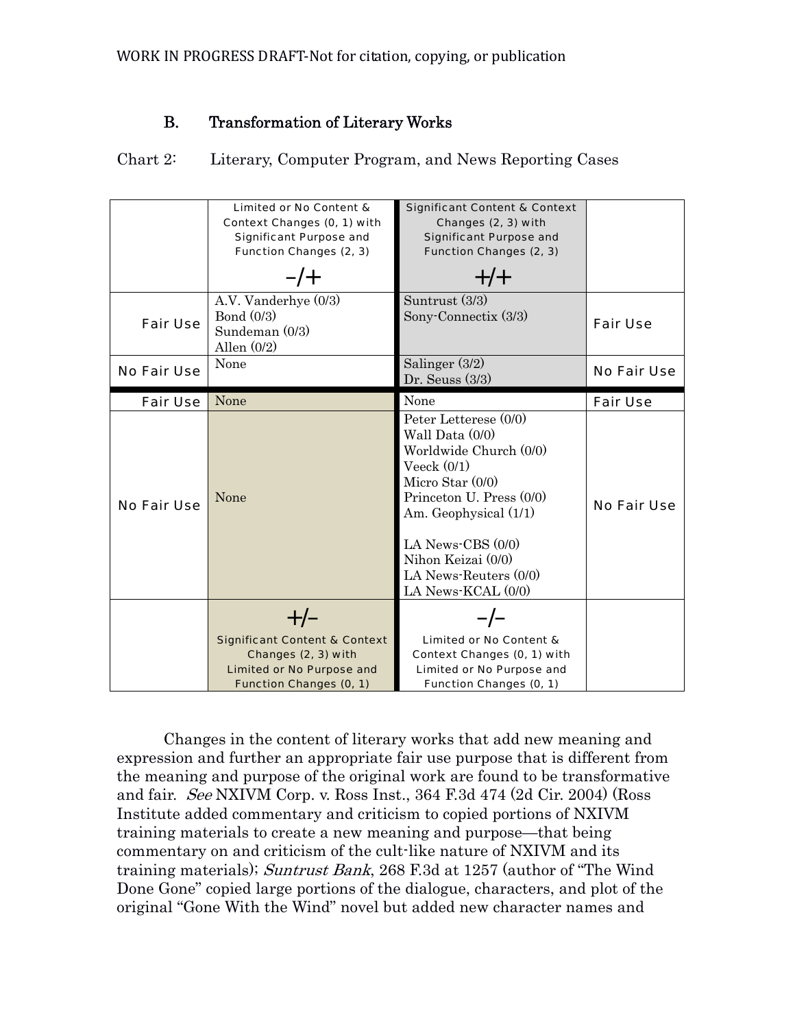### B. Transformation of Literary Works

#### Chart 2: Literary, Computer Program, and News Reporting Cases

|             | Limited or No Content &<br>Context Changes (0, 1) with<br>Significant Purpose and<br>Function Changes (2, 3)<br>$-\prime$ +      | Significant Content & Context<br>Changes (2, 3) with<br>Significant Purpose and<br>Function Changes (2, 3)<br>$+/-$                                                                                                                                      |             |
|-------------|----------------------------------------------------------------------------------------------------------------------------------|----------------------------------------------------------------------------------------------------------------------------------------------------------------------------------------------------------------------------------------------------------|-------------|
| Fair Use    | A.V. Vanderhye (0/3)<br>Bond $(0/3)$<br>Sundeman (0/3)<br>Allen $(0/2)$                                                          | Suntrust (3/3)<br>Sony-Connectix (3/3)                                                                                                                                                                                                                   | Fair Use    |
| No Fair Use | None                                                                                                                             | Salinger $(3/2)$<br>Dr. Seuss $(3/3)$                                                                                                                                                                                                                    | No Fair Use |
| Fair Use    | None                                                                                                                             | None                                                                                                                                                                                                                                                     | Fair Use    |
| No Fair Use | None                                                                                                                             | Peter Letterese (0/0)<br>Wall Data (0/0)<br>Worldwide Church (0/0)<br>Veeck $(0/1)$<br>Micro Star $(0/0)$<br>Princeton U. Press (0/0)<br>Am. Geophysical (1/1)<br>LA News-CBS (0/0)<br>Nihon Keizai (0/0)<br>LA News-Reuters (0/0)<br>LA News-KCAL (0/0) | No Fair Use |
|             | $+/-$<br><b>Significant Content &amp; Context</b><br>Changes (2, 3) with<br>Limited or No Purpose and<br>Function Changes (0, 1) | Limited or No Content &<br>Context Changes (0, 1) with<br>Limited or No Purpose and<br>Function Changes (0, 1)                                                                                                                                           |             |

 Changes in the content of literary works that add new meaning and expression and further an appropriate fair use purpose that is different from the meaning and purpose of the original work are found to be transformative and fair. See NXIVM Corp. v. Ross Inst., 364 F.3d 474 (2d Cir. 2004) (Ross Institute added commentary and criticism to copied portions of NXIVM training materials to create a new meaning and purpose—that being commentary on and criticism of the cult-like nature of NXIVM and its training materials); Suntrust Bank, 268 F.3d at 1257 (author of "The Wind" Done Gone" copied large portions of the dialogue, characters, and plot of the original "Gone With the Wind" novel but added new character names and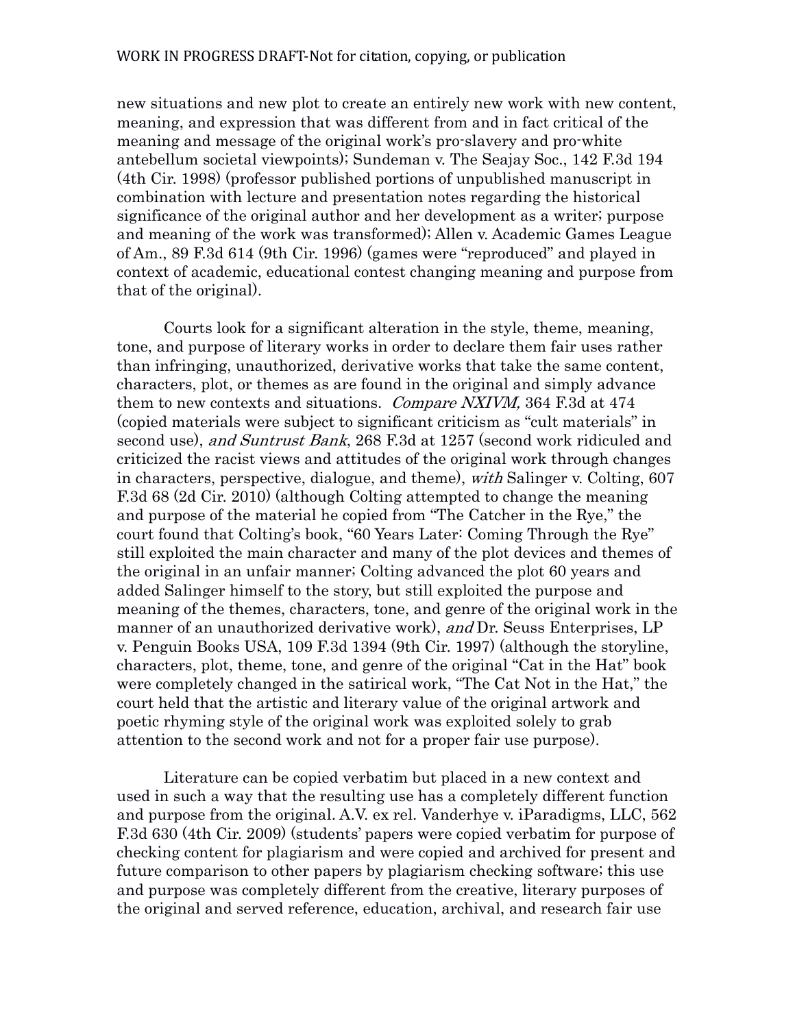new situations and new plot to create an entirely new work with new content, meaning, and expression that was different from and in fact critical of the meaning and message of the original work's pro-slavery and pro-white antebellum societal viewpoints); Sundeman v. The Seajay Soc., 142 F.3d 194 (4th Cir. 1998) (professor published portions of unpublished manuscript in combination with lecture and presentation notes regarding the historical significance of the original author and her development as a writer; purpose and meaning of the work was transformed); Allen v. Academic Games League of Am., 89 F.3d 614 (9th Cir. 1996) (games were "reproduced" and played in context of academic, educational contest changing meaning and purpose from that of the original).

 Courts look for a significant alteration in the style, theme, meaning, tone, and purpose of literary works in order to declare them fair uses rather than infringing, unauthorized, derivative works that take the same content, characters, plot, or themes as are found in the original and simply advance them to new contexts and situations. Compare NXIVM, 364 F.3d at 474 (copied materials were subject to significant criticism as "cult materials" in second use), *and Suntrust Bank*, 268 F.3d at 1257 (second work ridiculed and criticized the racist views and attitudes of the original work through changes in characters, perspective, dialogue, and theme), with Salinger v. Colting, 607 F.3d 68 (2d Cir. 2010) (although Colting attempted to change the meaning and purpose of the material he copied from "The Catcher in the Rye," the court found that Colting's book, "60 Years Later: Coming Through the Rye" still exploited the main character and many of the plot devices and themes of the original in an unfair manner; Colting advanced the plot 60 years and added Salinger himself to the story, but still exploited the purpose and meaning of the themes, characters, tone, and genre of the original work in the manner of an unauthorized derivative work), and Dr. Seuss Enterprises, LP v. Penguin Books USA, 109 F.3d 1394 (9th Cir. 1997) (although the storyline, characters, plot, theme, tone, and genre of the original "Cat in the Hat" book were completely changed in the satirical work, "The Cat Not in the Hat," the court held that the artistic and literary value of the original artwork and poetic rhyming style of the original work was exploited solely to grab attention to the second work and not for a proper fair use purpose).

 Literature can be copied verbatim but placed in a new context and used in such a way that the resulting use has a completely different function and purpose from the original. A.V. ex rel. Vanderhye v. iParadigms, LLC, 562 F.3d 630 (4th Cir. 2009) (students' papers were copied verbatim for purpose of checking content for plagiarism and were copied and archived for present and future comparison to other papers by plagiarism checking software; this use and purpose was completely different from the creative, literary purposes of the original and served reference, education, archival, and research fair use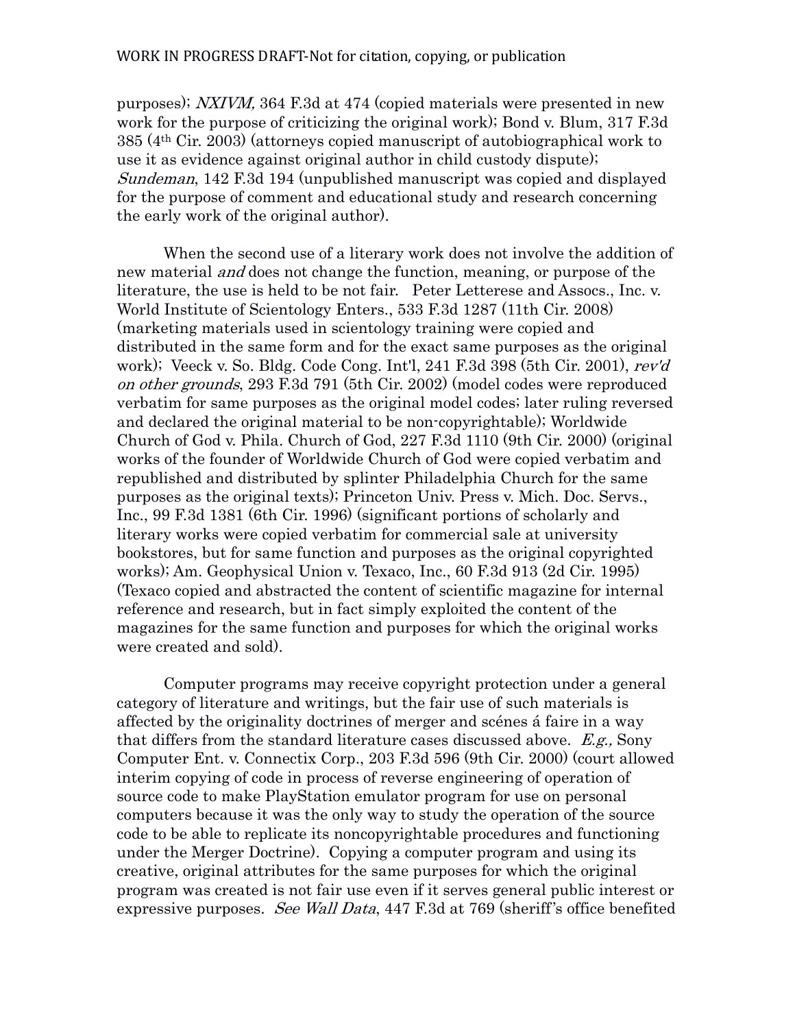purposes); NXIVM, 364 F.3d at 474 (copied materials were presented in new work for the purpose of criticizing the original work); Bond v. Blum, 317 F.3d 385 (4th Cir. 2003) (attorneys copied manuscript of autobiographical work to use it as evidence against original author in child custody dispute); Sundeman, 142 F.3d 194 (unpublished manuscript was copied and displayed for the purpose of comment and educational study and research concerning the early work of the original author).

 When the second use of a literary work does not involve the addition of new material and does not change the function, meaning, or purpose of the literature, the use is held to be not fair. Peter Letterese and Assocs., Inc. v. World Institute of Scientology Enters., 533 F.3d 1287 (11th Cir. 2008) (marketing materials used in scientology training were copied and distributed in the same form and for the exact same purposes as the original work); Veeck v. So. Bldg. Code Cong. Int'l, 241 F.3d 398 (5th Cir. 2001), rev'd on other grounds, 293 F.3d 791 (5th Cir. 2002) (model codes were reproduced verbatim for same purposes as the original model codes; later ruling reversed and declared the original material to be non-copyrightable); Worldwide Church of God v. Phila. Church of God, 227 F.3d 1110 (9th Cir. 2000) (original works of the founder of Worldwide Church of God were copied verbatim and republished and distributed by splinter Philadelphia Church for the same purposes as the original texts); Princeton Univ. Press v. Mich. Doc. Servs., Inc., 99 F.3d 1381 (6th Cir. 1996) (significant portions of scholarly and literary works were copied verbatim for commercial sale at university bookstores, but for same function and purposes as the original copyrighted works); Am. Geophysical Union v. Texaco, Inc., 60 F.3d 913 (2d Cir. 1995) (Texaco copied and abstracted the content of scientific magazine for internal reference and research, but in fact simply exploited the content of the magazines for the same function and purposes for which the original works were created and sold).

 Computer programs may receive copyright protection under a general category of literature and writings, but the fair use of such materials is affected by the originality doctrines of merger and scénes á faire in a way that differs from the standard literature cases discussed above. E.g., Sony Computer Ent. v. Connectix Corp., 203 F.3d 596 (9th Cir. 2000) (court allowed interim copying of code in process of reverse engineering of operation of source code to make PlayStation emulator program for use on personal computers because it was the only way to study the operation of the source code to be able to replicate its noncopyrightable procedures and functioning under the Merger Doctrine). Copying a computer program and using its creative, original attributes for the same purposes for which the original program was created is not fair use even if it serves general public interest or expressive purposes. *See Wall Data*, 447 F.3d at 769 (sheriff's office benefited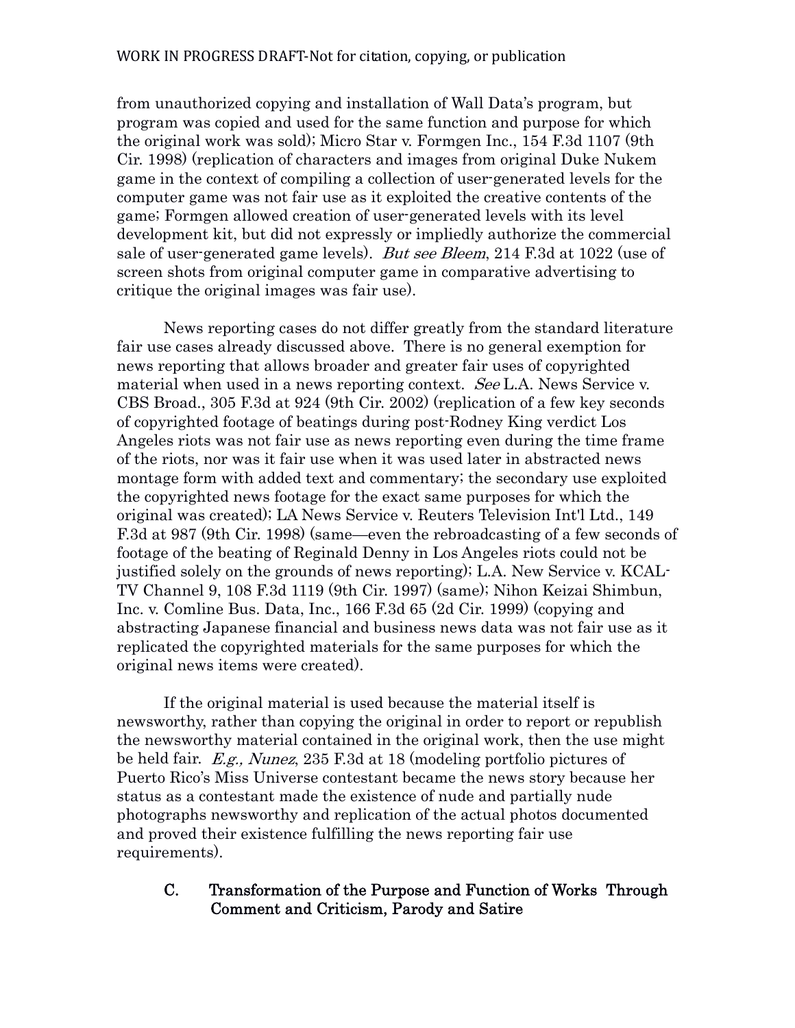from unauthorized copying and installation of Wall Data's program, but program was copied and used for the same function and purpose for which the original work was sold); Micro Star v. Formgen Inc., 154 F.3d 1107 (9th Cir. 1998) (replication of characters and images from original Duke Nukem game in the context of compiling a collection of user-generated levels for the computer game was not fair use as it exploited the creative contents of the game; Formgen allowed creation of user-generated levels with its level development kit, but did not expressly or impliedly authorize the commercial sale of user-generated game levels). *But see Bleem*, 214 F.3d at 1022 (use of screen shots from original computer game in comparative advertising to critique the original images was fair use).

 News reporting cases do not differ greatly from the standard literature fair use cases already discussed above. There is no general exemption for news reporting that allows broader and greater fair uses of copyrighted material when used in a news reporting context. See L.A. News Service v. CBS Broad., 305 F.3d at 924 (9th Cir. 2002) (replication of a few key seconds of copyrighted footage of beatings during post-Rodney King verdict Los Angeles riots was not fair use as news reporting even during the time frame of the riots, nor was it fair use when it was used later in abstracted news montage form with added text and commentary; the secondary use exploited the copyrighted news footage for the exact same purposes for which the original was created); LA News Service v. Reuters Television Int'l Ltd., 149 F.3d at 987 (9th Cir. 1998) (same—even the rebroadcasting of a few seconds of footage of the beating of Reginald Denny in Los Angeles riots could not be justified solely on the grounds of news reporting); L.A. New Service v. KCAL-TV Channel 9, 108 F.3d 1119 (9th Cir. 1997) (same); Nihon Keizai Shimbun, Inc. v. Comline Bus. Data, Inc., 166 F.3d 65 (2d Cir. 1999) (copying and abstracting Japanese financial and business news data was not fair use as it replicated the copyrighted materials for the same purposes for which the original news items were created).

 If the original material is used because the material itself is newsworthy, rather than copying the original in order to report or republish the newsworthy material contained in the original work, then the use might be held fair. E.g., Nunez, 235 F.3d at 18 (modeling portfolio pictures of Puerto Rico's Miss Universe contestant became the news story because her status as a contestant made the existence of nude and partially nude photographs newsworthy and replication of the actual photos documented and proved their existence fulfilling the news reporting fair use requirements).

### C. Transformation of the Purpose and Function of Works Through Comment and Criticism, Parody and Satire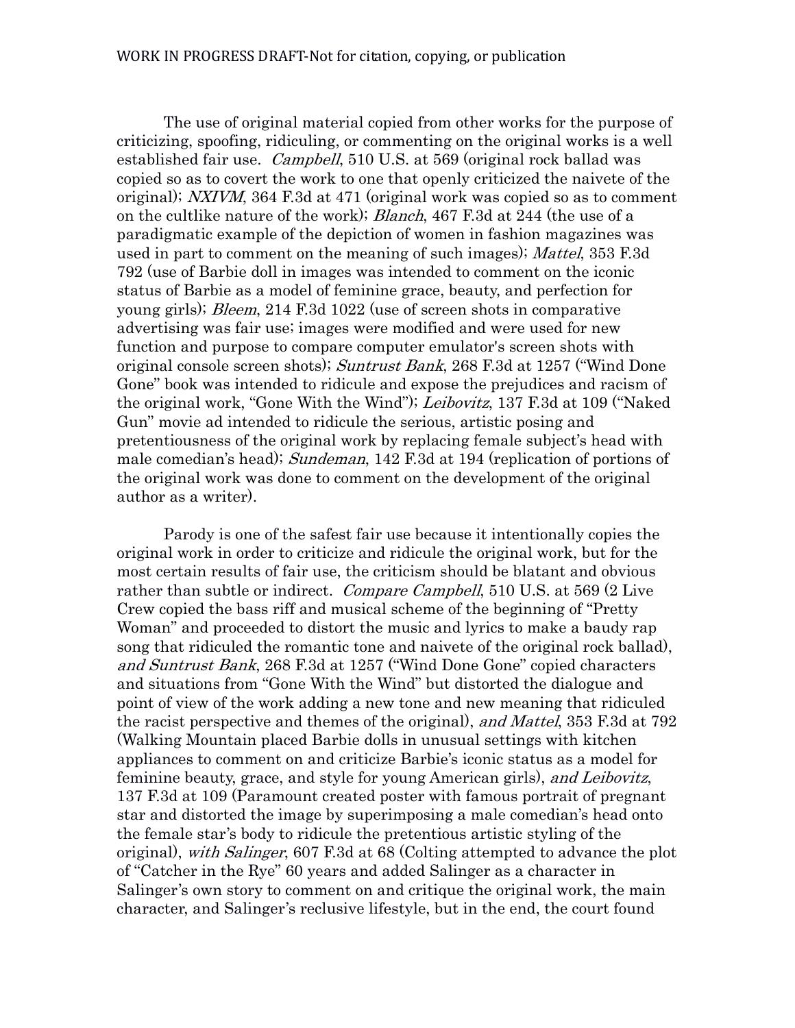The use of original material copied from other works for the purpose of criticizing, spoofing, ridiculing, or commenting on the original works is a well established fair use. *Campbell*, 510 U.S. at 569 (original rock ballad was copied so as to covert the work to one that openly criticized the naivete of the original);  $N\chi IVM$ , 364 F.3d at 471 (original work was copied so as to comment on the cultlike nature of the work); Blanch, 467 F.3d at 244 (the use of a paradigmatic example of the depiction of women in fashion magazines was used in part to comment on the meaning of such images); Mattel, 353 F.3d 792 (use of Barbie doll in images was intended to comment on the iconic status of Barbie as a model of feminine grace, beauty, and perfection for young girls); Bleem, 214 F.3d 1022 (use of screen shots in comparative advertising was fair use; images were modified and were used for new function and purpose to compare computer emulator's screen shots with original console screen shots); Suntrust Bank, 268 F.3d at 1257 ("Wind Done" Gone" book was intended to ridicule and expose the prejudices and racism of the original work, "Gone With the Wind"); *Leibovitz*, 137 F.3d at 109 ("Naked") Gun" movie ad intended to ridicule the serious, artistic posing and pretentiousness of the original work by replacing female subject's head with male comedian's head); Sundeman, 142 F.3d at 194 (replication of portions of the original work was done to comment on the development of the original author as a writer).

 Parody is one of the safest fair use because it intentionally copies the original work in order to criticize and ridicule the original work, but for the most certain results of fair use, the criticism should be blatant and obvious rather than subtle or indirect. *Compare Campbell*, 510 U.S. at 569 (2 Live Crew copied the bass riff and musical scheme of the beginning of "Pretty Woman" and proceeded to distort the music and lyrics to make a baudy rap song that ridiculed the romantic tone and naivete of the original rock ballad), and Suntrust Bank, 268 F.3d at 1257 ("Wind Done Gone" copied characters and situations from "Gone With the Wind" but distorted the dialogue and point of view of the work adding a new tone and new meaning that ridiculed the racist perspective and themes of the original), and Mattel, 353 F.3d at 792 (Walking Mountain placed Barbie dolls in unusual settings with kitchen appliances to comment on and criticize Barbie's iconic status as a model for feminine beauty, grace, and style for young American girls), and Leibovitz, 137 F.3d at 109 (Paramount created poster with famous portrait of pregnant star and distorted the image by superimposing a male comedian's head onto the female star's body to ridicule the pretentious artistic styling of the original), with Salinger, 607 F.3d at 68 (Colting attempted to advance the plot of "Catcher in the Rye" 60 years and added Salinger as a character in Salinger's own story to comment on and critique the original work, the main character, and Salinger's reclusive lifestyle, but in the end, the court found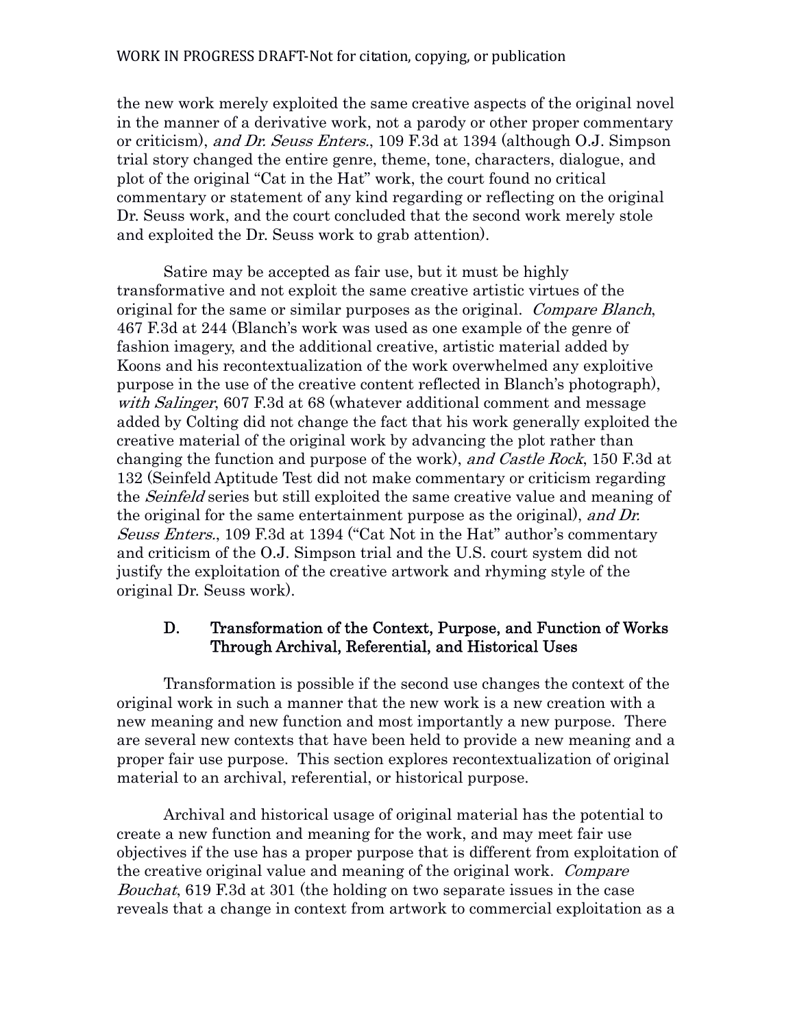the new work merely exploited the same creative aspects of the original novel in the manner of a derivative work, not a parody or other proper commentary or criticism), and Dr. Seuss Enters., 109 F.3d at 1394 (although O.J. Simpson trial story changed the entire genre, theme, tone, characters, dialogue, and plot of the original "Cat in the Hat" work, the court found no critical commentary or statement of any kind regarding or reflecting on the original Dr. Seuss work, and the court concluded that the second work merely stole and exploited the Dr. Seuss work to grab attention).

 Satire may be accepted as fair use, but it must be highly transformative and not exploit the same creative artistic virtues of the original for the same or similar purposes as the original. Compare Blanch, 467 F.3d at 244 (Blanch's work was used as one example of the genre of fashion imagery, and the additional creative, artistic material added by Koons and his recontextualization of the work overwhelmed any exploitive purpose in the use of the creative content reflected in Blanch's photograph), with Salinger, 607 F.3d at 68 (whatever additional comment and message added by Colting did not change the fact that his work generally exploited the creative material of the original work by advancing the plot rather than changing the function and purpose of the work), and Castle Rock, 150 F.3d at 132 (Seinfeld Aptitude Test did not make commentary or criticism regarding the *Seinfeld* series but still exploited the same creative value and meaning of the original for the same entertainment purpose as the original), and Dr. Seuss Enters., 109 F.3d at 1394 ("Cat Not in the Hat" author's commentary and criticism of the O.J. Simpson trial and the U.S. court system did not justify the exploitation of the creative artwork and rhyming style of the original Dr. Seuss work).

### D. Transformation of the Context, Purpose, and Function of Works Through Archival, Referential, and Historical Uses

 Transformation is possible if the second use changes the context of the original work in such a manner that the new work is a new creation with a new meaning and new function and most importantly a new purpose. There are several new contexts that have been held to provide a new meaning and a proper fair use purpose. This section explores recontextualization of original material to an archival, referential, or historical purpose.

 Archival and historical usage of original material has the potential to create a new function and meaning for the work, and may meet fair use objectives if the use has a proper purpose that is different from exploitation of the creative original value and meaning of the original work. Compare Bouchat, 619 F.3d at 301 (the holding on two separate issues in the case reveals that a change in context from artwork to commercial exploitation as a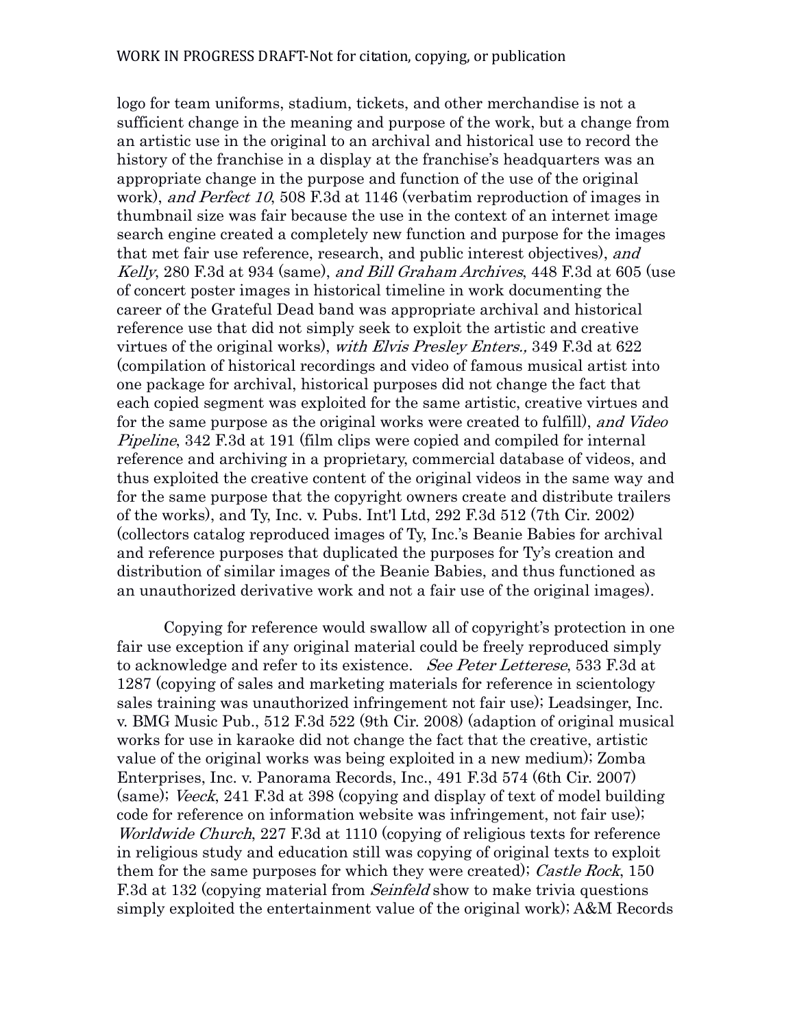logo for team uniforms, stadium, tickets, and other merchandise is not a sufficient change in the meaning and purpose of the work, but a change from an artistic use in the original to an archival and historical use to record the history of the franchise in a display at the franchise's headquarters was an appropriate change in the purpose and function of the use of the original work), and Perfect 10, 508 F.3d at 1146 (verbatim reproduction of images in thumbnail size was fair because the use in the context of an internet image search engine created a completely new function and purpose for the images that met fair use reference, research, and public interest objectives), and Kelly, 280 F.3d at 934 (same), and Bill Graham Archives, 448 F.3d at 605 (use of concert poster images in historical timeline in work documenting the career of the Grateful Dead band was appropriate archival and historical reference use that did not simply seek to exploit the artistic and creative virtues of the original works), *with Elvis Presley Enters.*, 349 F.3d at 622 (compilation of historical recordings and video of famous musical artist into one package for archival, historical purposes did not change the fact that each copied segment was exploited for the same artistic, creative virtues and for the same purpose as the original works were created to fulfill), and Video Pipeline, 342 F.3d at 191 (film clips were copied and compiled for internal reference and archiving in a proprietary, commercial database of videos, and thus exploited the creative content of the original videos in the same way and for the same purpose that the copyright owners create and distribute trailers of the works), and Ty, Inc. v. Pubs. Int'l Ltd, 292 F.3d 512 (7th Cir. 2002) (collectors catalog reproduced images of Ty, Inc.'s Beanie Babies for archival and reference purposes that duplicated the purposes for Ty's creation and distribution of similar images of the Beanie Babies, and thus functioned as an unauthorized derivative work and not a fair use of the original images).

Copying for reference would swallow all of copyright's protection in one fair use exception if any original material could be freely reproduced simply to acknowledge and refer to its existence. *See Peter Letterese*, 533 F.3d at 1287 (copying of sales and marketing materials for reference in scientology sales training was unauthorized infringement not fair use); Leadsinger, Inc. v. BMG Music Pub., 512 F.3d 522 (9th Cir. 2008) (adaption of original musical works for use in karaoke did not change the fact that the creative, artistic value of the original works was being exploited in a new medium); Zomba Enterprises, Inc. v. Panorama Records, Inc., 491 F.3d 574 (6th Cir. 2007) (same); Veeck, 241 F.3d at 398 (copying and display of text of model building code for reference on information website was infringement, not fair use); Worldwide Church, 227 F.3d at 1110 (copying of religious texts for reference in religious study and education still was copying of original texts to exploit them for the same purposes for which they were created); Castle Rock, 150 F.3d at 132 (copying material from *Seinfeld* show to make trivia questions simply exploited the entertainment value of the original work); A&M Records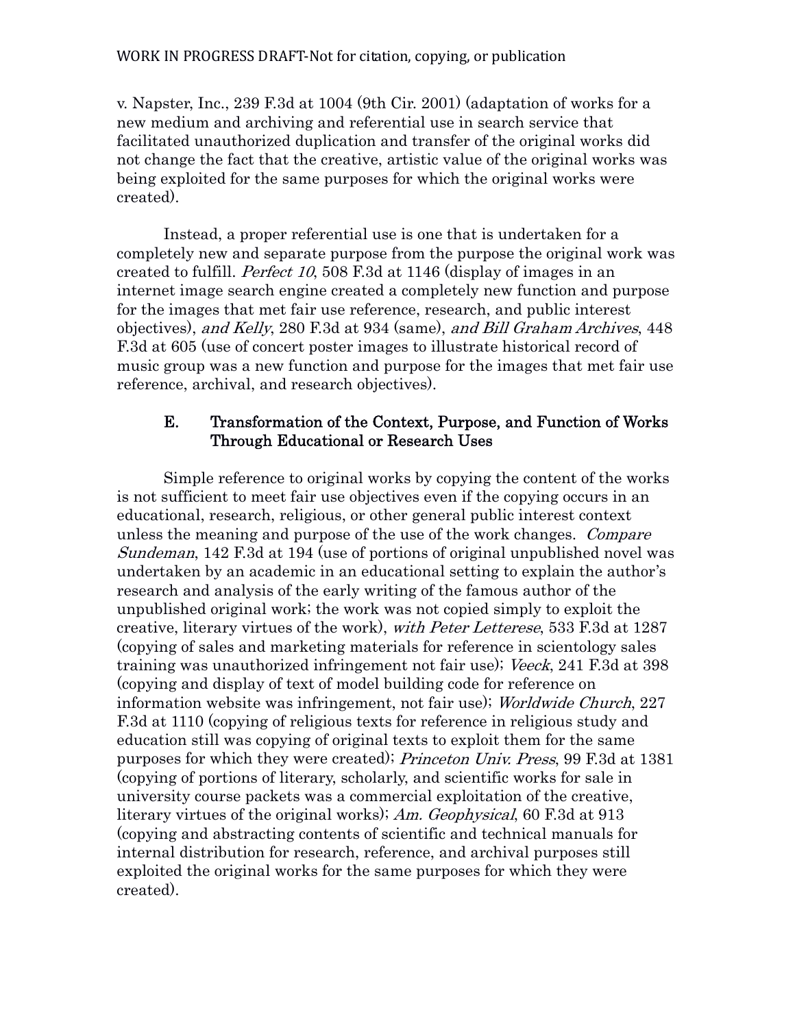v. Napster, Inc., 239 F.3d at 1004 (9th Cir. 2001) (adaptation of works for a new medium and archiving and referential use in search service that facilitated unauthorized duplication and transfer of the original works did not change the fact that the creative, artistic value of the original works was being exploited for the same purposes for which the original works were created).

Instead, a proper referential use is one that is undertaken for a completely new and separate purpose from the purpose the original work was created to fulfill. Perfect 10, 508 F.3d at 1146 (display of images in an internet image search engine created a completely new function and purpose for the images that met fair use reference, research, and public interest objectives), and Kelly, 280 F.3d at 934 (same), and Bill Graham Archives, 448 F.3d at 605 (use of concert poster images to illustrate historical record of music group was a new function and purpose for the images that met fair use reference, archival, and research objectives).

### E. Transformation of the Context, Purpose, and Function of Works Through Educational or Research Uses

 Simple reference to original works by copying the content of the works is not sufficient to meet fair use objectives even if the copying occurs in an educational, research, religious, or other general public interest context unless the meaning and purpose of the use of the work changes. Compare Sundeman, 142 F.3d at 194 (use of portions of original unpublished novel was undertaken by an academic in an educational setting to explain the author's research and analysis of the early writing of the famous author of the unpublished original work; the work was not copied simply to exploit the creative, literary virtues of the work), with Peter Letterese, 533 F.3d at 1287 (copying of sales and marketing materials for reference in scientology sales training was unauthorized infringement not fair use); Veeck, 241 F.3d at 398 (copying and display of text of model building code for reference on information website was infringement, not fair use); *Worldwide Church*, 227 F.3d at 1110 (copying of religious texts for reference in religious study and education still was copying of original texts to exploit them for the same purposes for which they were created); Princeton Univ. Press, 99 F.3d at 1381 (copying of portions of literary, scholarly, and scientific works for sale in university course packets was a commercial exploitation of the creative, literary virtues of the original works); Am. Geophysical, 60 F.3d at 913 (copying and abstracting contents of scientific and technical manuals for internal distribution for research, reference, and archival purposes still exploited the original works for the same purposes for which they were created).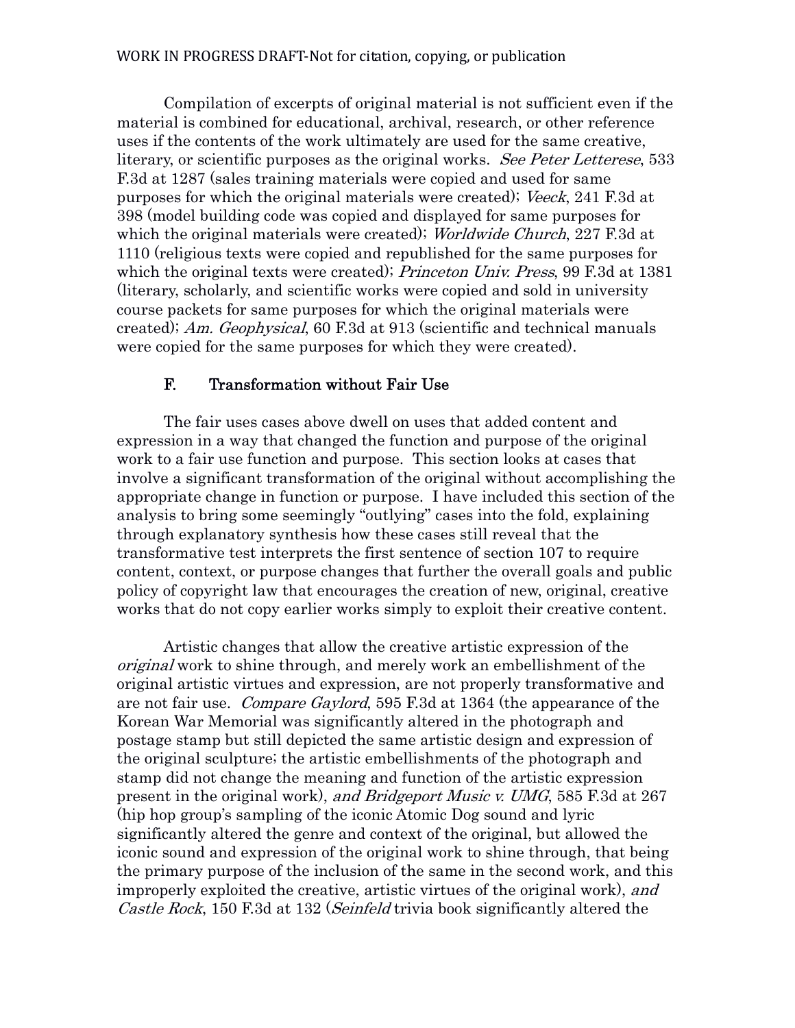Compilation of excerpts of original material is not sufficient even if the material is combined for educational, archival, research, or other reference uses if the contents of the work ultimately are used for the same creative, literary, or scientific purposes as the original works. *See Peter Letterese*, 533 F.3d at 1287 (sales training materials were copied and used for same purposes for which the original materials were created); Veeck, 241 F.3d at 398 (model building code was copied and displayed for same purposes for which the original materials were created); *Worldwide Church*, 227 F.3d at 1110 (religious texts were copied and republished for the same purposes for which the original texts were created); *Princeton Univ. Press*, 99 F.3d at 1381 (literary, scholarly, and scientific works were copied and sold in university course packets for same purposes for which the original materials were created); Am. Geophysical, 60 F.3d at 913 (scientific and technical manuals were copied for the same purposes for which they were created).

#### F. Transformation without Fair Use

 The fair uses cases above dwell on uses that added content and expression in a way that changed the function and purpose of the original work to a fair use function and purpose. This section looks at cases that involve a significant transformation of the original without accomplishing the appropriate change in function or purpose. I have included this section of the analysis to bring some seemingly "outlying" cases into the fold, explaining through explanatory synthesis how these cases still reveal that the transformative test interprets the first sentence of section 107 to require content, context, or purpose changes that further the overall goals and public policy of copyright law that encourages the creation of new, original, creative works that do not copy earlier works simply to exploit their creative content.

 Artistic changes that allow the creative artistic expression of the original work to shine through, and merely work an embellishment of the original artistic virtues and expression, are not properly transformative and are not fair use. Compare Gaylord, 595 F.3d at 1364 (the appearance of the Korean War Memorial was significantly altered in the photograph and postage stamp but still depicted the same artistic design and expression of the original sculpture; the artistic embellishments of the photograph and stamp did not change the meaning and function of the artistic expression present in the original work), and Bridgeport Music v. UMG, 585 F.3d at 267 (hip hop group's sampling of the iconic Atomic Dog sound and lyric significantly altered the genre and context of the original, but allowed the iconic sound and expression of the original work to shine through, that being the primary purpose of the inclusion of the same in the second work, and this improperly exploited the creative, artistic virtues of the original work), and Castle Rock, 150 F.3d at 132 (Seinfeld trivia book significantly altered the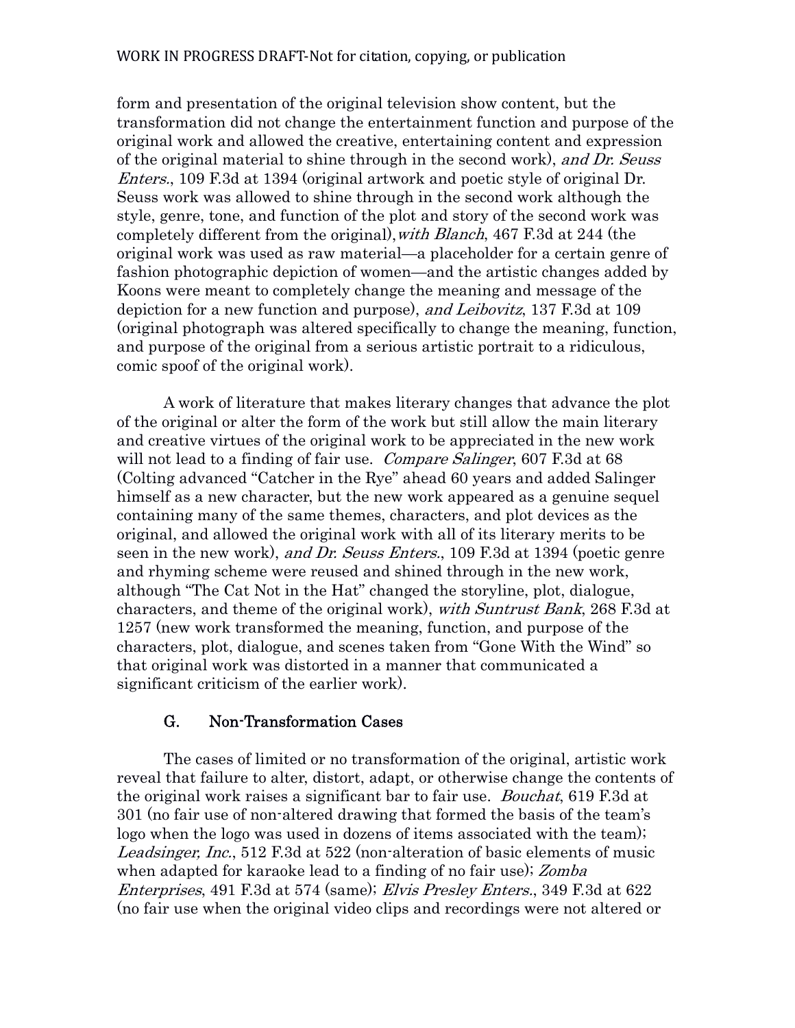form and presentation of the original television show content, but the transformation did not change the entertainment function and purpose of the original work and allowed the creative, entertaining content and expression of the original material to shine through in the second work), and Dr. Seuss Enters., 109 F.3d at 1394 (original artwork and poetic style of original Dr. Seuss work was allowed to shine through in the second work although the style, genre, tone, and function of the plot and story of the second work was completely different from the original),with Blanch, 467 F.3d at 244 (the original work was used as raw material—a placeholder for a certain genre of fashion photographic depiction of women—and the artistic changes added by Koons were meant to completely change the meaning and message of the depiction for a new function and purpose), and Leibovitz, 137 F.3d at 109 (original photograph was altered specifically to change the meaning, function, and purpose of the original from a serious artistic portrait to a ridiculous, comic spoof of the original work).

 A work of literature that makes literary changes that advance the plot of the original or alter the form of the work but still allow the main literary and creative virtues of the original work to be appreciated in the new work will not lead to a finding of fair use. Compare Salinger, 607 F.3d at 68 (Colting advanced "Catcher in the Rye" ahead 60 years and added Salinger himself as a new character, but the new work appeared as a genuine sequel containing many of the same themes, characters, and plot devices as the original, and allowed the original work with all of its literary merits to be seen in the new work), and Dr. Seuss Enters., 109 F.3d at 1394 (poetic genre and rhyming scheme were reused and shined through in the new work, although "The Cat Not in the Hat" changed the storyline, plot, dialogue, characters, and theme of the original work), with Suntrust Bank, 268 F.3d at 1257 (new work transformed the meaning, function, and purpose of the characters, plot, dialogue, and scenes taken from "Gone With the Wind" so that original work was distorted in a manner that communicated a significant criticism of the earlier work).

#### G. Non-Transformation Cases

 The cases of limited or no transformation of the original, artistic work reveal that failure to alter, distort, adapt, or otherwise change the contents of the original work raises a significant bar to fair use. Bouchat, 619 F.3d at 301 (no fair use of non-altered drawing that formed the basis of the team's logo when the logo was used in dozens of items associated with the team); Leadsinger, Inc., 512 F.3d at 522 (non-alteration of basic elements of music when adapted for karaoke lead to a finding of no fair use); Zomba Enterprises, 491 F.3d at 574 (same); Elvis Presley Enters., 349 F.3d at 622 (no fair use when the original video clips and recordings were not altered or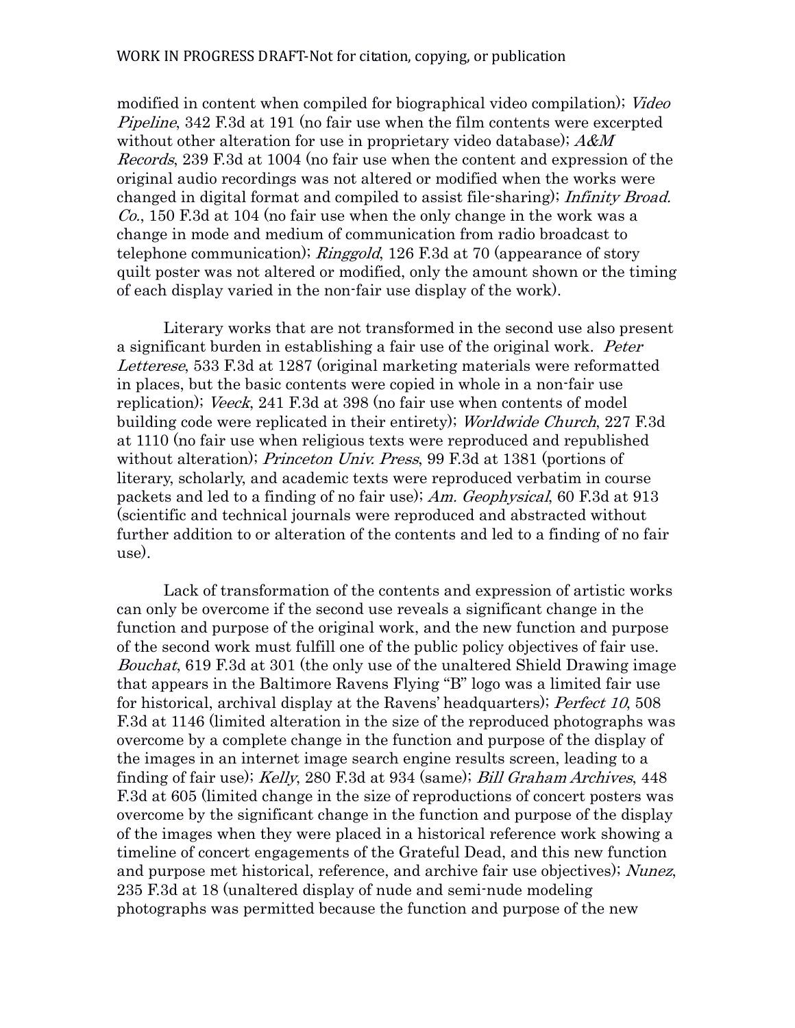modified in content when compiled for biographical video compilation); *Video* Pipeline, 342 F.3d at 191 (no fair use when the film contents were excerpted without other alteration for use in proprietary video database);  $A\&M$ Records, 239 F.3d at 1004 (no fair use when the content and expression of the original audio recordings was not altered or modified when the works were changed in digital format and compiled to assist file-sharing); *Infinity Broad.* Co., 150 F.3d at 104 (no fair use when the only change in the work was a change in mode and medium of communication from radio broadcast to telephone communication); *Ringgold*, 126 F.3d at 70 (appearance of story quilt poster was not altered or modified, only the amount shown or the timing of each display varied in the non-fair use display of the work).

 Literary works that are not transformed in the second use also present a significant burden in establishing a fair use of the original work. Peter Letterese, 533 F.3d at 1287 (original marketing materials were reformatted in places, but the basic contents were copied in whole in a non-fair use replication); Veeck, 241 F.3d at 398 (no fair use when contents of model building code were replicated in their entirety); Worldwide Church, 227 F.3d at 1110 (no fair use when religious texts were reproduced and republished without alteration); *Princeton Univ. Press*, 99 F.3d at 1381 (portions of literary, scholarly, and academic texts were reproduced verbatim in course packets and led to a finding of no fair use); Am. Geophysical, 60 F.3d at 913 (scientific and technical journals were reproduced and abstracted without further addition to or alteration of the contents and led to a finding of no fair use).

 Lack of transformation of the contents and expression of artistic works can only be overcome if the second use reveals a significant change in the function and purpose of the original work, and the new function and purpose of the second work must fulfill one of the public policy objectives of fair use. Bouchat, 619 F.3d at 301 (the only use of the unaltered Shield Drawing image that appears in the Baltimore Ravens Flying "B" logo was a limited fair use for historical, archival display at the Ravens' headquarters); Perfect 10, 508 F.3d at 1146 (limited alteration in the size of the reproduced photographs was overcome by a complete change in the function and purpose of the display of the images in an internet image search engine results screen, leading to a finding of fair use); Kelly, 280 F.3d at 934 (same); Bill Graham Archives, 448 F.3d at 605 (limited change in the size of reproductions of concert posters was overcome by the significant change in the function and purpose of the display of the images when they were placed in a historical reference work showing a timeline of concert engagements of the Grateful Dead, and this new function and purpose met historical, reference, and archive fair use objectives); Nunez, 235 F.3d at 18 (unaltered display of nude and semi-nude modeling photographs was permitted because the function and purpose of the new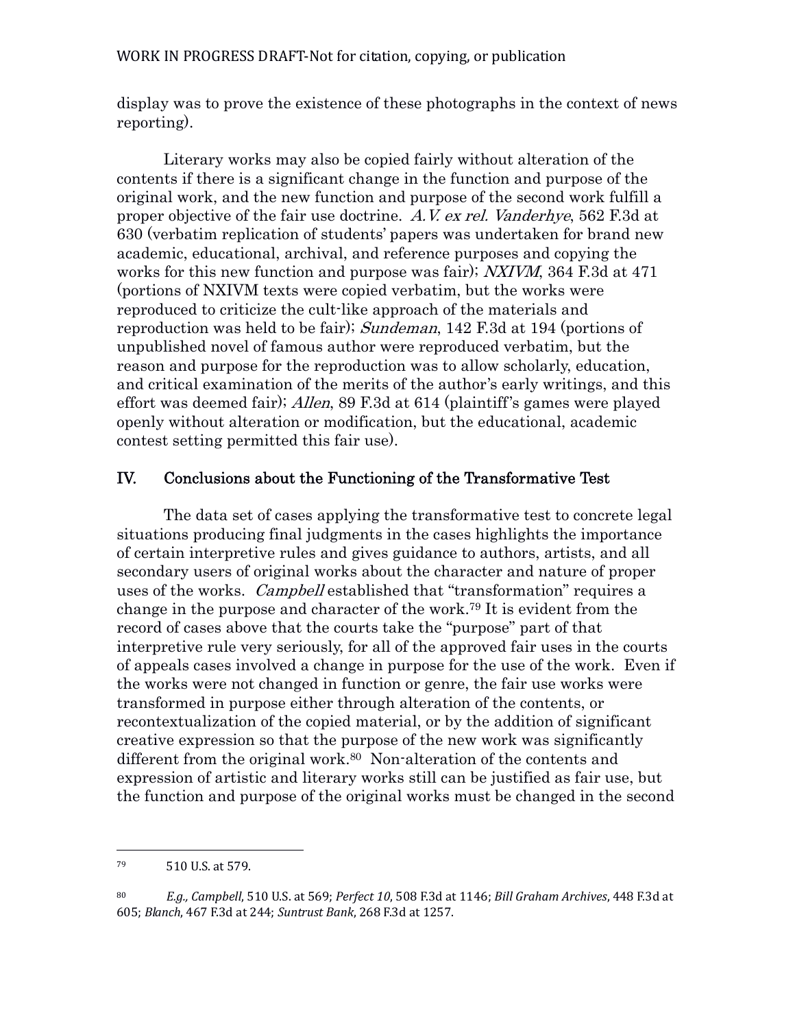display was to prove the existence of these photographs in the context of news reporting).

 Literary works may also be copied fairly without alteration of the contents if there is a significant change in the function and purpose of the original work, and the new function and purpose of the second work fulfill a proper objective of the fair use doctrine. A.V. ex rel. Vanderhye, 562 F.3d at 630 (verbatim replication of students' papers was undertaken for brand new academic, educational, archival, and reference purposes and copying the works for this new function and purpose was fair); NXIVM, 364 F.3d at 471 (portions of NXIVM texts were copied verbatim, but the works were reproduced to criticize the cult-like approach of the materials and reproduction was held to be fair); Sundeman, 142 F.3d at 194 (portions of unpublished novel of famous author were reproduced verbatim, but the reason and purpose for the reproduction was to allow scholarly, education, and critical examination of the merits of the author's early writings, and this effort was deemed fair); *Allen*, 89 F.3d at 614 (plaintiff's games were played openly without alteration or modification, but the educational, academic contest setting permitted this fair use).

### IV. Conclusions about the Functioning of the Transformative Test

 The data set of cases applying the transformative test to concrete legal situations producing final judgments in the cases highlights the importance of certain interpretive rules and gives guidance to authors, artists, and all secondary users of original works about the character and nature of proper uses of the works. Campbell established that "transformation" requires a change in the purpose and character of the work.79 It is evident from the record of cases above that the courts take the "purpose" part of that interpretive rule very seriously, for all of the approved fair uses in the courts of appeals cases involved a change in purpose for the use of the work. Even if the works were not changed in function or genre, the fair use works were transformed in purpose either through alteration of the contents, or recontextualization of the copied material, or by the addition of significant creative expression so that the purpose of the new work was significantly different from the original work.<sup>80</sup> Non-alteration of the contents and expression of artistic and literary works still can be justified as fair use, but the function and purpose of the original works must be changed in the second

l,

<sup>79 510</sup> U.S. at 579.

<sup>80</sup>*E.g., Campbell*, 510 U.S. at 569; *Perfect 10*, 508 F.3d at 1146; *Bill Graham Archives*, 448 F.3d at 605; *Blanch*, 467 F.3d at 244; *Suntrust Bank*, 268 F.3d at 1257.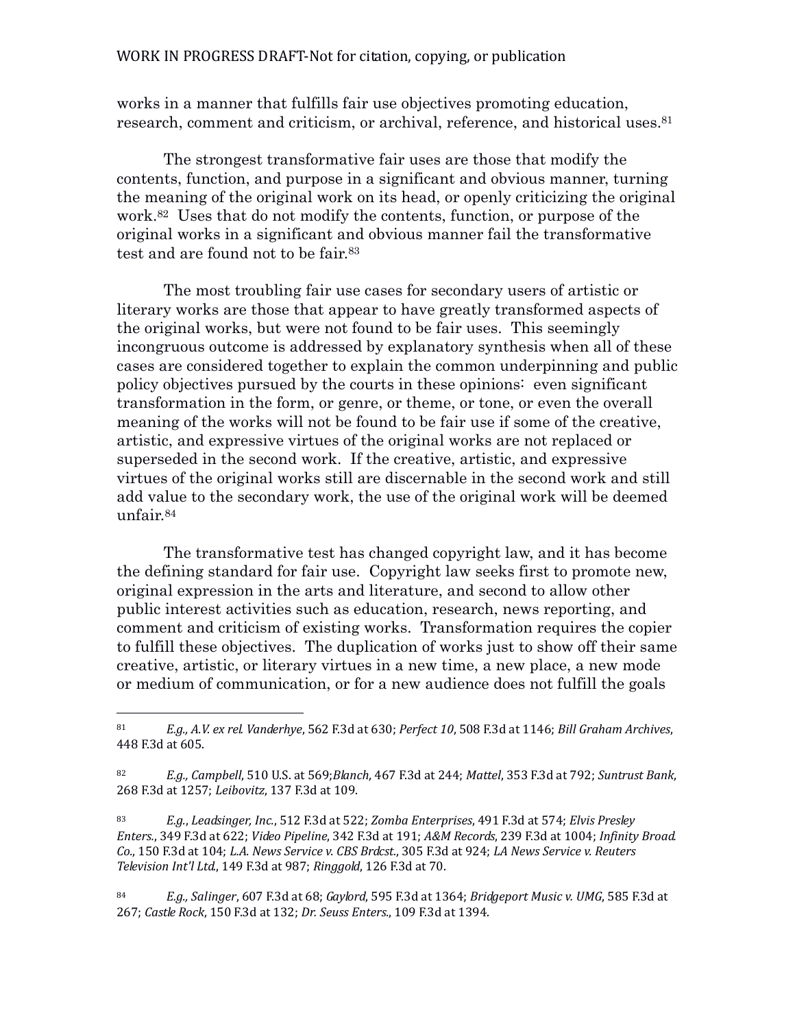works in a manner that fulfills fair use objectives promoting education, research, comment and criticism, or archival, reference, and historical uses.<sup>81</sup>

The strongest transformative fair uses are those that modify the contents, function, and purpose in a significant and obvious manner, turning the meaning of the original work on its head, or openly criticizing the original work.82 Uses that do not modify the contents, function, or purpose of the original works in a significant and obvious manner fail the transformative test and are found not to be fair.83

The most troubling fair use cases for secondary users of artistic or literary works are those that appear to have greatly transformed aspects of the original works, but were not found to be fair uses. This seemingly incongruous outcome is addressed by explanatory synthesis when all of these cases are considered together to explain the common underpinning and public policy objectives pursued by the courts in these opinions: even significant transformation in the form, or genre, or theme, or tone, or even the overall meaning of the works will not be found to be fair use if some of the creative, artistic, and expressive virtues of the original works are not replaced or superseded in the second work. If the creative, artistic, and expressive virtues of the original works still are discernable in the second work and still add value to the secondary work, the use of the original work will be deemed unfair.84

The transformative test has changed copyright law, and it has become the defining standard for fair use. Copyright law seeks first to promote new, original expression in the arts and literature, and second to allow other public interest activities such as education, research, news reporting, and comment and criticism of existing works. Transformation requires the copier to fulfill these objectives. The duplication of works just to show off their same creative, artistic, or literary virtues in a new time, a new place, a new mode or medium of communication, or for a new audience does not fulfill the goals

-

<sup>84</sup>*E.g., Salinger*, 607 F.3d at 68; *Gaylord*, 595 F.3d at 1364; *Bridgeport Music v. UMG*, 585 F.3d at 267; *Castle Rock*, 150 F.3d at 132; *Dr. Seuss Enters.*, 109 F.3d at 1394.

<sup>81</sup>*E.g., A.V. ex rel. Vanderhye*, 562 F.3d at 630; *Perfect 10*, 508 F.3d at 1146; *Bill Graham Archives*, 448 F.3d at 605.

<sup>82</sup>*E.g., Campbell*, 510 U.S. at 569;*Blanch*, 467 F.3d at 244; *Mattel*, 353 F.3d at 792; *Suntrust Bank*, 268 F.3d at 1257; *Leibovitz*, 137 F.3d at 109.

<sup>83</sup>*E.g.*, *Leadsinger, Inc.*, 512 F.3d at 522; *Zomba Enterprises*, 491 F.3d at 574; *Elvis Presley Enters.*, 349 F.3d at 622; *Video Pipeline*, 342 F.3d at 191; *A&M Records*, 239 F.3d at 1004; *Infinity Broad. Co.*, 150 F.3d at 104; *L.A. News Service v. CBS Brdcst.*, 305 F.3d at 924; *LA News Service v. Reuters Television Int'l Ltd.*, 149 F.3d at 987; *Ringgold*, 126 F.3d at 70.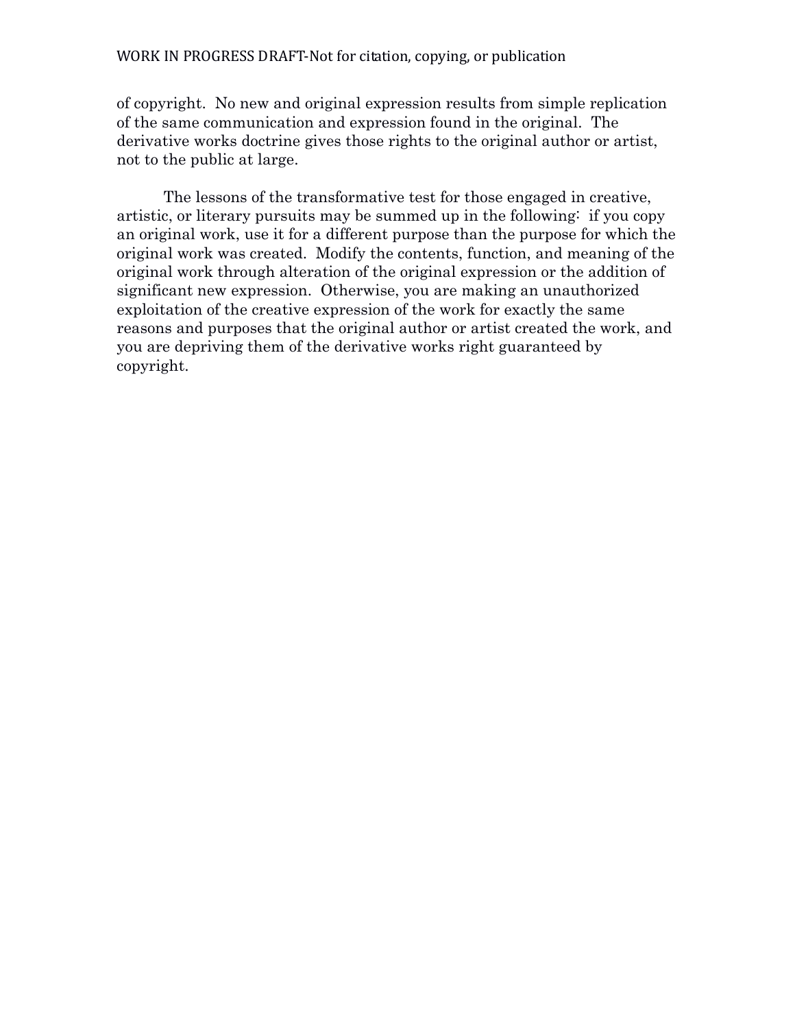of copyright. No new and original expression results from simple replication of the same communication and expression found in the original. The derivative works doctrine gives those rights to the original author or artist, not to the public at large.

The lessons of the transformative test for those engaged in creative, artistic, or literary pursuits may be summed up in the following: if you copy an original work, use it for a different purpose than the purpose for which the original work was created. Modify the contents, function, and meaning of the original work through alteration of the original expression or the addition of significant new expression. Otherwise, you are making an unauthorized exploitation of the creative expression of the work for exactly the same reasons and purposes that the original author or artist created the work, and you are depriving them of the derivative works right guaranteed by copyright.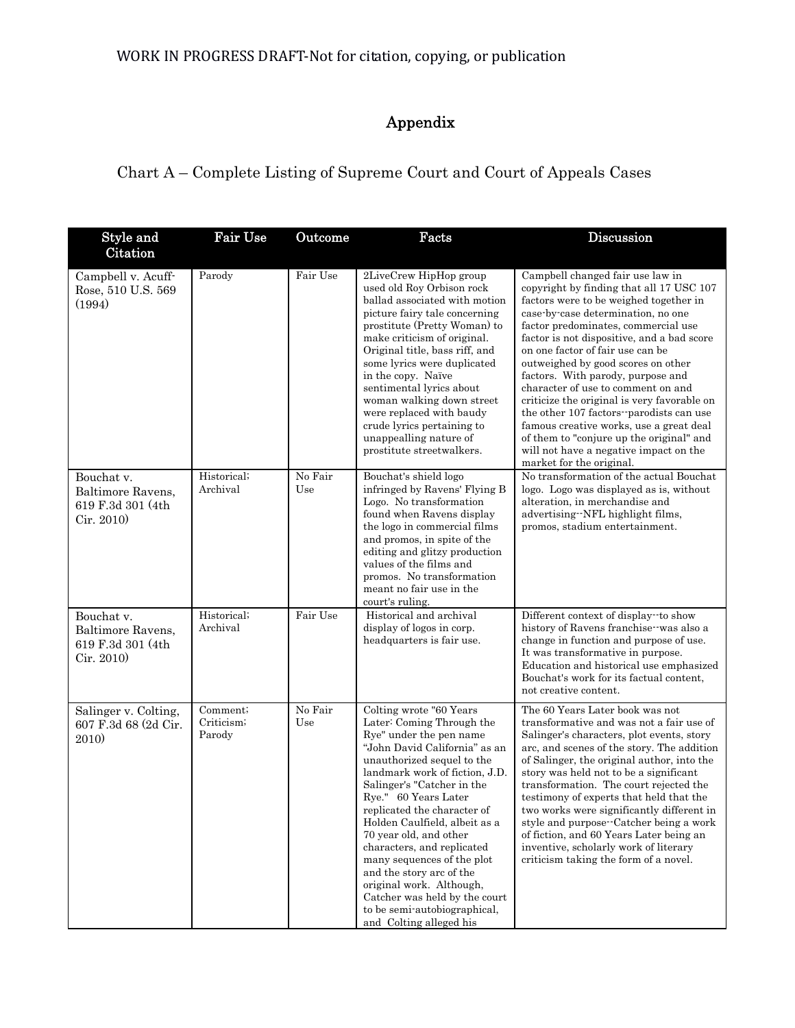# Appendix

Chart A – Complete Listing of Supreme Court and Court of Appeals Cases

| Style and                                                          | <b>Fair Use</b>                  | Outcome        | Facts                                                                                                                                                                                                                                                                                                                                                                                                                                                                                                                                            | Discussion                                                                                                                                                                                                                                                                                                                                                                                                                                                                                                                                                                                                                                                    |
|--------------------------------------------------------------------|----------------------------------|----------------|--------------------------------------------------------------------------------------------------------------------------------------------------------------------------------------------------------------------------------------------------------------------------------------------------------------------------------------------------------------------------------------------------------------------------------------------------------------------------------------------------------------------------------------------------|---------------------------------------------------------------------------------------------------------------------------------------------------------------------------------------------------------------------------------------------------------------------------------------------------------------------------------------------------------------------------------------------------------------------------------------------------------------------------------------------------------------------------------------------------------------------------------------------------------------------------------------------------------------|
| Citation                                                           |                                  |                |                                                                                                                                                                                                                                                                                                                                                                                                                                                                                                                                                  |                                                                                                                                                                                                                                                                                                                                                                                                                                                                                                                                                                                                                                                               |
| Campbell v. Acuff-<br>Rose, 510 U.S. 569<br>(1994)                 | Parody                           | Fair Use       | 2LiveCrew HipHop group<br>used old Roy Orbison rock<br>ballad associated with motion<br>picture fairy tale concerning<br>prostitute (Pretty Woman) to<br>make criticism of original.<br>Original title, bass riff, and<br>some lyrics were duplicated<br>in the copy. Naïve<br>sentimental lyrics about<br>woman walking down street<br>were replaced with baudy<br>crude lyrics pertaining to<br>unappealling nature of<br>prostitute streetwalkers.                                                                                            | Campbell changed fair use law in<br>copyright by finding that all 17 USC 107<br>factors were to be weighed together in<br>case by case determination, no one<br>factor predominates, commercial use<br>factor is not dispositive, and a bad score<br>on one factor of fair use can be<br>outweighed by good scores on other<br>factors. With parody, purpose and<br>character of use to comment on and<br>criticize the original is very favorable on<br>the other 107 factors-parodists can use<br>famous creative works, use a great deal<br>of them to "conjure up the original" and<br>will not have a negative impact on the<br>market for the original. |
| Bouchat v.<br>Baltimore Ravens,<br>619 F.3d 301 (4th<br>Cir. 2010) | Historical;<br>Archival          | No Fair<br>Use | Bouchat's shield logo<br>infringed by Ravens' Flying B<br>Logo. No transformation<br>found when Ravens display<br>the logo in commercial films<br>and promos, in spite of the<br>editing and glitzy production<br>values of the films and<br>promos. No transformation<br>meant no fair use in the<br>court's ruling.                                                                                                                                                                                                                            | No transformation of the actual Bouchat<br>logo. Logo was displayed as is, without<br>alteration, in merchandise and<br>advertising - NFL highlight films,<br>promos, stadium entertainment.                                                                                                                                                                                                                                                                                                                                                                                                                                                                  |
| Bouchat v.<br>Baltimore Ravens,<br>619 F.3d 301 (4th<br>Cir. 2010  | Historical;<br>Archival          | Fair Use       | Historical and archival<br>display of logos in corp.<br>headquarters is fair use.                                                                                                                                                                                                                                                                                                                                                                                                                                                                | Different context of display-to show<br>history of Ravens franchise - was also a<br>change in function and purpose of use.<br>It was transformative in purpose.<br>Education and historical use emphasized<br>Bouchat's work for its factual content,<br>not creative content.                                                                                                                                                                                                                                                                                                                                                                                |
| Salinger v. Colting,<br>607 F.3d 68 (2d Cir.<br>2010)              | Comment;<br>Criticism;<br>Parody | No Fair<br>Use | Colting wrote "60 Years<br>Later: Coming Through the<br>Rye" under the pen name<br>"John David California" as an<br>unauthorized sequel to the<br>landmark work of fiction, J.D.<br>Salinger's "Catcher in the<br>Rye." 60 Years Later<br>replicated the character of<br>Holden Caulfield, albeit as a<br>70 year old, and other<br>characters, and replicated<br>many sequences of the plot<br>and the story arc of the<br>original work. Although,<br>Catcher was held by the court<br>to be semi-autobiographical,<br>and Colting alleged his | The 60 Years Later book was not<br>transformative and was not a fair use of<br>Salinger's characters, plot events, story<br>arc, and scenes of the story. The addition<br>of Salinger, the original author, into the<br>story was held not to be a significant<br>transformation. The court rejected the<br>testimony of experts that held that the<br>two works were significantly different in<br>style and purpose-Catcher being a work<br>of fiction, and 60 Years Later being an<br>inventive, scholarly work of literary<br>criticism taking the form of a novel.                                                                                       |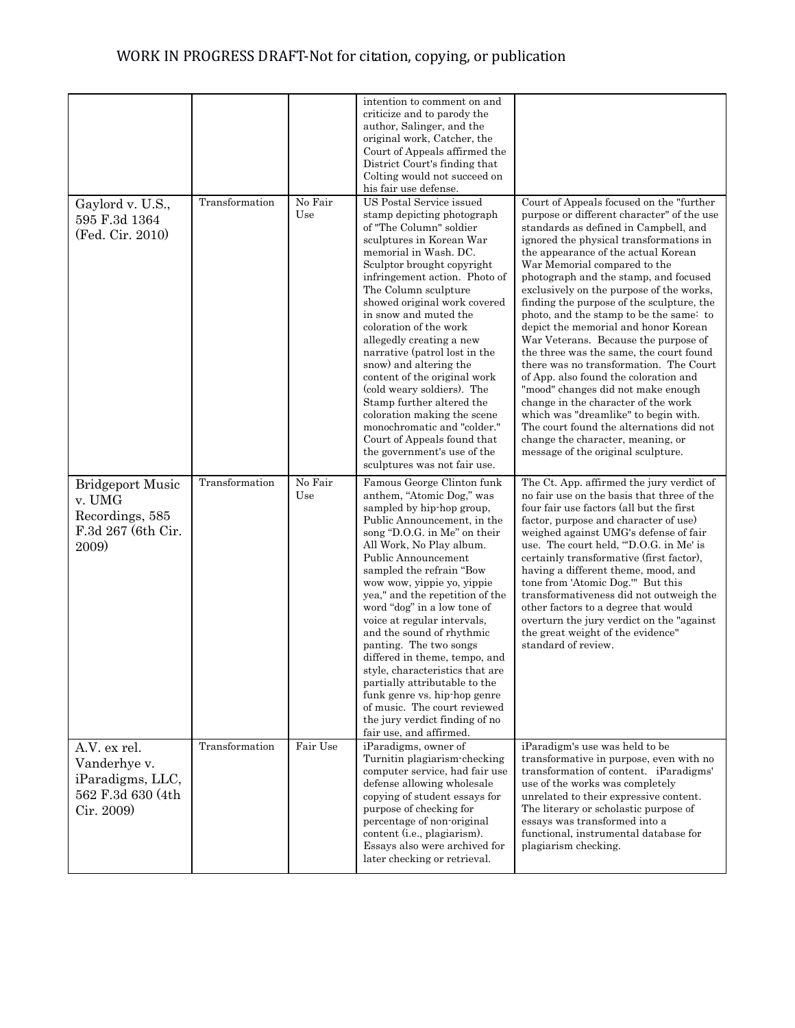|                                                                                     |                |                | intention to comment on and<br>criticize and to parody the<br>author, Salinger, and the<br>original work, Catcher, the<br>Court of Appeals affirmed the<br>District Court's finding that<br>Colting would not succeed on<br>his fair use defense.                                                                                                                                                                                                                                                                                                                                                                                                              |                                                                                                                                                                                                                                                                                                                                                                                                                                                                                                                                                                                                                                                                                                                                                                                                                                                                                          |
|-------------------------------------------------------------------------------------|----------------|----------------|----------------------------------------------------------------------------------------------------------------------------------------------------------------------------------------------------------------------------------------------------------------------------------------------------------------------------------------------------------------------------------------------------------------------------------------------------------------------------------------------------------------------------------------------------------------------------------------------------------------------------------------------------------------|------------------------------------------------------------------------------------------------------------------------------------------------------------------------------------------------------------------------------------------------------------------------------------------------------------------------------------------------------------------------------------------------------------------------------------------------------------------------------------------------------------------------------------------------------------------------------------------------------------------------------------------------------------------------------------------------------------------------------------------------------------------------------------------------------------------------------------------------------------------------------------------|
| Gaylord v. U.S.,<br>595 F.3d 1364<br>(Fed. Cir. 2010)                               | Transformation | No Fair<br>Use | US Postal Service issued<br>stamp depicting photograph<br>of "The Column" soldier<br>sculptures in Korean War<br>memorial in Wash. DC.<br>Sculptor brought copyright<br>infringement action. Photo of<br>The Column sculpture<br>showed original work covered<br>in snow and muted the<br>coloration of the work<br>allegedly creating a new<br>narrative (patrol lost in the<br>snow) and altering the<br>content of the original work<br>(cold weary soldiers). The<br>Stamp further altered the<br>coloration making the scene<br>monochromatic and "colder."<br>Court of Appeals found that<br>the government's use of the<br>sculptures was not fair use. | Court of Appeals focused on the "further<br>purpose or different character" of the use<br>standards as defined in Campbell, and<br>ignored the physical transformations in<br>the appearance of the actual Korean<br>War Memorial compared to the<br>photograph and the stamp, and focused<br>exclusively on the purpose of the works,<br>finding the purpose of the sculpture, the<br>photo, and the stamp to be the same: to<br>depict the memorial and honor Korean<br>War Veterans. Because the purpose of<br>the three was the same, the court found<br>there was no transformation. The Court<br>of App. also found the coloration and<br>"mood" changes did not make enough<br>change in the character of the work<br>which was "dreamlike" to begin with.<br>The court found the alternations did not<br>change the character, meaning, or<br>message of the original sculpture. |
| <b>Bridgeport Music</b><br>v. UMG<br>Recordings, 585<br>F.3d 267 (6th Cir.<br>2009) | Transformation | No Fair<br>Use | Famous George Clinton funk<br>anthem, "Atomic Dog," was<br>sampled by hip-hop group,<br>Public Announcement, in the<br>song "D.O.G. in Me" on their<br>All Work, No Play album.<br>Public Announcement<br>sampled the refrain "Bow<br>wow wow, yippie yo, yippie<br>yea," and the repetition of the<br>word "dog" in a low tone of<br>voice at regular intervals,<br>and the sound of rhythmic<br>panting. The two songs<br>differed in theme, tempo, and<br>style, characteristics that are<br>partially attributable to the<br>funk genre vs. hip-hop genre<br>of music. The court reviewed<br>the jury verdict finding of no<br>fair use, and affirmed.     | The Ct. App. affirmed the jury verdict of<br>no fair use on the basis that three of the<br>four fair use factors (all but the first<br>factor, purpose and character of use)<br>weighed against UMG's defense of fair<br>use. The court held, "D.O.G. in Me' is<br>certainly transformative (first factor),<br>having a different theme, mood, and<br>tone from 'Atomic Dog.'" But this<br>transformativeness did not outweigh the<br>other factors to a degree that would<br>overturn the jury verdict on the "against<br>the great weight of the evidence"<br>standard of review.                                                                                                                                                                                                                                                                                                      |
| A.V. ex rel.<br>Vanderhye v.<br>iParadigms, LLC,<br>562 F.3d 630 (4th<br>Cir. 2009) | Transformation | Fair Use       | iParadigms, owner of<br>Turnitin plagiarism-checking<br>computer service, had fair use<br>defense allowing wholesale<br>copying of student essays for<br>purpose of checking for<br>percentage of non-original<br>content (i.e., plagiarism).<br>Essays also were archived for<br>later checking or retrieval.                                                                                                                                                                                                                                                                                                                                                 | iParadigm's use was held to be<br>transformative in purpose, even with no<br>transformation of content. iParadigms'<br>use of the works was completely<br>unrelated to their expressive content.<br>The literary or scholastic purpose of<br>essays was transformed into a<br>functional, instrumental database for<br>plagiarism checking.                                                                                                                                                                                                                                                                                                                                                                                                                                                                                                                                              |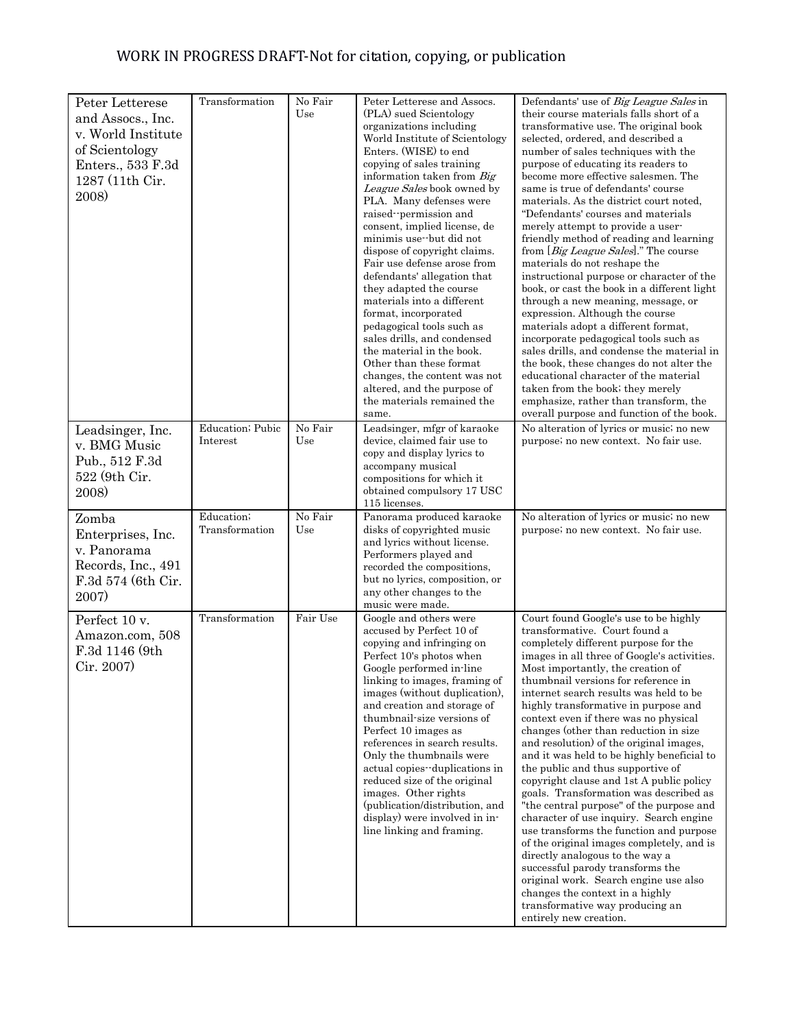| Peter Letterese<br>and Assocs., Inc.<br>v. World Institute<br>of Scientology<br>Enters., 533 F.3d<br>1287 (11th Cir.<br>2008) | Transformation               | No Fair<br>Use | Peter Letterese and Assocs.<br>(PLA) sued Scientology<br>organizations including<br>World Institute of Scientology<br>Enters. (WISE) to end<br>copying of sales training<br>information taken from Big<br>League Sales book owned by<br>PLA. Many defenses were<br>raised permission and<br>consent, implied license, de<br>minimis use-but did not<br>dispose of copyright claims.<br>Fair use defense arose from<br>defendants' allegation that<br>they adapted the course<br>materials into a different<br>format, incorporated<br>pedagogical tools such as<br>sales drills, and condensed<br>the material in the book.<br>Other than these format<br>changes, the content was not<br>altered, and the purpose of<br>the materials remained the<br>same. | Defendants' use of Big League Sales in<br>their course materials falls short of a<br>transformative use. The original book<br>selected, ordered, and described a<br>number of sales techniques with the<br>purpose of educating its readers to<br>become more effective salesmen. The<br>same is true of defendants' course<br>materials. As the district court noted,<br>"Defendants' courses and materials<br>merely attempt to provide a user-<br>friendly method of reading and learning<br>from [ <i>Big League Sales</i> ]." The course<br>materials do not reshape the<br>instructional purpose or character of the<br>book, or cast the book in a different light<br>through a new meaning, message, or<br>expression. Although the course<br>materials adopt a different format,<br>incorporate pedagogical tools such as<br>sales drills, and condense the material in<br>the book, these changes do not alter the<br>educational character of the material<br>taken from the book; they merely<br>emphasize, rather than transform, the<br>overall purpose and function of the book. |
|-------------------------------------------------------------------------------------------------------------------------------|------------------------------|----------------|--------------------------------------------------------------------------------------------------------------------------------------------------------------------------------------------------------------------------------------------------------------------------------------------------------------------------------------------------------------------------------------------------------------------------------------------------------------------------------------------------------------------------------------------------------------------------------------------------------------------------------------------------------------------------------------------------------------------------------------------------------------|-------------------------------------------------------------------------------------------------------------------------------------------------------------------------------------------------------------------------------------------------------------------------------------------------------------------------------------------------------------------------------------------------------------------------------------------------------------------------------------------------------------------------------------------------------------------------------------------------------------------------------------------------------------------------------------------------------------------------------------------------------------------------------------------------------------------------------------------------------------------------------------------------------------------------------------------------------------------------------------------------------------------------------------------------------------------------------------------------|
| Leadsinger, Inc.<br>v. BMG Music<br>Pub., 512 F.3d<br>522 (9th Cir.<br>2008)                                                  | Education; Pubic<br>Interest | No Fair<br>Use | Leadsinger, mfgr of karaoke<br>device, claimed fair use to<br>copy and display lyrics to<br>accompany musical<br>compositions for which it<br>obtained compulsory 17 USC<br>115 licenses.                                                                                                                                                                                                                                                                                                                                                                                                                                                                                                                                                                    | No alteration of lyrics or music; no new<br>purpose, no new context. No fair use.                                                                                                                                                                                                                                                                                                                                                                                                                                                                                                                                                                                                                                                                                                                                                                                                                                                                                                                                                                                                               |
| Zomba<br>Enterprises, Inc.<br>v. Panorama<br>Records, Inc., 491<br>F.3d 574 (6th Cir.<br>2007)                                | Education;<br>Transformation | No Fair<br>Use | Panorama produced karaoke<br>disks of copyrighted music<br>and lyrics without license.<br>Performers played and<br>recorded the compositions,<br>but no lyrics, composition, or<br>any other changes to the<br>music were made.                                                                                                                                                                                                                                                                                                                                                                                                                                                                                                                              | No alteration of lyrics or music; no new<br>purpose; no new context. No fair use.                                                                                                                                                                                                                                                                                                                                                                                                                                                                                                                                                                                                                                                                                                                                                                                                                                                                                                                                                                                                               |
| Perfect 10 v.<br>Amazon.com, 508<br>F.3d 1146 (9th<br>Cir. 2007)                                                              | Transformation               | Fair Use       | Google and others were<br>accused by Perfect 10 of<br>copying and infringing on<br>Perfect 10's photos when<br>Google performed in-line<br>linking to images, framing of<br>images (without duplication),<br>and creation and storage of<br>thumbnail size versions of<br>Perfect 10 images as<br>references in search results.<br>Only the thumbnails were<br>actual copies-duplications in<br>reduced size of the original<br>images. Other rights<br>(publication/distribution, and<br>display) were involved in in-<br>line linking and framing.                                                                                                                                                                                                         | Court found Google's use to be highly<br>transformative. Court found a<br>completely different purpose for the<br>images in all three of Google's activities.<br>Most importantly, the creation of<br>thumbnail versions for reference in<br>internet search results was held to be<br>highly transformative in purpose and<br>context even if there was no physical<br>changes (other than reduction in size<br>and resolution) of the original images,<br>and it was held to be highly beneficial to<br>the public and thus supportive of<br>copyright clause and 1st A public policy<br>goals. Transformation was described as<br>"the central purpose" of the purpose and<br>character of use inquiry. Search engine<br>use transforms the function and purpose<br>of the original images completely, and is<br>directly analogous to the way a<br>successful parody transforms the<br>original work. Search engine use also<br>changes the context in a highly<br>transformative way producing an<br>entirely new creation.                                                                |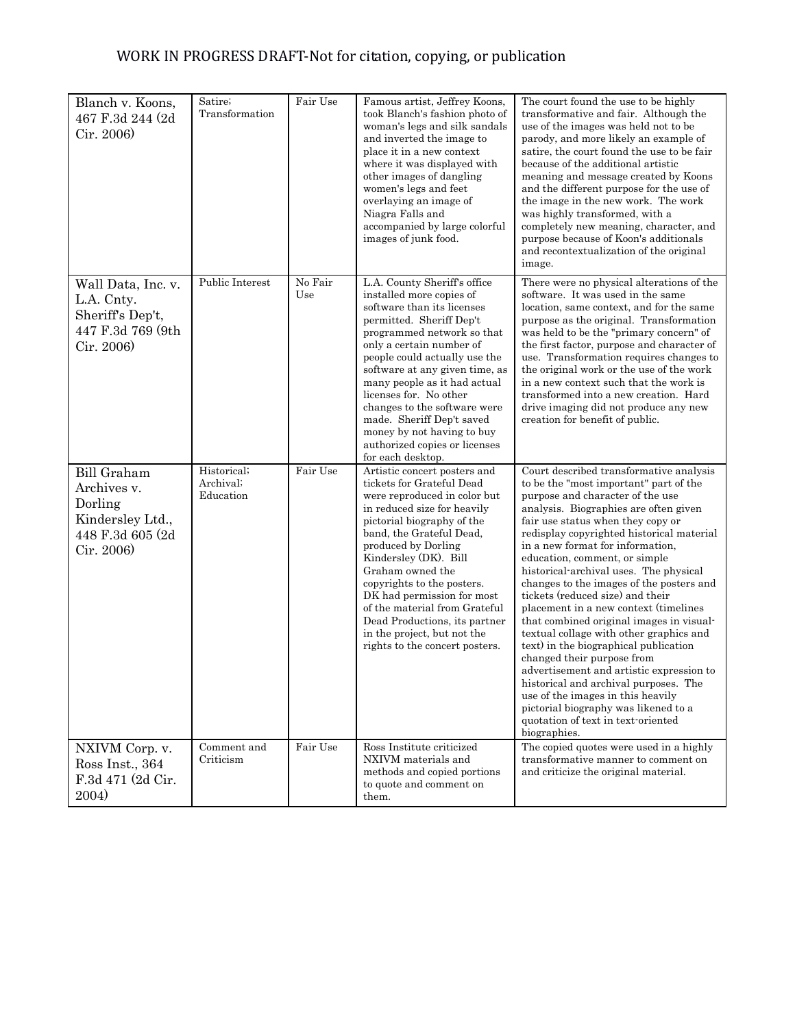| Blanch v. Koons,<br>467 F.3d 244 (2d<br>Cir. 2006)                                          | Satire;<br>Transformation             | Fair Use       | Famous artist, Jeffrey Koons,<br>took Blanch's fashion photo of<br>woman's legs and silk sandals<br>and inverted the image to<br>place it in a new context<br>where it was displayed with<br>other images of dangling<br>women's legs and feet<br>overlaying an image of<br>Niagra Falls and<br>accompanied by large colorful<br>images of junk food.                                                                                                      | The court found the use to be highly<br>transformative and fair. Although the<br>use of the images was held not to be<br>parody, and more likely an example of<br>satire, the court found the use to be fair<br>because of the additional artistic<br>meaning and message created by Koons<br>and the different purpose for the use of<br>the image in the new work. The work<br>was highly transformed, with a<br>completely new meaning, character, and<br>purpose because of Koon's additionals<br>and recontextualization of the original<br>image.                                                                                                                                                                                                                                                                                                                        |
|---------------------------------------------------------------------------------------------|---------------------------------------|----------------|------------------------------------------------------------------------------------------------------------------------------------------------------------------------------------------------------------------------------------------------------------------------------------------------------------------------------------------------------------------------------------------------------------------------------------------------------------|--------------------------------------------------------------------------------------------------------------------------------------------------------------------------------------------------------------------------------------------------------------------------------------------------------------------------------------------------------------------------------------------------------------------------------------------------------------------------------------------------------------------------------------------------------------------------------------------------------------------------------------------------------------------------------------------------------------------------------------------------------------------------------------------------------------------------------------------------------------------------------|
| Wall Data, Inc. v.<br>L.A. Cnty.<br>Sheriff's Dep't,<br>447 F.3d 769 (9th<br>Cir. 2006)     | Public Interest                       | No Fair<br>Use | L.A. County Sheriff's office<br>installed more copies of<br>software than its licenses<br>permitted. Sheriff Dep't<br>programmed network so that<br>only a certain number of<br>people could actually use the<br>software at any given time, as<br>many people as it had actual<br>licenses for. No other<br>changes to the software were<br>made. Sheriff Dep't saved<br>money by not having to buy<br>authorized copies or licenses<br>for each desktop. | There were no physical alterations of the<br>software. It was used in the same<br>location, same context, and for the same<br>purpose as the original. Transformation<br>was held to be the "primary concern" of<br>the first factor, purpose and character of<br>use. Transformation requires changes to<br>the original work or the use of the work<br>in a new context such that the work is<br>transformed into a new creation. Hard<br>drive imaging did not produce any new<br>creation for benefit of public.                                                                                                                                                                                                                                                                                                                                                           |
| Bill Graham<br>Archives v.<br>Dorling<br>Kindersley Ltd.,<br>448 F.3d 605 (2d<br>Cir. 2006) | Historical;<br>Archival;<br>Education | Fair Use       | Artistic concert posters and<br>tickets for Grateful Dead<br>were reproduced in color but<br>in reduced size for heavily<br>pictorial biography of the<br>band, the Grateful Dead,<br>produced by Dorling<br>Kindersley (DK). Bill<br>Graham owned the<br>copyrights to the posters.<br>DK had permission for most<br>of the material from Grateful<br>Dead Productions, its partner<br>in the project, but not the<br>rights to the concert posters.      | Court described transformative analysis<br>to be the "most important" part of the<br>purpose and character of the use<br>analysis. Biographies are often given<br>fair use status when they copy or<br>redisplay copyrighted historical material<br>in a new format for information,<br>education, comment, or simple<br>historical archival uses. The physical<br>changes to the images of the posters and<br>tickets (reduced size) and their<br>placement in a new context (timelines<br>that combined original images in visual-<br>textual collage with other graphics and<br>text) in the biographical publication<br>changed their purpose from<br>advertisement and artistic expression to<br>historical and archival purposes. The<br>use of the images in this heavily<br>pictorial biography was likened to a<br>quotation of text in text oriented<br>biographies. |
| NXIVM Corp. v.<br>Ross Inst., 364<br>F.3d 471 (2d Cir.<br>2004)                             | Comment and<br>Criticism              | Fair Use       | Ross Institute criticized<br>NXIVM materials and<br>methods and copied portions<br>to quote and comment on<br>them.                                                                                                                                                                                                                                                                                                                                        | The copied quotes were used in a highly<br>transformative manner to comment on<br>and criticize the original material.                                                                                                                                                                                                                                                                                                                                                                                                                                                                                                                                                                                                                                                                                                                                                         |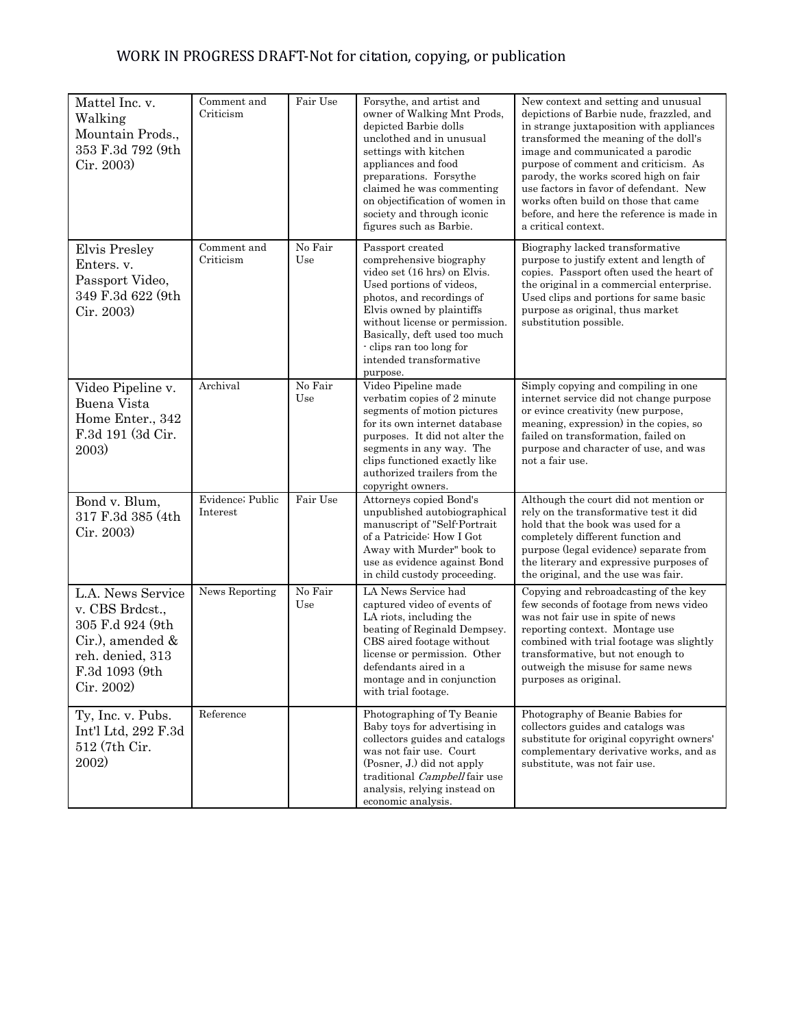| Mattel Inc. v.<br>Walking<br>Mountain Prods.,<br>353 F.3d 792 (9th<br>Cir. 2003)                                                 | Comment and<br>Criticism     | Fair Use       | Forsythe, and artist and<br>owner of Walking Mnt Prods,<br>depicted Barbie dolls<br>unclothed and in unusual<br>settings with kitchen<br>appliances and food<br>preparations. Forsythe<br>claimed he was commenting<br>on objectification of women in<br>society and through iconic<br>figures such as Barbie. | New context and setting and unusual<br>depictions of Barbie nude, frazzled, and<br>in strange juxtaposition with appliances<br>transformed the meaning of the doll's<br>image and communicated a parodic<br>purpose of comment and criticism. As<br>parody, the works scored high on fair<br>use factors in favor of defendant. New<br>works often build on those that came<br>before, and here the reference is made in<br>a critical context. |
|----------------------------------------------------------------------------------------------------------------------------------|------------------------------|----------------|----------------------------------------------------------------------------------------------------------------------------------------------------------------------------------------------------------------------------------------------------------------------------------------------------------------|-------------------------------------------------------------------------------------------------------------------------------------------------------------------------------------------------------------------------------------------------------------------------------------------------------------------------------------------------------------------------------------------------------------------------------------------------|
| Elvis Presley<br>Enters. v.<br>Passport Video,<br>349 F.3d 622 (9th<br>Cir. 2003)                                                | Comment and<br>Criticism     | No Fair<br>Use | Passport created<br>comprehensive biography<br>video set (16 hrs) on Elvis.<br>Used portions of videos,<br>photos, and recordings of<br>Elvis owned by plaintiffs<br>without license or permission.<br>Basically, deft used too much<br>- clips ran too long for<br>intended transformative<br>purpose.        | Biography lacked transformative<br>purpose to justify extent and length of<br>copies. Passport often used the heart of<br>the original in a commercial enterprise.<br>Used clips and portions for same basic<br>purpose as original, thus market<br>substitution possible.                                                                                                                                                                      |
| Video Pipeline v.<br><b>Buena Vista</b><br>Home Enter., 342<br>F.3d 191 (3d Cir.<br>2003)                                        | Archival                     | No Fair<br>Use | Video Pipeline made<br>verbatim copies of 2 minute<br>segments of motion pictures<br>for its own internet database<br>purposes. It did not alter the<br>segments in any way. The<br>clips functioned exactly like<br>authorized trailers from the<br>copyright owners.                                         | Simply copying and compiling in one<br>internet service did not change purpose<br>or evince creativity (new purpose,<br>meaning, expression) in the copies, so<br>failed on transformation, failed on<br>purpose and character of use, and was<br>not a fair use.                                                                                                                                                                               |
| Bond v. Blum,<br>317 F.3d 385 (4th<br>Cir. 2003)                                                                                 | Evidence; Public<br>Interest | Fair Use       | Attorneys copied Bond's<br>unpublished autobiographical<br>manuscript of "Self-Portrait<br>of a Patricide: How I Got<br>Away with Murder" book to<br>use as evidence against Bond<br>in child custody proceeding.                                                                                              | Although the court did not mention or<br>rely on the transformative test it did<br>hold that the book was used for a<br>completely different function and<br>purpose (legal evidence) separate from<br>the literary and expressive purposes of<br>the original, and the use was fair.                                                                                                                                                           |
| L.A. News Service<br>v. CBS Brdcst<br>305 F.d 924 (9th<br>Cir.), amended $&$<br>reh. denied, 313<br>F.3d 1093 (9th<br>Cir. 2002) | News Reporting               | No Fair<br>Use | LA News Service had<br>captured video of events of<br>LA riots, including the<br>beating of Reginald Dempsey.<br>CBS aired footage without<br>license or permission. Other<br>defendants aired in a<br>montage and in conjunction<br>with trial footage.                                                       | Copying and rebroadcasting of the key<br>few seconds of footage from news video<br>was not fair use in spite of news<br>reporting context. Montage use<br>combined with trial footage was slightly<br>transformative, but not enough to<br>outweigh the misuse for same news<br>purposes as original.                                                                                                                                           |
| Ty, Inc. v. Pubs.<br>Int'l Ltd, 292 F.3d<br>512 (7th Cir.<br>2002)                                                               | Reference                    |                | Photographing of Ty Beanie<br>Baby toys for advertising in<br>collectors guides and catalogs<br>was not fair use. Court<br>(Posner, J.) did not apply<br>traditional Campbell fair use<br>analysis, relying instead on<br>economic analysis.                                                                   | Photography of Beanie Babies for<br>collectors guides and catalogs was<br>substitute for original copyright owners'<br>complementary derivative works, and as<br>substitute, was not fair use.                                                                                                                                                                                                                                                  |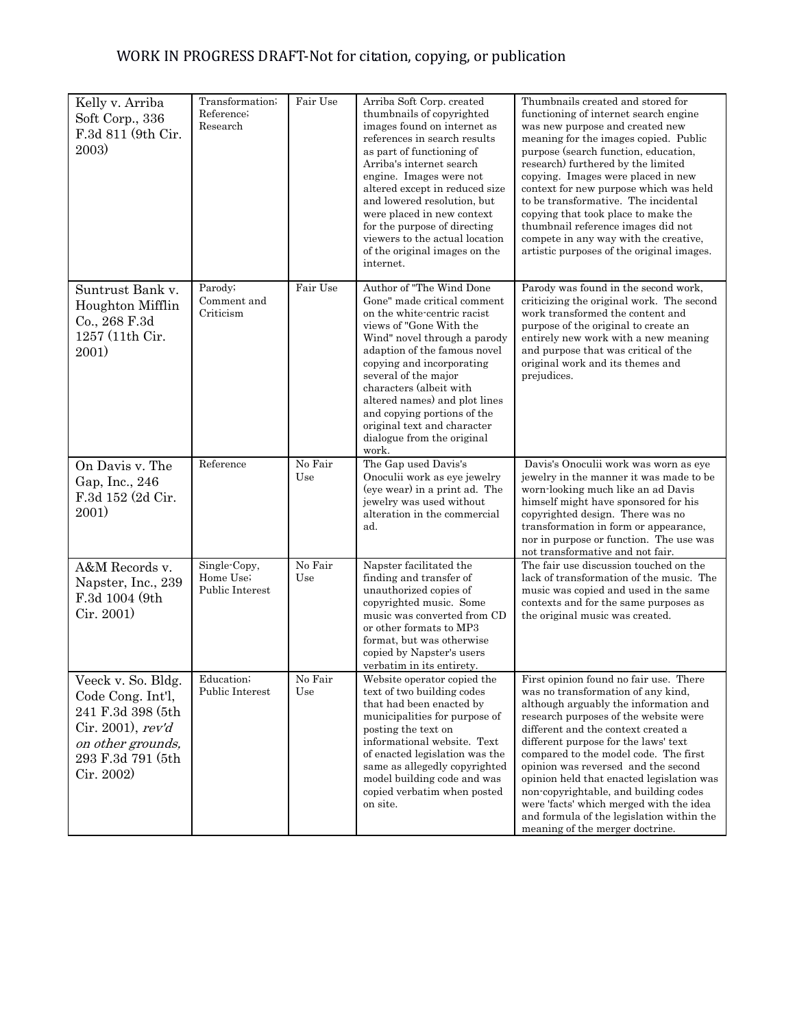| Kelly v. Arriba<br>Soft Corp., 336<br>F.3d 811 (9th Cir.<br>2003)                                                                         | Transformation;<br>Reference;<br>Research    | Fair Use       | Arriba Soft Corp. created<br>thumbnails of copyrighted<br>images found on internet as<br>references in search results<br>as part of functioning of<br>Arriba's internet search<br>engine. Images were not<br>altered except in reduced size<br>and lowered resolution, but<br>were placed in new context<br>for the purpose of directing<br>viewers to the actual location<br>of the original images on the<br>internet. | Thumbnails created and stored for<br>functioning of internet search engine<br>was new purpose and created new<br>meaning for the images copied. Public<br>purpose (search function, education,<br>research) furthered by the limited<br>copying. Images were placed in new<br>context for new purpose which was held<br>to be transformative. The incidental<br>copying that took place to make the<br>thumbnail reference images did not<br>compete in any way with the creative,<br>artistic purposes of the original images.                |
|-------------------------------------------------------------------------------------------------------------------------------------------|----------------------------------------------|----------------|--------------------------------------------------------------------------------------------------------------------------------------------------------------------------------------------------------------------------------------------------------------------------------------------------------------------------------------------------------------------------------------------------------------------------|------------------------------------------------------------------------------------------------------------------------------------------------------------------------------------------------------------------------------------------------------------------------------------------------------------------------------------------------------------------------------------------------------------------------------------------------------------------------------------------------------------------------------------------------|
| Suntrust Bank v.<br>Houghton Mifflin<br>Co., 268 F.3d<br>1257 (11th Cir.<br>2001)                                                         | Parody;<br>Comment and<br>Criticism          | Fair Use       | Author of "The Wind Done<br>Gone" made critical comment<br>on the white-centric racist<br>views of "Gone With the<br>Wind" novel through a parody<br>adaption of the famous novel<br>copying and incorporating<br>several of the major<br>characters (albeit with<br>altered names) and plot lines<br>and copying portions of the<br>original text and character<br>dialogue from the original<br>work.                  | Parody was found in the second work,<br>criticizing the original work. The second<br>work transformed the content and<br>purpose of the original to create an<br>entirely new work with a new meaning<br>and purpose that was critical of the<br>original work and its themes and<br>prejudices.                                                                                                                                                                                                                                               |
| On Davis v. The<br>Gap, Inc., 246<br>F.3d 152 (2d Cir.<br>2001)                                                                           | Reference                                    | No Fair<br>Use | The Gap used Davis's<br>Onoculii work as eye jewelry<br>(eye wear) in a print ad. The<br>jewelry was used without<br>alteration in the commercial<br>ad.                                                                                                                                                                                                                                                                 | Davis's Onoculii work was worn as eye<br>jewelry in the manner it was made to be<br>worn-looking much like an ad Davis<br>himself might have sponsored for his<br>copyrighted design. There was no<br>transformation in form or appearance,<br>nor in purpose or function. The use was<br>not transformative and not fair.                                                                                                                                                                                                                     |
| A&M Records v.<br>Napster, Inc., 239<br>F.3d 1004 (9th<br>Cir. 2001)                                                                      | Single-Copy,<br>Home Use;<br>Public Interest | No Fair<br>Use | Napster facilitated the<br>finding and transfer of<br>unauthorized copies of<br>copyrighted music. Some<br>music was converted from CD<br>or other formats to MP3<br>format, but was otherwise<br>copied by Napster's users<br>verbatim in its entirety.                                                                                                                                                                 | The fair use discussion touched on the<br>lack of transformation of the music. The<br>music was copied and used in the same<br>contexts and for the same purposes as<br>the original music was created.                                                                                                                                                                                                                                                                                                                                        |
| Veeck v. So. Bldg.<br>Code Cong. Int'l,<br>241 F.3d 398 (5th<br>Cir. 2001), rev'd<br>on other grounds,<br>293 F.3d 791 (5th<br>Cir. 2002) | Education;<br>Public Interest                | No Fair<br>Use | Website operator copied the<br>text of two building codes<br>that had been enacted by<br>municipalities for purpose of<br>posting the text on<br>informational website. Text<br>of enacted legislation was the<br>same as allegedly copyrighted<br>model building code and was<br>copied verbatim when posted<br>on site.                                                                                                | First opinion found no fair use. There<br>was no transformation of any kind,<br>although arguably the information and<br>research purposes of the website were<br>different and the context created a<br>different purpose for the laws' text<br>compared to the model code. The first<br>opinion was reversed and the second<br>opinion held that enacted legislation was<br>non-copyrightable, and building codes<br>were 'facts' which merged with the idea<br>and formula of the legislation within the<br>meaning of the merger doctrine. |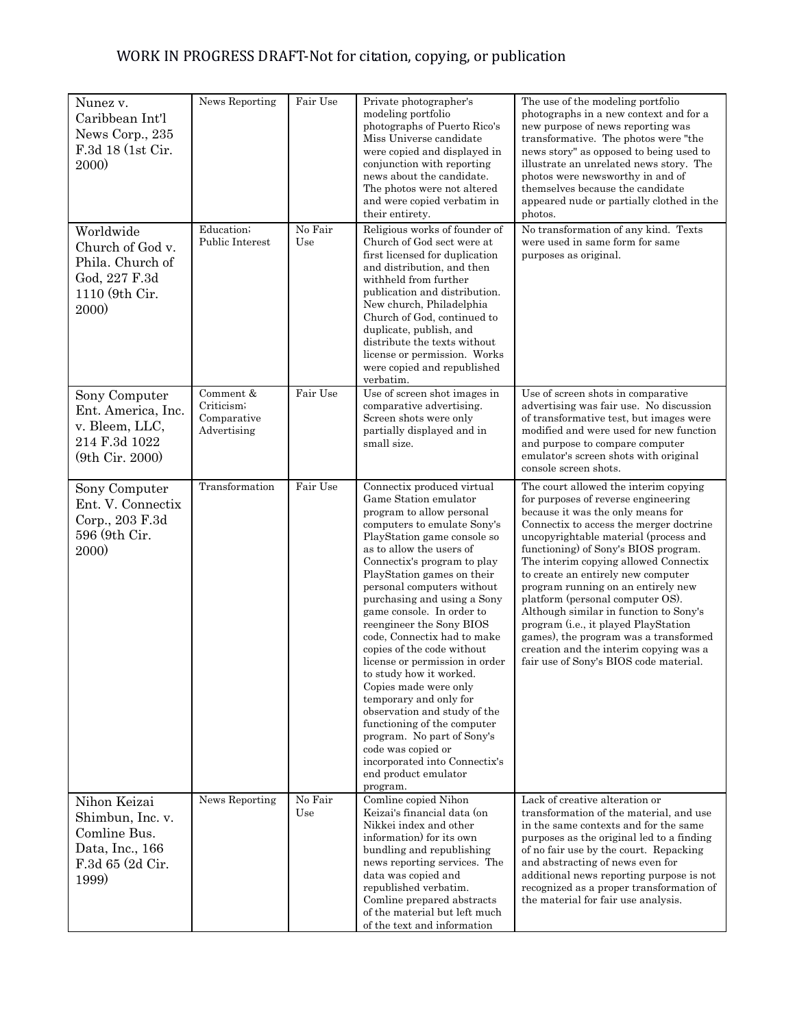| Nunez v.<br>Caribbean Int'l<br>News Corp., 235<br>F.3d 18 (1st Cir.<br>2000)                     | News Reporting                                        | Fair Use       | Private photographer's<br>modeling portfolio<br>photographs of Puerto Rico's<br>Miss Universe candidate<br>were copied and displayed in<br>conjunction with reporting<br>news about the candidate.<br>The photos were not altered<br>and were copied verbatim in<br>their entirety.                                                                                                                                                                                                                                                                                                                                                                                                                                                | The use of the modeling portfolio<br>photographs in a new context and for a<br>new purpose of news reporting was<br>transformative. The photos were "the<br>news story" as opposed to being used to<br>illustrate an unrelated news story. The<br>photos were newsworthy in and of<br>themselves because the candidate<br>appeared nude or partially clothed in the<br>photos.                                                                                                                                                                                                                                        |
|--------------------------------------------------------------------------------------------------|-------------------------------------------------------|----------------|------------------------------------------------------------------------------------------------------------------------------------------------------------------------------------------------------------------------------------------------------------------------------------------------------------------------------------------------------------------------------------------------------------------------------------------------------------------------------------------------------------------------------------------------------------------------------------------------------------------------------------------------------------------------------------------------------------------------------------|-----------------------------------------------------------------------------------------------------------------------------------------------------------------------------------------------------------------------------------------------------------------------------------------------------------------------------------------------------------------------------------------------------------------------------------------------------------------------------------------------------------------------------------------------------------------------------------------------------------------------|
| Worldwide<br>Church of God v.<br>Phila. Church of<br>God, 227 F.3d<br>1110 (9th Cir.<br>2000)    | Education;<br>Public Interest                         | No Fair<br>Use | Religious works of founder of<br>Church of God sect were at<br>first licensed for duplication<br>and distribution, and then<br>withheld from further<br>publication and distribution.<br>New church, Philadelphia<br>Church of God, continued to<br>duplicate, publish, and<br>distribute the texts without<br>license or permission. Works<br>were copied and republished<br>verbatim.                                                                                                                                                                                                                                                                                                                                            | No transformation of any kind. Texts<br>were used in same form for same<br>purposes as original.                                                                                                                                                                                                                                                                                                                                                                                                                                                                                                                      |
| Sony Computer<br>Ent. America, Inc.<br>v. Bleem, LLC,<br>214 F.3d 1022<br>(9th Cir. 2000)        | Comment &<br>Criticism;<br>Comparative<br>Advertising | Fair Use       | Use of screen shot images in<br>comparative advertising.<br>Screen shots were only<br>partially displayed and in<br>small size.                                                                                                                                                                                                                                                                                                                                                                                                                                                                                                                                                                                                    | Use of screen shots in comparative<br>advertising was fair use. No discussion<br>of transformative test, but images were<br>modified and were used for new function<br>and purpose to compare computer<br>emulator's screen shots with original<br>console screen shots.                                                                                                                                                                                                                                                                                                                                              |
| Sony Computer<br>Ent. V. Connectix<br>Corp., 203 F.3d<br>596 (9th Cir.<br>2000)                  | Transformation                                        | Fair Use       | Connectix produced virtual<br>Game Station emulator<br>program to allow personal<br>computers to emulate Sony's<br>PlayStation game console so<br>as to allow the users of<br>Connectix's program to play<br>PlayStation games on their<br>personal computers without<br>purchasing and using a Sony<br>game console. In order to<br>reengineer the Sony BIOS<br>code, Connectix had to make<br>copies of the code without<br>license or permission in order<br>to study how it worked.<br>Copies made were only<br>temporary and only for<br>observation and study of the<br>functioning of the computer<br>program. No part of Sony's<br>code was copied or<br>incorporated into Connectix's<br>end product emulator<br>program. | The court allowed the interim copying<br>for purposes of reverse engineering<br>because it was the only means for<br>Connectix to access the merger doctrine<br>uncopyrightable material (process and<br>functioning) of Sony's BIOS program.<br>The interim copying allowed Connectix<br>to create an entirely new computer<br>program running on an entirely new<br>platform (personal computer OS).<br>Although similar in function to Sony's<br>program (i.e., it played PlayStation<br>games), the program was a transformed<br>creation and the interim copying was a<br>fair use of Sony's BIOS code material. |
| Nihon Keizai<br>Shimbun, Inc. v.<br>Comline Bus.<br>Data, Inc., 166<br>F.3d 65 (2d Cir.<br>1999) | News Reporting                                        | No Fair<br>Use | Comline copied Nihon<br>Keizai's financial data (on<br>Nikkei index and other<br>information) for its own<br>bundling and republishing<br>news reporting services. The<br>data was copied and<br>republished verbatim.<br>Comline prepared abstracts<br>of the material but left much<br>of the text and information                                                                                                                                                                                                                                                                                                                                                                                                               | Lack of creative alteration or<br>transformation of the material, and use<br>in the same contexts and for the same<br>purposes as the original led to a finding<br>of no fair use by the court. Repacking<br>and abstracting of news even for<br>additional news reporting purpose is not<br>recognized as a proper transformation of<br>the material for fair use analysis.                                                                                                                                                                                                                                          |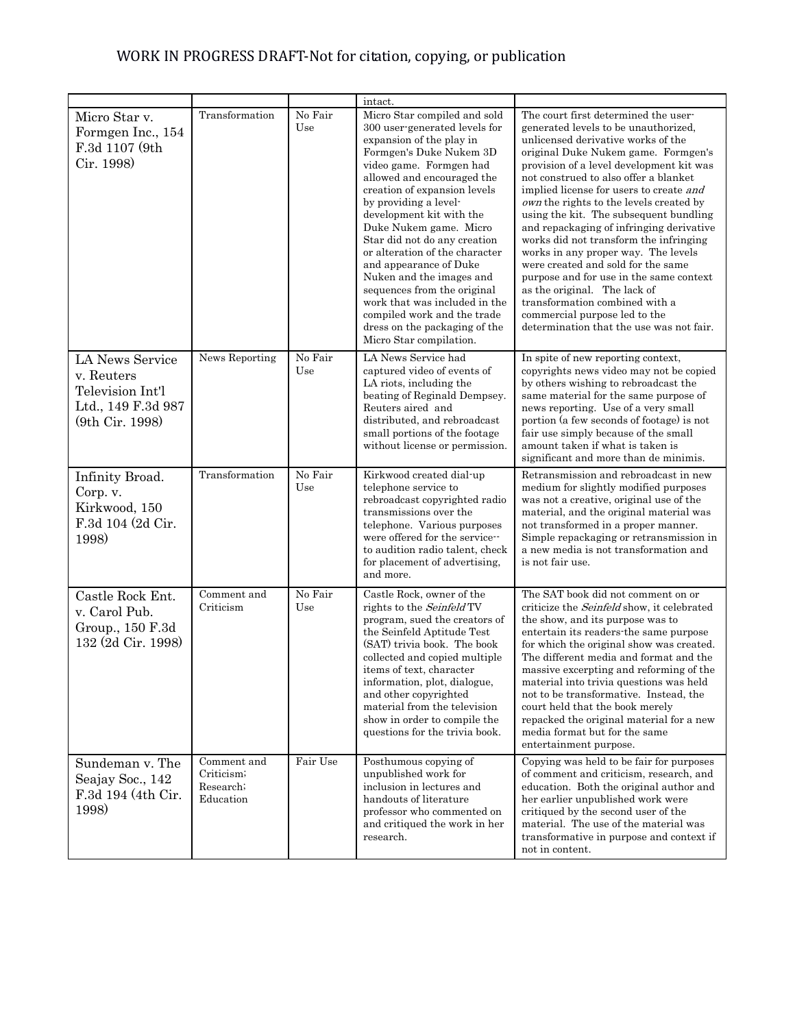|                                                                                            |                                                     |                | intact.                                                                                                                                                                                                                                                                                                                                                                                                                                                                                                                                                                         |                                                                                                                                                                                                                                                                                                                                                                                                                                                                                                                                                                                                                                                                                                                                                    |
|--------------------------------------------------------------------------------------------|-----------------------------------------------------|----------------|---------------------------------------------------------------------------------------------------------------------------------------------------------------------------------------------------------------------------------------------------------------------------------------------------------------------------------------------------------------------------------------------------------------------------------------------------------------------------------------------------------------------------------------------------------------------------------|----------------------------------------------------------------------------------------------------------------------------------------------------------------------------------------------------------------------------------------------------------------------------------------------------------------------------------------------------------------------------------------------------------------------------------------------------------------------------------------------------------------------------------------------------------------------------------------------------------------------------------------------------------------------------------------------------------------------------------------------------|
| Micro Star v.<br>Formgen Inc., 154<br>F.3d 1107 (9th<br>Cir. 1998)                         | Transformation                                      | No Fair<br>Use | Micro Star compiled and sold<br>300 user-generated levels for<br>expansion of the play in<br>Formgen's Duke Nukem 3D<br>video game. Formgen had<br>allowed and encouraged the<br>creation of expansion levels<br>by providing a level-<br>development kit with the<br>Duke Nukem game. Micro<br>Star did not do any creation<br>or alteration of the character<br>and appearance of Duke<br>Nuken and the images and<br>sequences from the original<br>work that was included in the<br>compiled work and the trade<br>dress on the packaging of the<br>Micro Star compilation. | The court first determined the user-<br>generated levels to be unauthorized.<br>unlicensed derivative works of the<br>original Duke Nukem game. Formgen's<br>provision of a level development kit was<br>not construed to also offer a blanket<br>implied license for users to create and<br><i>own</i> the rights to the levels created by<br>using the kit. The subsequent bundling<br>and repackaging of infringing derivative<br>works did not transform the infringing<br>works in any proper way. The levels<br>were created and sold for the same<br>purpose and for use in the same context<br>as the original. The lack of<br>transformation combined with a<br>commercial purpose led to the<br>determination that the use was not fair. |
| LA News Service<br>v. Reuters<br>Television Int'l<br>Ltd., 149 F.3d 987<br>(9th Cir. 1998) | News Reporting                                      | No Fair<br>Use | LA News Service had<br>captured video of events of<br>LA riots, including the<br>beating of Reginald Dempsey.<br>Reuters aired and<br>distributed, and rebroadcast<br>small portions of the footage<br>without license or permission.                                                                                                                                                                                                                                                                                                                                           | In spite of new reporting context,<br>copyrights news video may not be copied<br>by others wishing to rebroadcast the<br>same material for the same purpose of<br>news reporting. Use of a very small<br>portion (a few seconds of footage) is not<br>fair use simply because of the small<br>amount taken if what is taken is<br>significant and more than de minimis.                                                                                                                                                                                                                                                                                                                                                                            |
| Infinity Broad.<br>Corp. v.<br>Kirkwood, 150<br>F.3d 104 (2d Cir.<br>1998)                 | Transformation                                      | No Fair<br>Use | Kirkwood created dial-up<br>telephone service to<br>rebroadcast copyrighted radio<br>transmissions over the<br>telephone. Various purposes<br>were offered for the service--<br>to audition radio talent, check<br>for placement of advertising,<br>and more.                                                                                                                                                                                                                                                                                                                   | Retransmission and rebroadcast in new<br>medium for slightly modified purposes<br>was not a creative, original use of the<br>material, and the original material was<br>not transformed in a proper manner.<br>Simple repackaging or retransmission in<br>a new media is not transformation and<br>is not fair use.                                                                                                                                                                                                                                                                                                                                                                                                                                |
| Castle Rock Ent.<br>v. Carol Pub.<br>Group., 150 F.3d<br>132 (2d Cir. 1998)                | Comment and<br>Criticism                            | No Fair<br>Use | Castle Rock, owner of the<br>rights to the Seinfeld TV<br>program, sued the creators of<br>the Seinfeld Aptitude Test<br>(SAT) trivia book. The book<br>collected and copied multiple<br>items of text, character<br>information, plot, dialogue,<br>and other copyrighted<br>material from the television<br>show in order to compile the<br>questions for the trivia book.                                                                                                                                                                                                    | The SAT book did not comment on or<br>criticize the Seinfeld show, it celebrated<br>the show, and its purpose was to<br>entertain its readers the same purpose<br>for which the original show was created.<br>The different media and format and the<br>massive excerpting and reforming of the<br>material into trivia questions was held<br>not to be transformative. Instead, the<br>court held that the book merely<br>repacked the original material for a new<br>media format but for the same<br>entertainment purpose.                                                                                                                                                                                                                     |
| Sundeman v. The<br>Seajay Soc., 142<br>F.3d 194 (4th Cir.<br>1998)                         | Comment and<br>Criticism;<br>Research;<br>Education | Fair Use       | Posthumous copying of<br>unpublished work for<br>inclusion in lectures and<br>handouts of literature<br>professor who commented on<br>and critiqued the work in her<br>research.                                                                                                                                                                                                                                                                                                                                                                                                | Copying was held to be fair for purposes<br>of comment and criticism, research, and<br>education. Both the original author and<br>her earlier unpublished work were<br>critiqued by the second user of the<br>material. The use of the material was<br>transformative in purpose and context if<br>not in content.                                                                                                                                                                                                                                                                                                                                                                                                                                 |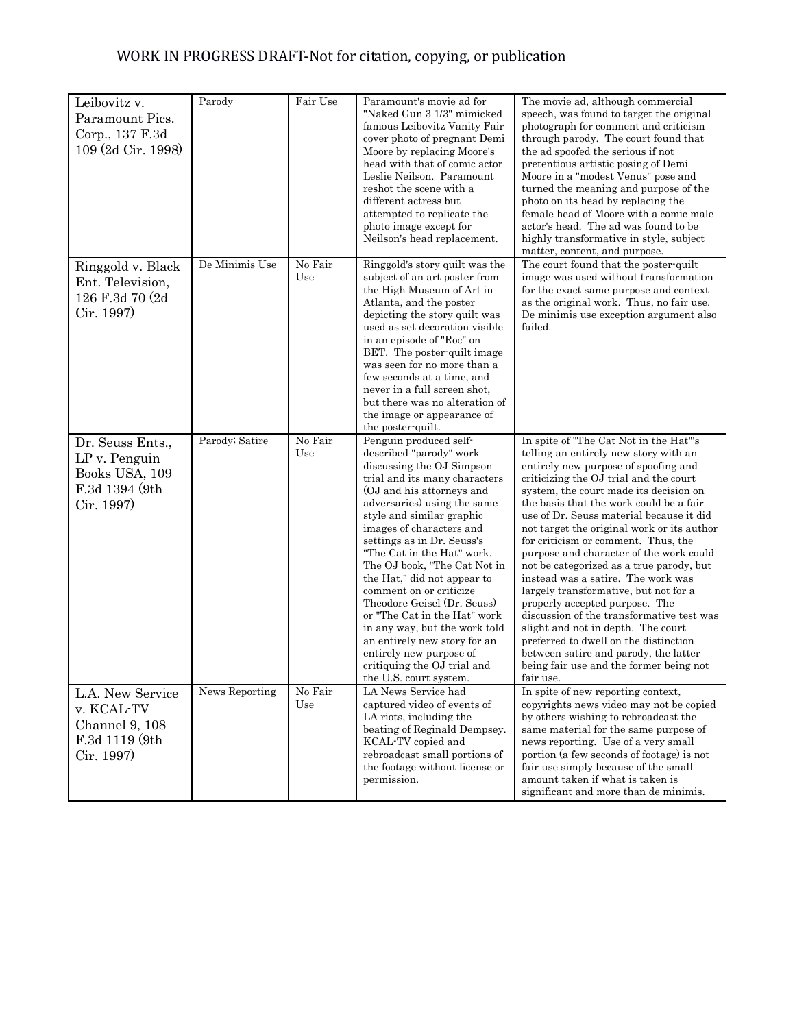| Leibovitz v.<br>Paramount Pics.<br>Corp., 137 F.3d<br>109 (2d Cir. 1998)            | Parody         | Fair Use       | Paramount's movie ad for<br>"Naked Gun 3 1/3" mimicked<br>famous Leibovitz Vanity Fair<br>cover photo of pregnant Demi<br>Moore by replacing Moore's<br>head with that of comic actor<br>Leslie Neilson. Paramount<br>reshot the scene with a<br>different actress but<br>attempted to replicate the<br>photo image except for<br>Neilson's head replacement.                                                                                                                                                                                                                                                  | The movie ad, although commercial<br>speech, was found to target the original<br>photograph for comment and criticism<br>through parody. The court found that<br>the ad spoofed the serious if not<br>pretentious artistic posing of Demi<br>Moore in a "modest Venus" pose and<br>turned the meaning and purpose of the<br>photo on its head by replacing the<br>female head of Moore with a comic male<br>actor's head. The ad was found to be<br>highly transformative in style, subject<br>matter, content, and purpose.                                                                                                                                                                                                                                                                                                 |
|-------------------------------------------------------------------------------------|----------------|----------------|----------------------------------------------------------------------------------------------------------------------------------------------------------------------------------------------------------------------------------------------------------------------------------------------------------------------------------------------------------------------------------------------------------------------------------------------------------------------------------------------------------------------------------------------------------------------------------------------------------------|------------------------------------------------------------------------------------------------------------------------------------------------------------------------------------------------------------------------------------------------------------------------------------------------------------------------------------------------------------------------------------------------------------------------------------------------------------------------------------------------------------------------------------------------------------------------------------------------------------------------------------------------------------------------------------------------------------------------------------------------------------------------------------------------------------------------------|
| Ringgold v. Black<br>Ent. Television,<br>126 F.3d 70 (2d<br>Cir. 1997)              | De Minimis Use | No Fair<br>Use | Ringgold's story quilt was the<br>subject of an art poster from<br>the High Museum of Art in<br>Atlanta, and the poster<br>depicting the story quilt was<br>used as set decoration visible<br>in an episode of "Roc" on<br>BET. The poster-quilt image<br>was seen for no more than a<br>few seconds at a time, and<br>never in a full screen shot,<br>but there was no alteration of<br>the image or appearance of<br>the poster-quilt.                                                                                                                                                                       | The court found that the poster-quilt<br>image was used without transformation<br>for the exact same purpose and context<br>as the original work. Thus, no fair use.<br>De minimis use exception argument also<br>failed.                                                                                                                                                                                                                                                                                                                                                                                                                                                                                                                                                                                                    |
| Dr. Seuss Ents.,<br>LP v. Penguin<br>Books USA, 109<br>F.3d 1394 (9th<br>Cir. 1997) | Parody; Satire | No Fair<br>Use | Penguin produced self-<br>described "parody" work<br>discussing the OJ Simpson<br>trial and its many characters<br>(OJ and his attorneys and<br>adversaries) using the same<br>style and similar graphic<br>images of characters and<br>settings as in Dr. Seuss's<br>"The Cat in the Hat" work.<br>The OJ book, "The Cat Not in<br>the Hat," did not appear to<br>comment on or criticize<br>Theodore Geisel (Dr. Seuss)<br>or "The Cat in the Hat" work<br>in any way, but the work told<br>an entirely new story for an<br>entirely new purpose of<br>critiquing the OJ trial and<br>the U.S. court system. | In spite of "The Cat Not in the Hat"'s<br>telling an entirely new story with an<br>entirely new purpose of spoofing and<br>criticizing the OJ trial and the court<br>system, the court made its decision on<br>the basis that the work could be a fair<br>use of Dr. Seuss material because it did<br>not target the original work or its author<br>for criticism or comment. Thus, the<br>purpose and character of the work could<br>not be categorized as a true parody, but<br>instead was a satire. The work was<br>largely transformative, but not for a<br>properly accepted purpose. The<br>discussion of the transformative test was<br>slight and not in depth. The court<br>preferred to dwell on the distinction<br>between satire and parody, the latter<br>being fair use and the former being not<br>fair use. |
| L.A. New Service<br>v. KCAL-TV<br>Channel 9, 108<br>F.3d 1119 (9th<br>Cir. 1997)    | News Reporting | No Fair<br>Use | LA News Service had<br>captured video of events of<br>LA riots, including the<br>beating of Reginald Dempsey.<br>KCAL-TV copied and<br>rebroadcast small portions of<br>the footage without license or<br>permission.                                                                                                                                                                                                                                                                                                                                                                                          | In spite of new reporting context,<br>copyrights news video may not be copied<br>by others wishing to rebroadcast the<br>same material for the same purpose of<br>news reporting. Use of a very small<br>portion (a few seconds of footage) is not<br>fair use simply because of the small<br>amount taken if what is taken is<br>significant and more than de minimis.                                                                                                                                                                                                                                                                                                                                                                                                                                                      |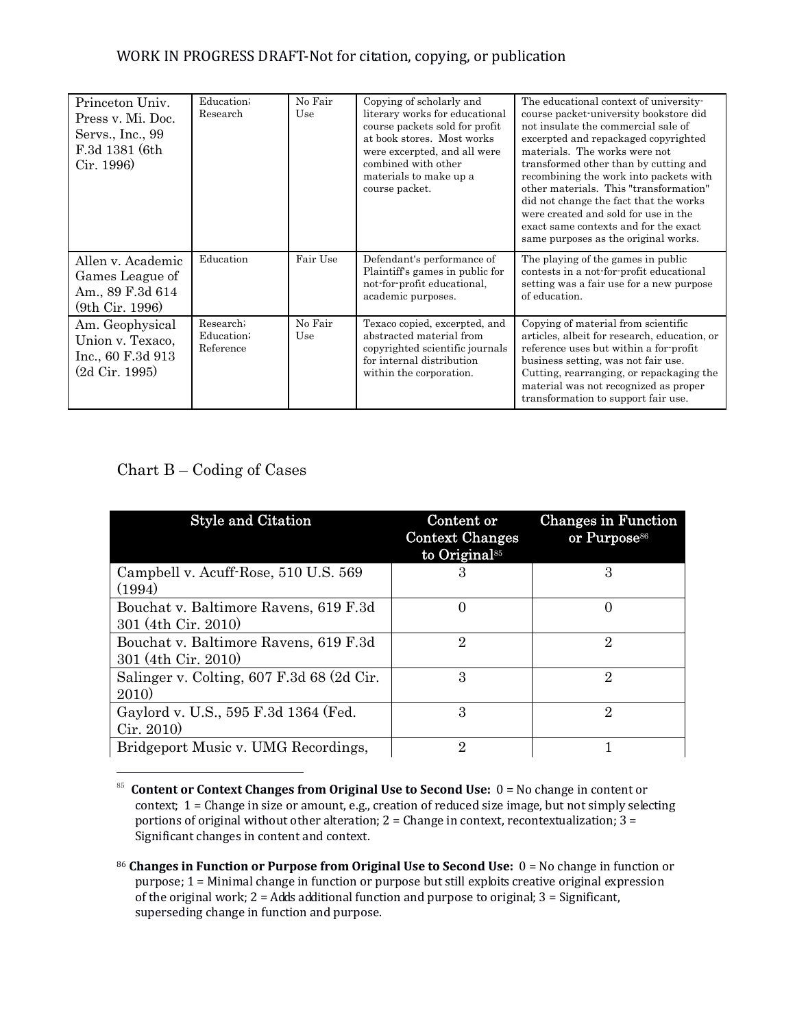| Princeton Univ.<br>Press v. Mi. Doc.<br>Servs., Inc., 99<br>F.3d 1381 (6th<br>Cir. 1996) | Education;<br>Research               | No Fair<br>Use | Copying of scholarly and<br>literary works for educational<br>course packets sold for profit<br>at book stores. Most works<br>were excerpted, and all were<br>combined with other<br>materials to make up a<br>course packet. | The educational context of university-<br>course packet university bookstore did<br>not insulate the commercial sale of<br>excerpted and repackaged copyrighted<br>materials. The works were not<br>transformed other than by cutting and<br>recombining the work into packets with<br>other materials. This "transformation"<br>did not change the fact that the works<br>were created and sold for use in the<br>exact same contexts and for the exact<br>same purposes as the original works. |
|------------------------------------------------------------------------------------------|--------------------------------------|----------------|-------------------------------------------------------------------------------------------------------------------------------------------------------------------------------------------------------------------------------|--------------------------------------------------------------------------------------------------------------------------------------------------------------------------------------------------------------------------------------------------------------------------------------------------------------------------------------------------------------------------------------------------------------------------------------------------------------------------------------------------|
| Allen v. Academic<br>Games League of<br>Am., 89 F.3d 614<br>(9th Cir. 1996)              | Education                            | Fair Use       | Defendant's performance of<br>Plaintiff's games in public for<br>not-for-profit educational,<br>academic purposes.                                                                                                            | The playing of the games in public<br>contests in a not for profit educational<br>setting was a fair use for a new purpose<br>of education.                                                                                                                                                                                                                                                                                                                                                      |
| Am. Geophysical<br>Union v. Texaco,<br>Inc., 60 F.3d 913<br>(2d Cir. 1995)               | Research;<br>Education;<br>Reference | No Fair<br>Use | Texaco copied, excerpted, and<br>abstracted material from<br>copyrighted scientific journals<br>for internal distribution<br>within the corporation.                                                                          | Copying of material from scientific<br>articles, albeit for research, education, or<br>reference uses but within a for-profit<br>business setting, was not fair use.<br>Cutting, rearranging, or repackaging the<br>material was not recognized as proper<br>transformation to support fair use.                                                                                                                                                                                                 |

### Chart B – Coding of Cases

| <b>Style and Citation</b>                                    | Content or<br><b>Context Changes</b><br>to Original <sup>85</sup> | <b>Changes in Function</b><br>or Purpose <sup>86</sup> |
|--------------------------------------------------------------|-------------------------------------------------------------------|--------------------------------------------------------|
| Campbell v. Acuff-Rose, 510 U.S. 569<br>(1994)               | 3                                                                 | 3                                                      |
| Bouchat v. Baltimore Ravens, 619 F.3d<br>301 (4th Cir. 2010) | 0                                                                 | 0                                                      |
| Bouchat v. Baltimore Ravens, 619 F.3d<br>301 (4th Cir. 2010) | $\mathcal{D}_{\cdot}$                                             | $\mathcal{D}_{\mathcal{L}}$                            |
| Salinger v. Colting, 607 F.3d 68 (2d Cir.<br><b>2010</b>     | З                                                                 | 2                                                      |
| Gaylord v. U.S., 595 F.3d 1364 (Fed.<br>Cir. 2010            | 3                                                                 | $\mathcal{D}_{\mathcal{L}}$                            |
| Bridgeport Music v. UMG Recordings,                          | $\mathcal{D}_{\mathcal{L}}$                                       |                                                        |

<sup>85</sup> **Content or Context Changes from Original Use to Second Use:** 0 = No change in content or context; 1 = Change in size or amount, e.g., creation of reduced size image, but not simply selecting portions of original without other alteration; 2 = Change in context, recontextualization; 3 = Significant changes in content and context.

<sup>86</sup> **Changes in Function or Purpose from Original Use to Second Use:** 0 = No change in function or purpose; 1 = Minimal change in function or purpose but still exploits creative original expression of the original work;  $2 =$  Adds additional function and purpose to original;  $3 =$  Significant, superseding change in function and purpose.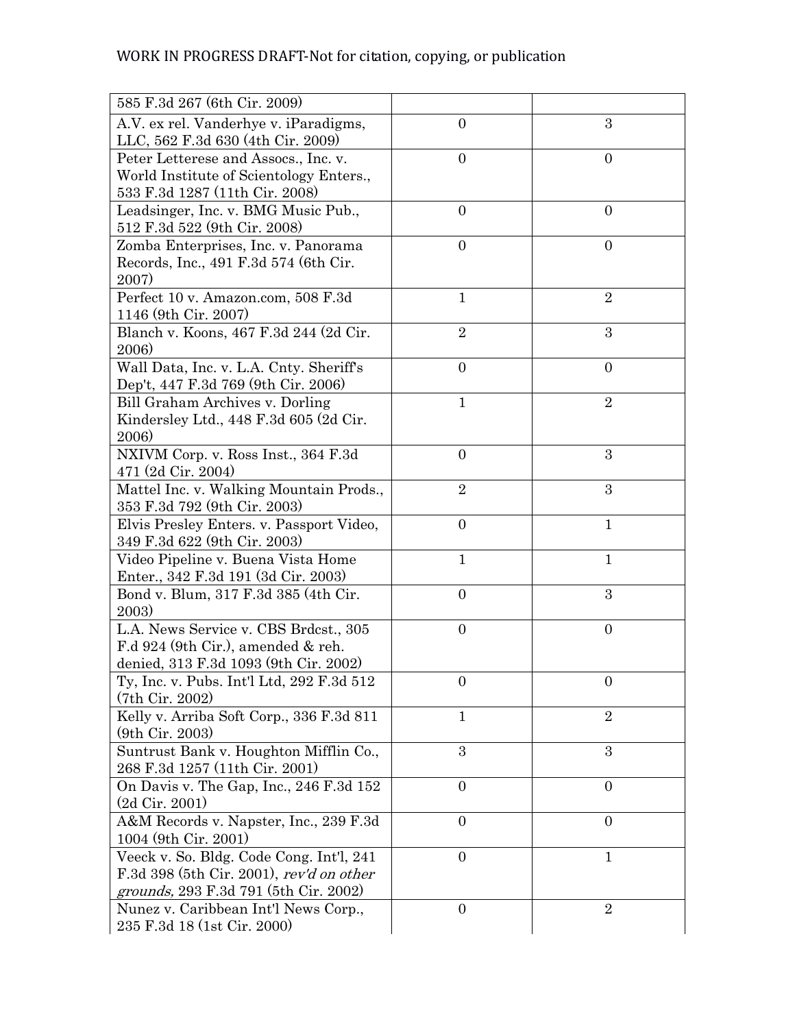| 585 F.3d 267 (6th Cir. 2009)              |                  |                  |
|-------------------------------------------|------------------|------------------|
| A.V. ex rel. Vanderhye v. iParadigms,     | $\boldsymbol{0}$ | 3                |
| LLC, 562 F.3d 630 (4th Cir. 2009)         |                  |                  |
| Peter Letterese and Assocs., Inc. v.      | $\boldsymbol{0}$ | $\overline{0}$   |
|                                           |                  |                  |
| World Institute of Scientology Enters.,   |                  |                  |
| 533 F.3d 1287 (11th Cir. 2008)            |                  |                  |
| Leadsinger, Inc. v. BMG Music Pub.,       | $\overline{0}$   | $\theta$         |
| 512 F.3d 522 (9th Cir. 2008)              |                  |                  |
| Zomba Enterprises, Inc. v. Panorama       | $\boldsymbol{0}$ | $\overline{0}$   |
| Records, Inc., 491 F.3d 574 (6th Cir.     |                  |                  |
| 2007)                                     |                  |                  |
| Perfect 10 v. Amazon.com, 508 F.3d        | $\mathbf{1}$     | $\overline{2}$   |
| 1146 (9th Cir. 2007)                      |                  |                  |
| Blanch v. Koons, 467 F.3d 244 (2d Cir.    | $\overline{2}$   | 3                |
| <b>2006</b>                               |                  |                  |
| Wall Data, Inc. v. L.A. Cnty. Sheriff's   | $\Omega$         | $\theta$         |
| Dep't, 447 F.3d 769 (9th Cir. 2006)       |                  |                  |
| Bill Graham Archives v. Dorling           | $\mathbf{1}$     | $\overline{2}$   |
| Kindersley Ltd., 448 F.3d 605 (2d Cir.    |                  |                  |
| 2006)                                     |                  |                  |
| NXIVM Corp. v. Ross Inst., 364 F.3d       | $\overline{0}$   | 3                |
| 471 (2d Cir. 2004)                        |                  |                  |
|                                           | $\overline{2}$   | 3                |
| Mattel Inc. v. Walking Mountain Prods.,   |                  |                  |
| 353 F.3d 792 (9th Cir. 2003)              |                  |                  |
| Elvis Presley Enters. v. Passport Video,  | $\boldsymbol{0}$ | $\mathbf{1}$     |
| 349 F.3d 622 (9th Cir. 2003)              |                  |                  |
| Video Pipeline v. Buena Vista Home        | 1                | 1                |
| Enter., 342 F.3d 191 (3d Cir. 2003)       |                  |                  |
| Bond v. Blum, 317 F.3d 385 (4th Cir.      | $\boldsymbol{0}$ | 3                |
| 2003)                                     |                  |                  |
| L.A. News Service v. CBS Brdcst., 305     | $\boldsymbol{0}$ | $\overline{0}$   |
| F.d $924$ (9th Cir.), amended & reh.      |                  |                  |
| denied, 313 F.3d 1093 (9th Cir. 2002)     |                  |                  |
| Ty, Inc. v. Pubs. Int'l Ltd, 292 F.3d 512 | $\overline{0}$   | $\boldsymbol{0}$ |
| $(7th$ Cir. 2002)                         |                  |                  |
| Kelly v. Arriba Soft Corp., 336 F.3d 811  | 1                | $\overline{2}$   |
| (9th Cir. 2003)                           |                  |                  |
| Suntrust Bank v. Houghton Mifflin Co.,    | 3                | 3                |
| 268 F.3d 1257 (11th Cir. 2001)            |                  |                  |
| On Davis v. The Gap, Inc., 246 F.3d 152   | $\overline{0}$   | $\overline{0}$   |
| $(2d$ Cir. 2001)                          |                  |                  |
|                                           | $\boldsymbol{0}$ | $\theta$         |
| A&M Records v. Napster, Inc., 239 F.3d    |                  |                  |
| 1004 (9th Cir. 2001)                      |                  |                  |
| Veeck v. So. Bldg. Code Cong. Int'l, 241  | $\boldsymbol{0}$ | 1                |
| F.3d 398 (5th Cir. 2001), rev'd on other  |                  |                  |
| grounds, 293 F.3d 791 (5th Cir. 2002)     |                  |                  |
| Nunez v. Caribbean Int'l News Corp.,      | $\boldsymbol{0}$ | $\overline{2}$   |
| 235 F.3d 18 (1st Cir. 2000)               |                  |                  |